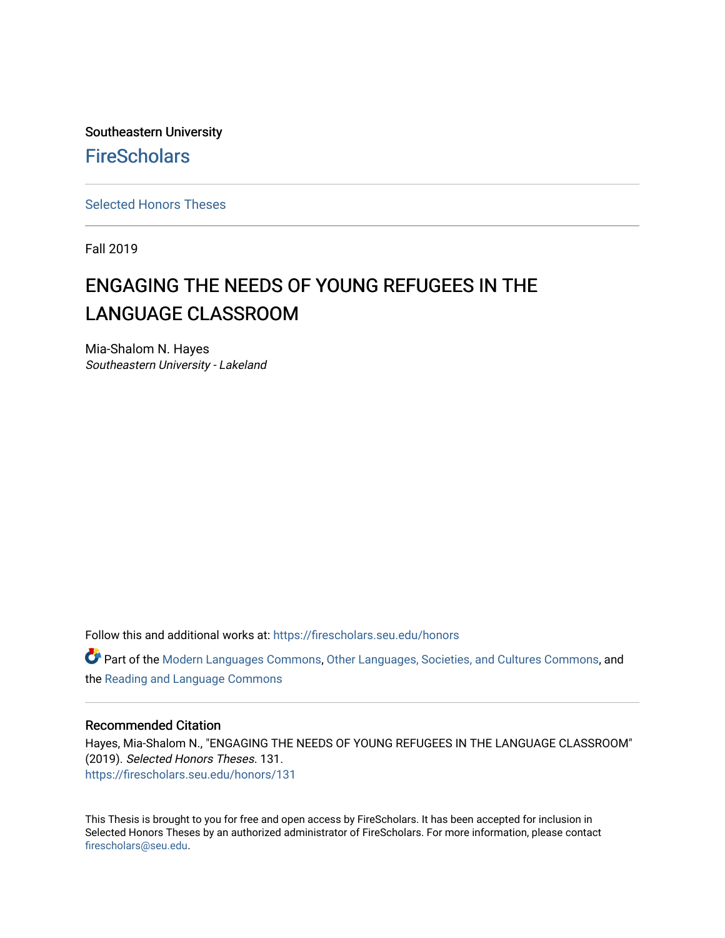Southeastern University **FireScholars** 

[Selected Honors Theses](https://firescholars.seu.edu/honors)

Fall 2019

# ENGAGING THE NEEDS OF YOUNG REFUGEES IN THE LANGUAGE CLASSROOM

Mia-Shalom N. Hayes Southeastern University - Lakeland

Follow this and additional works at: [https://firescholars.seu.edu/honors](https://firescholars.seu.edu/honors?utm_source=firescholars.seu.edu%2Fhonors%2F131&utm_medium=PDF&utm_campaign=PDFCoverPages)

Part of the [Modern Languages Commons,](http://network.bepress.com/hgg/discipline/1130?utm_source=firescholars.seu.edu%2Fhonors%2F131&utm_medium=PDF&utm_campaign=PDFCoverPages) [Other Languages, Societies, and Cultures Commons](http://network.bepress.com/hgg/discipline/475?utm_source=firescholars.seu.edu%2Fhonors%2F131&utm_medium=PDF&utm_campaign=PDFCoverPages), and the [Reading and Language Commons](http://network.bepress.com/hgg/discipline/1037?utm_source=firescholars.seu.edu%2Fhonors%2F131&utm_medium=PDF&utm_campaign=PDFCoverPages) 

# Recommended Citation

Hayes, Mia-Shalom N., "ENGAGING THE NEEDS OF YOUNG REFUGEES IN THE LANGUAGE CLASSROOM" (2019). Selected Honors Theses. 131. [https://firescholars.seu.edu/honors/131](https://firescholars.seu.edu/honors/131?utm_source=firescholars.seu.edu%2Fhonors%2F131&utm_medium=PDF&utm_campaign=PDFCoverPages)

This Thesis is brought to you for free and open access by FireScholars. It has been accepted for inclusion in Selected Honors Theses by an authorized administrator of FireScholars. For more information, please contact [firescholars@seu.edu.](mailto:firescholars@seu.edu)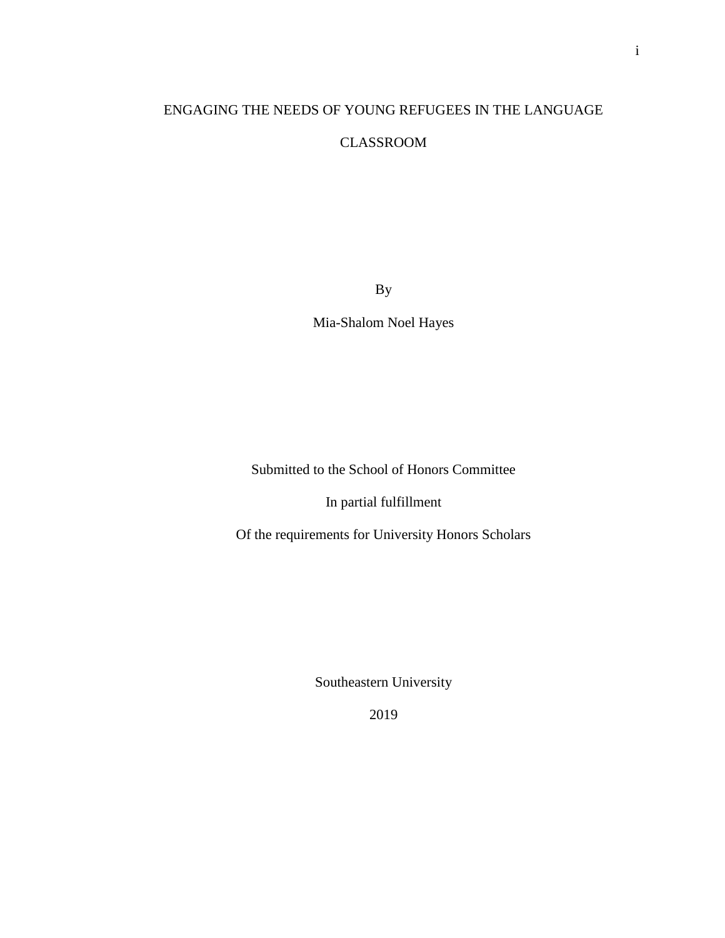# ENGAGING THE NEEDS OF YOUNG REFUGEES IN THE LANGUAGE

# CLASSROOM

By

Mia-Shalom Noel Hayes

Submitted to the School of Honors Committee

In partial fulfillment

Of the requirements for University Honors Scholars

Southeastern University

2019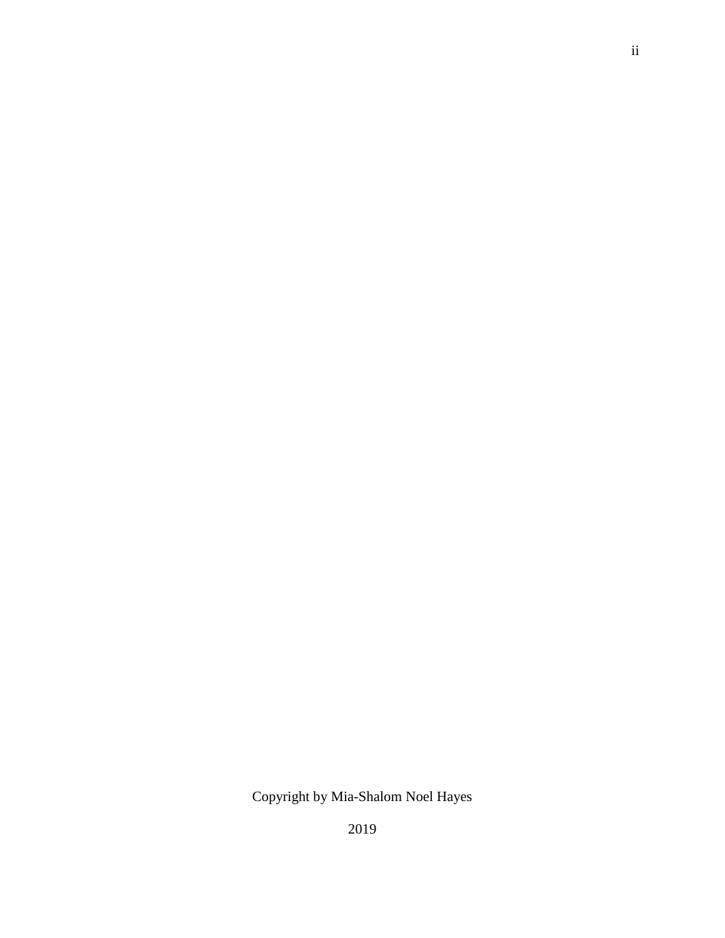# Copyright by Mia-Shalom Noel Hayes

2019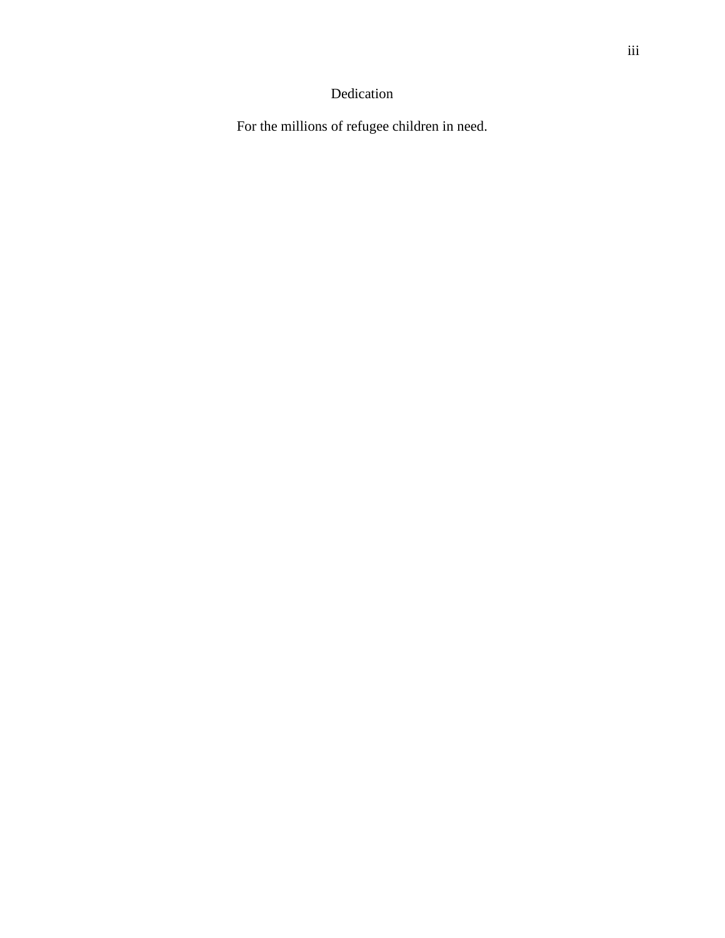# Dedication

For the millions of refugee children in need.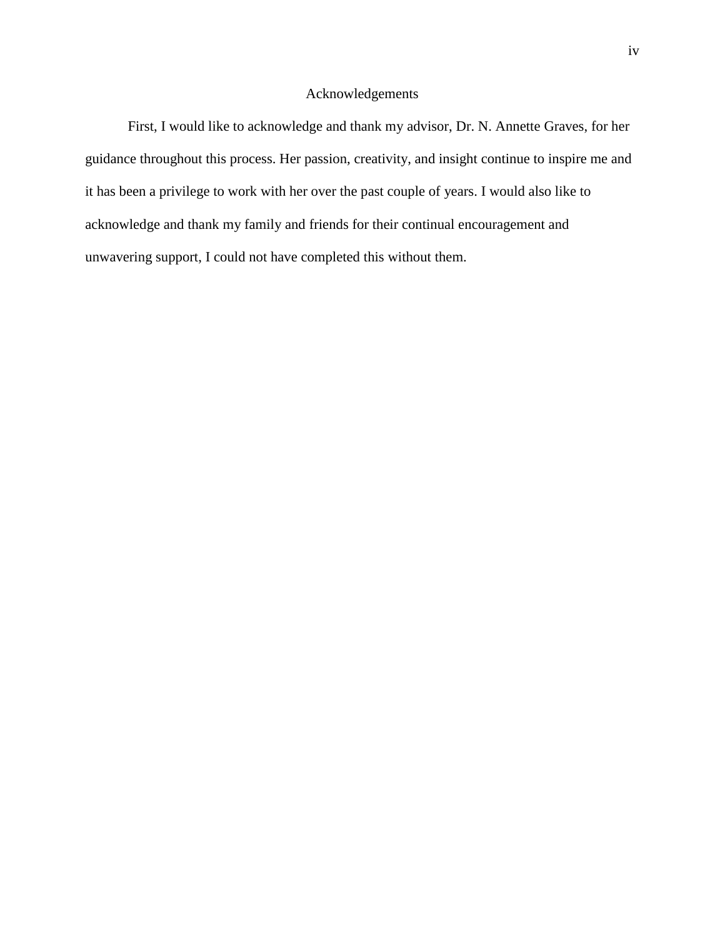# Acknowledgements

First, I would like to acknowledge and thank my advisor, Dr. N. Annette Graves, for her guidance throughout this process. Her passion, creativity, and insight continue to inspire me and it has been a privilege to work with her over the past couple of years. I would also like to acknowledge and thank my family and friends for their continual encouragement and unwavering support, I could not have completed this without them.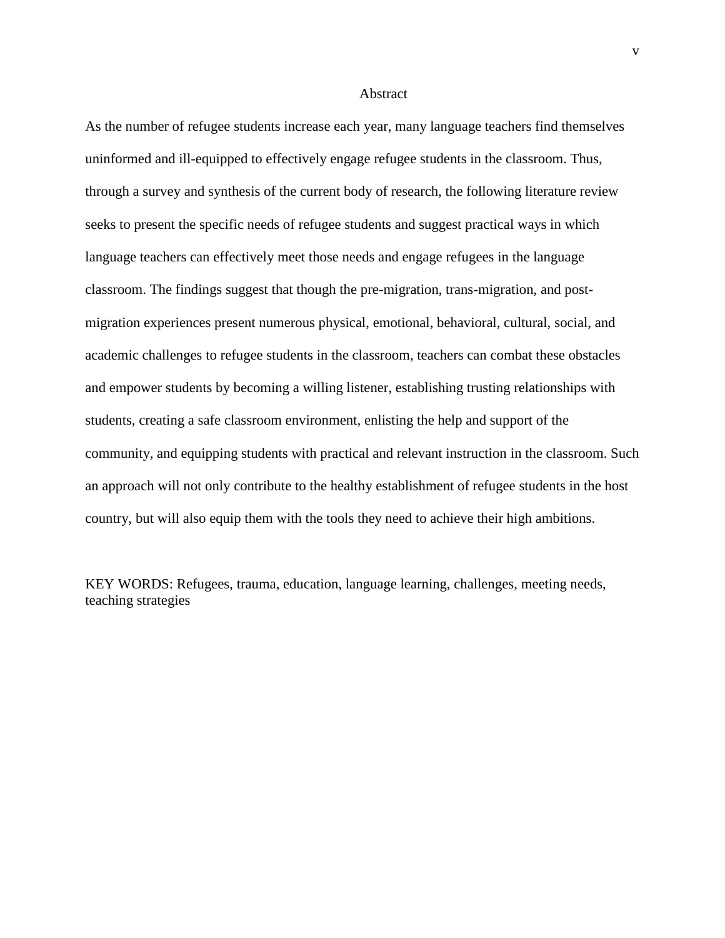#### Abstract

As the number of refugee students increase each year, many language teachers find themselves uninformed and ill-equipped to effectively engage refugee students in the classroom. Thus, through a survey and synthesis of the current body of research, the following literature review seeks to present the specific needs of refugee students and suggest practical ways in which language teachers can effectively meet those needs and engage refugees in the language classroom. The findings suggest that though the pre-migration, trans-migration, and postmigration experiences present numerous physical, emotional, behavioral, cultural, social, and academic challenges to refugee students in the classroom, teachers can combat these obstacles and empower students by becoming a willing listener, establishing trusting relationships with students, creating a safe classroom environment, enlisting the help and support of the community, and equipping students with practical and relevant instruction in the classroom. Such an approach will not only contribute to the healthy establishment of refugee students in the host country, but will also equip them with the tools they need to achieve their high ambitions.

KEY WORDS: Refugees, trauma, education, language learning, challenges, meeting needs, teaching strategies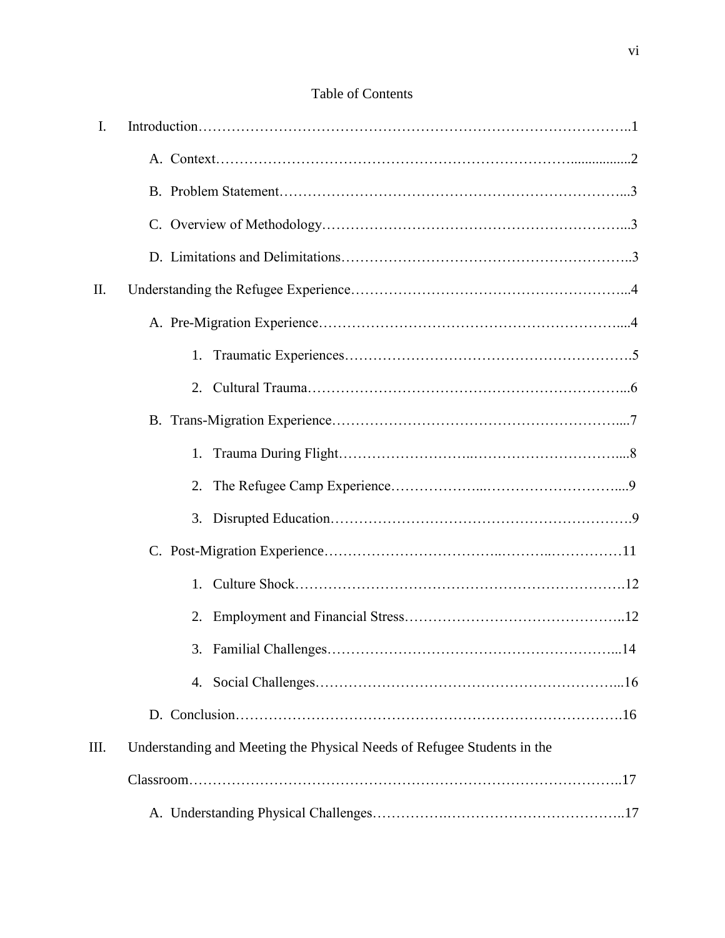# Table of Contents

| I.  |                                                                         |
|-----|-------------------------------------------------------------------------|
|     |                                                                         |
|     |                                                                         |
|     |                                                                         |
|     |                                                                         |
| II. |                                                                         |
|     |                                                                         |
|     | 1.                                                                      |
|     |                                                                         |
|     |                                                                         |
|     | 1.                                                                      |
|     | 2.                                                                      |
|     |                                                                         |
|     |                                                                         |
|     | 1.                                                                      |
|     | 2.                                                                      |
|     |                                                                         |
|     |                                                                         |
|     |                                                                         |
| Ш.  | Understanding and Meeting the Physical Needs of Refugee Students in the |
|     |                                                                         |
|     |                                                                         |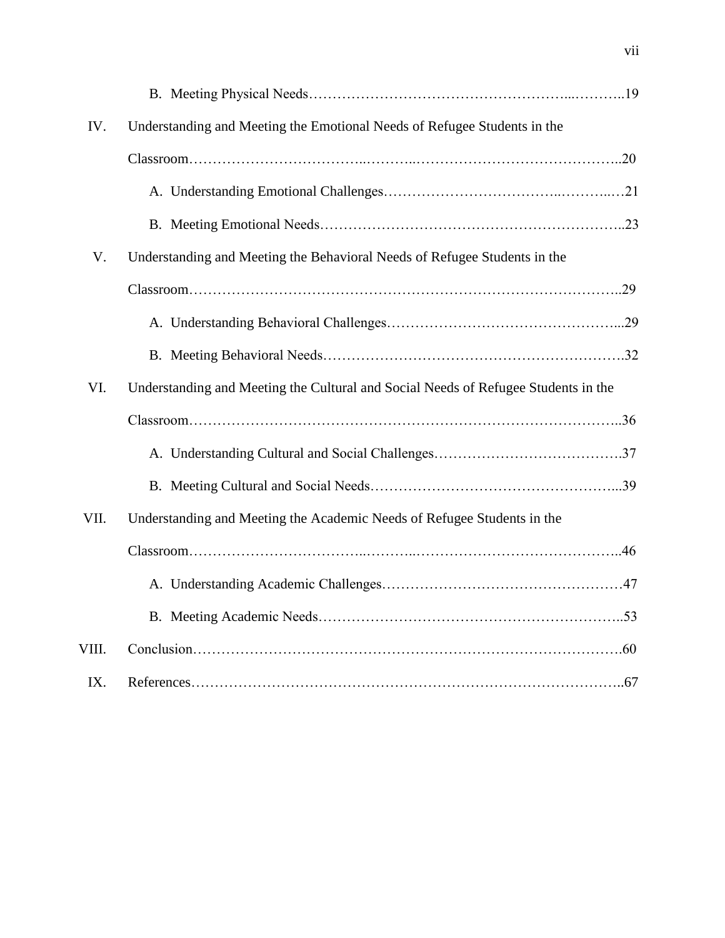| IV.   | Understanding and Meeting the Emotional Needs of Refugee Students in the           |  |
|-------|------------------------------------------------------------------------------------|--|
|       |                                                                                    |  |
|       |                                                                                    |  |
|       |                                                                                    |  |
| V.    | Understanding and Meeting the Behavioral Needs of Refugee Students in the          |  |
|       |                                                                                    |  |
|       |                                                                                    |  |
|       |                                                                                    |  |
| VI.   | Understanding and Meeting the Cultural and Social Needs of Refugee Students in the |  |
|       |                                                                                    |  |
|       |                                                                                    |  |
|       |                                                                                    |  |
| VII.  | Understanding and Meeting the Academic Needs of Refugee Students in the            |  |
|       |                                                                                    |  |
|       |                                                                                    |  |
|       |                                                                                    |  |
| VIII. |                                                                                    |  |
| IX.   |                                                                                    |  |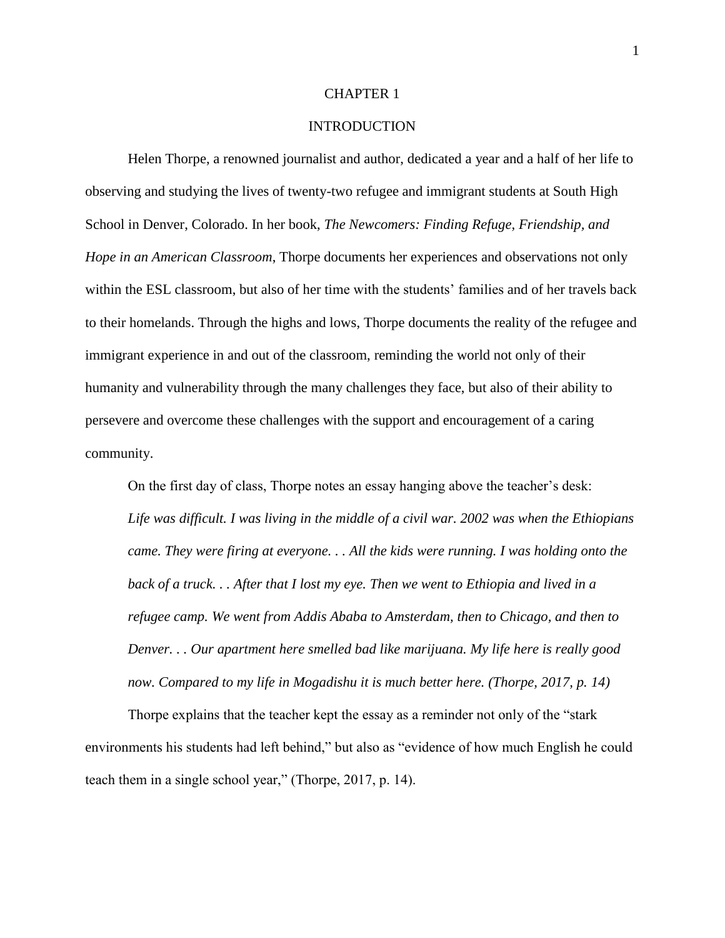#### CHAPTER 1

# **INTRODUCTION**

Helen Thorpe, a renowned journalist and author, dedicated a year and a half of her life to observing and studying the lives of twenty-two refugee and immigrant students at South High School in Denver, Colorado. In her book, *The Newcomers: Finding Refuge, Friendship, and Hope in an American Classroom*, Thorpe documents her experiences and observations not only within the ESL classroom, but also of her time with the students' families and of her travels back to their homelands. Through the highs and lows, Thorpe documents the reality of the refugee and immigrant experience in and out of the classroom, reminding the world not only of their humanity and vulnerability through the many challenges they face, but also of their ability to persevere and overcome these challenges with the support and encouragement of a caring community.

On the first day of class, Thorpe notes an essay hanging above the teacher's desk: *Life was difficult. I was living in the middle of a civil war. 2002 was when the Ethiopians came. They were firing at everyone. . . All the kids were running. I was holding onto the back of a truck. . . After that I lost my eye. Then we went to Ethiopia and lived in a refugee camp. We went from Addis Ababa to Amsterdam, then to Chicago, and then to Denver. . . Our apartment here smelled bad like marijuana. My life here is really good now. Compared to my life in Mogadishu it is much better here. (Thorpe, 2017, p. 14)*

Thorpe explains that the teacher kept the essay as a reminder not only of the "stark environments his students had left behind," but also as "evidence of how much English he could teach them in a single school year," (Thorpe, 2017, p. 14).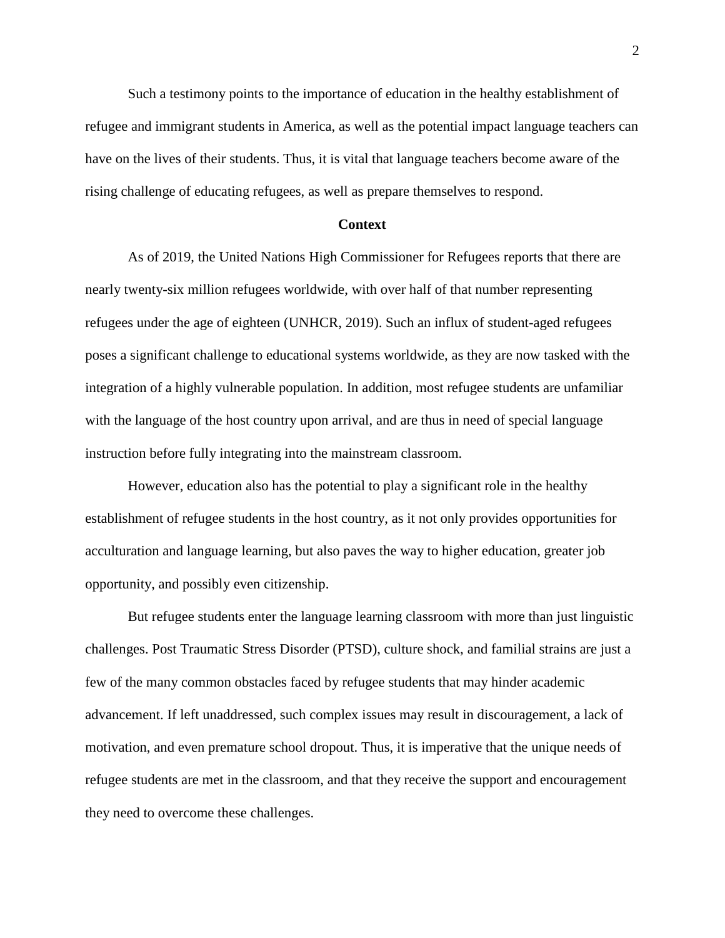Such a testimony points to the importance of education in the healthy establishment of refugee and immigrant students in America, as well as the potential impact language teachers can have on the lives of their students. Thus, it is vital that language teachers become aware of the rising challenge of educating refugees, as well as prepare themselves to respond.

# **Context**

As of 2019, the United Nations High Commissioner for Refugees reports that there are nearly twenty-six million refugees worldwide, with over half of that number representing refugees under the age of eighteen (UNHCR, 2019). Such an influx of student-aged refugees poses a significant challenge to educational systems worldwide, as they are now tasked with the integration of a highly vulnerable population. In addition, most refugee students are unfamiliar with the language of the host country upon arrival, and are thus in need of special language instruction before fully integrating into the mainstream classroom.

However, education also has the potential to play a significant role in the healthy establishment of refugee students in the host country, as it not only provides opportunities for acculturation and language learning, but also paves the way to higher education, greater job opportunity, and possibly even citizenship.

But refugee students enter the language learning classroom with more than just linguistic challenges. Post Traumatic Stress Disorder (PTSD), culture shock, and familial strains are just a few of the many common obstacles faced by refugee students that may hinder academic advancement. If left unaddressed, such complex issues may result in discouragement, a lack of motivation, and even premature school dropout. Thus, it is imperative that the unique needs of refugee students are met in the classroom, and that they receive the support and encouragement they need to overcome these challenges.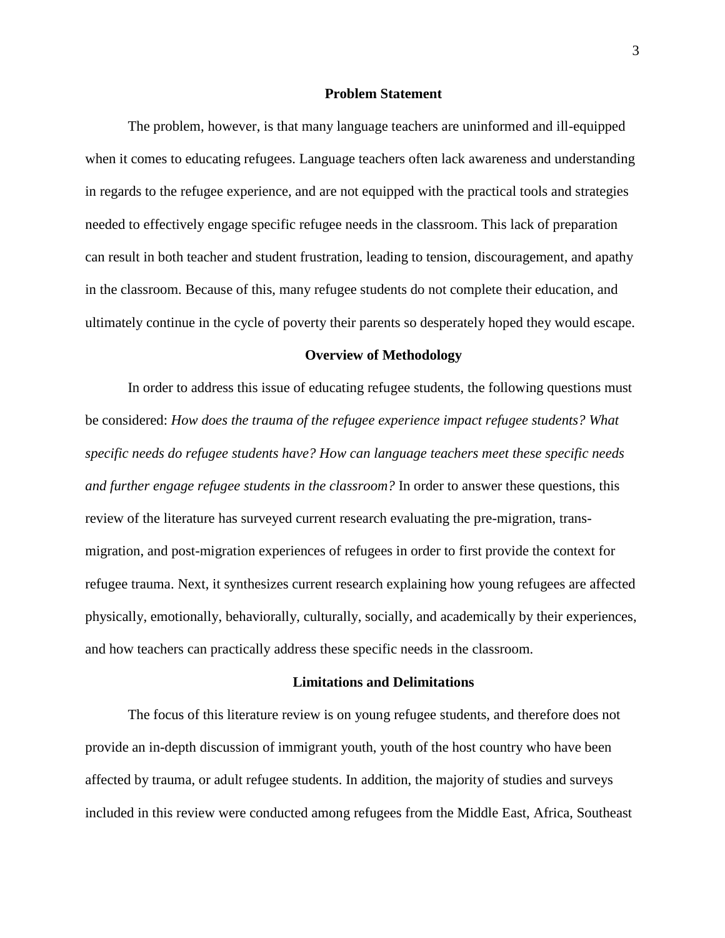#### **Problem Statement**

The problem, however, is that many language teachers are uninformed and ill-equipped when it comes to educating refugees. Language teachers often lack awareness and understanding in regards to the refugee experience, and are not equipped with the practical tools and strategies needed to effectively engage specific refugee needs in the classroom. This lack of preparation can result in both teacher and student frustration, leading to tension, discouragement, and apathy in the classroom. Because of this, many refugee students do not complete their education, and ultimately continue in the cycle of poverty their parents so desperately hoped they would escape.

### **Overview of Methodology**

In order to address this issue of educating refugee students, the following questions must be considered: *How does the trauma of the refugee experience impact refugee students? What specific needs do refugee students have? How can language teachers meet these specific needs and further engage refugee students in the classroom?* In order to answer these questions, this review of the literature has surveyed current research evaluating the pre-migration, transmigration, and post-migration experiences of refugees in order to first provide the context for refugee trauma. Next, it synthesizes current research explaining how young refugees are affected physically, emotionally, behaviorally, culturally, socially, and academically by their experiences, and how teachers can practically address these specific needs in the classroom.

### **Limitations and Delimitations**

The focus of this literature review is on young refugee students, and therefore does not provide an in-depth discussion of immigrant youth, youth of the host country who have been affected by trauma, or adult refugee students. In addition, the majority of studies and surveys included in this review were conducted among refugees from the Middle East, Africa, Southeast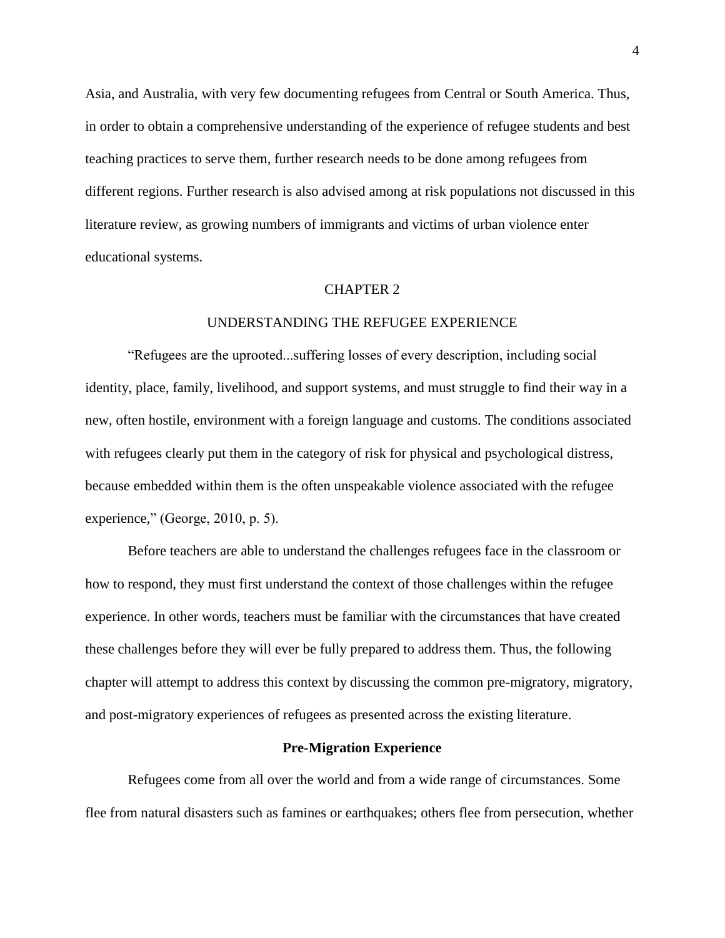Asia, and Australia, with very few documenting refugees from Central or South America. Thus, in order to obtain a comprehensive understanding of the experience of refugee students and best teaching practices to serve them, further research needs to be done among refugees from different regions. Further research is also advised among at risk populations not discussed in this literature review, as growing numbers of immigrants and victims of urban violence enter educational systems.

#### CHAPTER 2

## UNDERSTANDING THE REFUGEE EXPERIENCE

"Refugees are the uprooted...suffering losses of every description, including social identity, place, family, livelihood, and support systems, and must struggle to find their way in a new, often hostile, environment with a foreign language and customs. The conditions associated with refugees clearly put them in the category of risk for physical and psychological distress, because embedded within them is the often unspeakable violence associated with the refugee experience," (George, 2010, p. 5).

Before teachers are able to understand the challenges refugees face in the classroom or how to respond, they must first understand the context of those challenges within the refugee experience. In other words, teachers must be familiar with the circumstances that have created these challenges before they will ever be fully prepared to address them. Thus, the following chapter will attempt to address this context by discussing the common pre-migratory, migratory, and post-migratory experiences of refugees as presented across the existing literature.

#### **Pre-Migration Experience**

Refugees come from all over the world and from a wide range of circumstances. Some flee from natural disasters such as famines or earthquakes; others flee from persecution, whether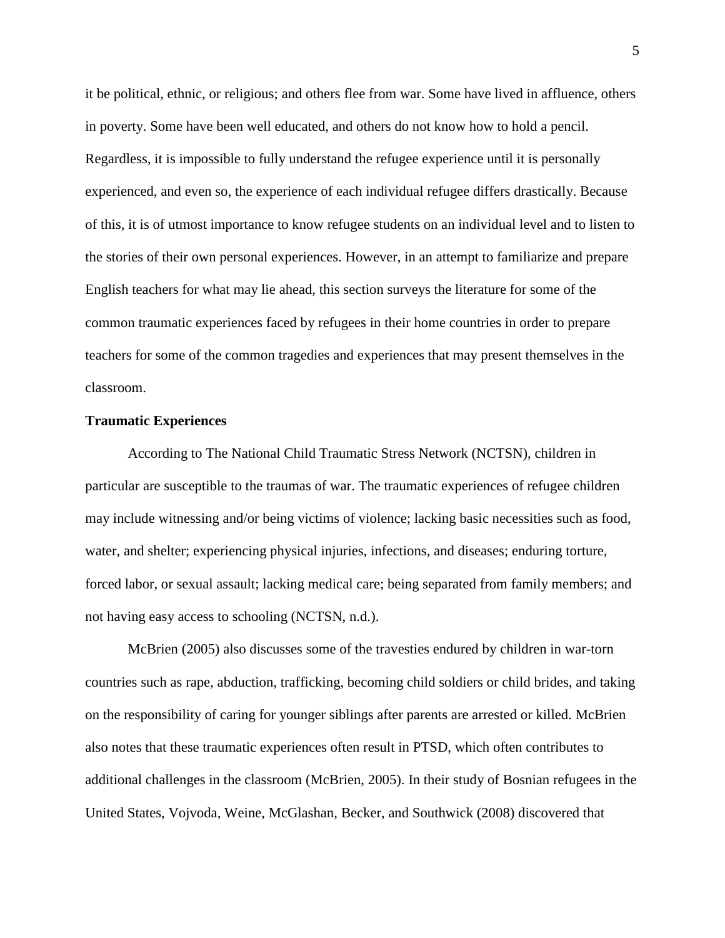it be political, ethnic, or religious; and others flee from war. Some have lived in affluence, others in poverty. Some have been well educated, and others do not know how to hold a pencil. Regardless, it is impossible to fully understand the refugee experience until it is personally experienced, and even so, the experience of each individual refugee differs drastically. Because of this, it is of utmost importance to know refugee students on an individual level and to listen to the stories of their own personal experiences. However, in an attempt to familiarize and prepare English teachers for what may lie ahead, this section surveys the literature for some of the common traumatic experiences faced by refugees in their home countries in order to prepare teachers for some of the common tragedies and experiences that may present themselves in the classroom.

# **Traumatic Experiences**

According to The National Child Traumatic Stress Network (NCTSN), children in particular are susceptible to the traumas of war. The traumatic experiences of refugee children may include witnessing and/or being victims of violence; lacking basic necessities such as food, water, and shelter; experiencing physical injuries, infections, and diseases; enduring torture, forced labor, or sexual assault; lacking medical care; being separated from family members; and not having easy access to schooling (NCTSN, n.d.).

McBrien (2005) also discusses some of the travesties endured by children in war-torn countries such as rape, abduction, trafficking, becoming child soldiers or child brides, and taking on the responsibility of caring for younger siblings after parents are arrested or killed. McBrien also notes that these traumatic experiences often result in PTSD, which often contributes to additional challenges in the classroom (McBrien, 2005). In their study of Bosnian refugees in the United States, Vojvoda, Weine, McGlashan, Becker, and Southwick (2008) discovered that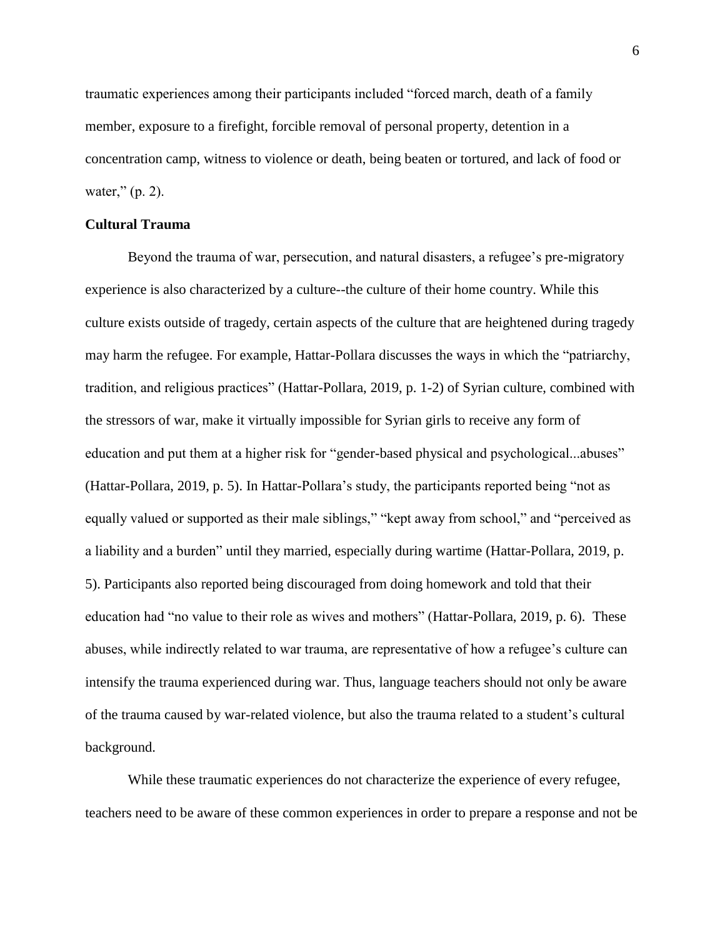traumatic experiences among their participants included "forced march, death of a family member, exposure to a firefight, forcible removal of personal property, detention in a concentration camp, witness to violence or death, being beaten or tortured, and lack of food or water," (p. 2).

# **Cultural Trauma**

Beyond the trauma of war, persecution, and natural disasters, a refugee's pre-migratory experience is also characterized by a culture--the culture of their home country. While this culture exists outside of tragedy, certain aspects of the culture that are heightened during tragedy may harm the refugee. For example, Hattar-Pollara discusses the ways in which the "patriarchy, tradition, and religious practices" (Hattar-Pollara, 2019, p. 1-2) of Syrian culture, combined with the stressors of war, make it virtually impossible for Syrian girls to receive any form of education and put them at a higher risk for "gender-based physical and psychological...abuses" (Hattar-Pollara, 2019, p. 5). In Hattar-Pollara's study, the participants reported being "not as equally valued or supported as their male siblings," "kept away from school," and "perceived as a liability and a burden" until they married, especially during wartime (Hattar-Pollara, 2019, p. 5). Participants also reported being discouraged from doing homework and told that their education had "no value to their role as wives and mothers" (Hattar-Pollara, 2019, p. 6). These abuses, while indirectly related to war trauma, are representative of how a refugee's culture can intensify the trauma experienced during war. Thus, language teachers should not only be aware of the trauma caused by war-related violence, but also the trauma related to a student's cultural background.

While these traumatic experiences do not characterize the experience of every refugee, teachers need to be aware of these common experiences in order to prepare a response and not be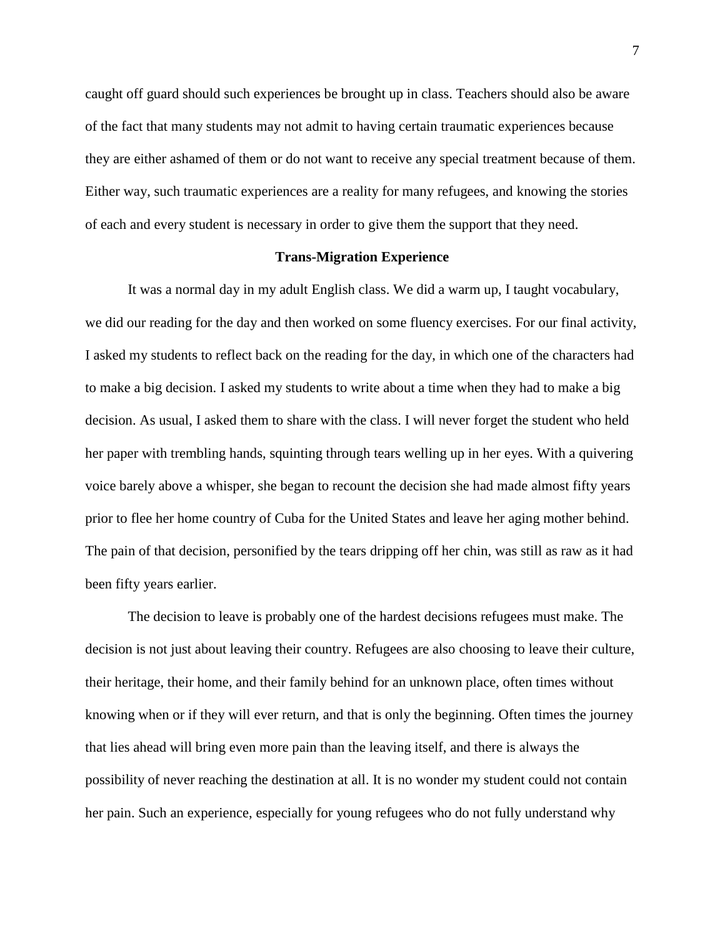caught off guard should such experiences be brought up in class. Teachers should also be aware of the fact that many students may not admit to having certain traumatic experiences because they are either ashamed of them or do not want to receive any special treatment because of them. Either way, such traumatic experiences are a reality for many refugees, and knowing the stories of each and every student is necessary in order to give them the support that they need.

# **Trans-Migration Experience**

It was a normal day in my adult English class. We did a warm up, I taught vocabulary, we did our reading for the day and then worked on some fluency exercises. For our final activity, I asked my students to reflect back on the reading for the day, in which one of the characters had to make a big decision. I asked my students to write about a time when they had to make a big decision. As usual, I asked them to share with the class. I will never forget the student who held her paper with trembling hands, squinting through tears welling up in her eyes. With a quivering voice barely above a whisper, she began to recount the decision she had made almost fifty years prior to flee her home country of Cuba for the United States and leave her aging mother behind. The pain of that decision, personified by the tears dripping off her chin, was still as raw as it had been fifty years earlier.

The decision to leave is probably one of the hardest decisions refugees must make. The decision is not just about leaving their country. Refugees are also choosing to leave their culture, their heritage, their home, and their family behind for an unknown place, often times without knowing when or if they will ever return, and that is only the beginning. Often times the journey that lies ahead will bring even more pain than the leaving itself, and there is always the possibility of never reaching the destination at all. It is no wonder my student could not contain her pain. Such an experience, especially for young refugees who do not fully understand why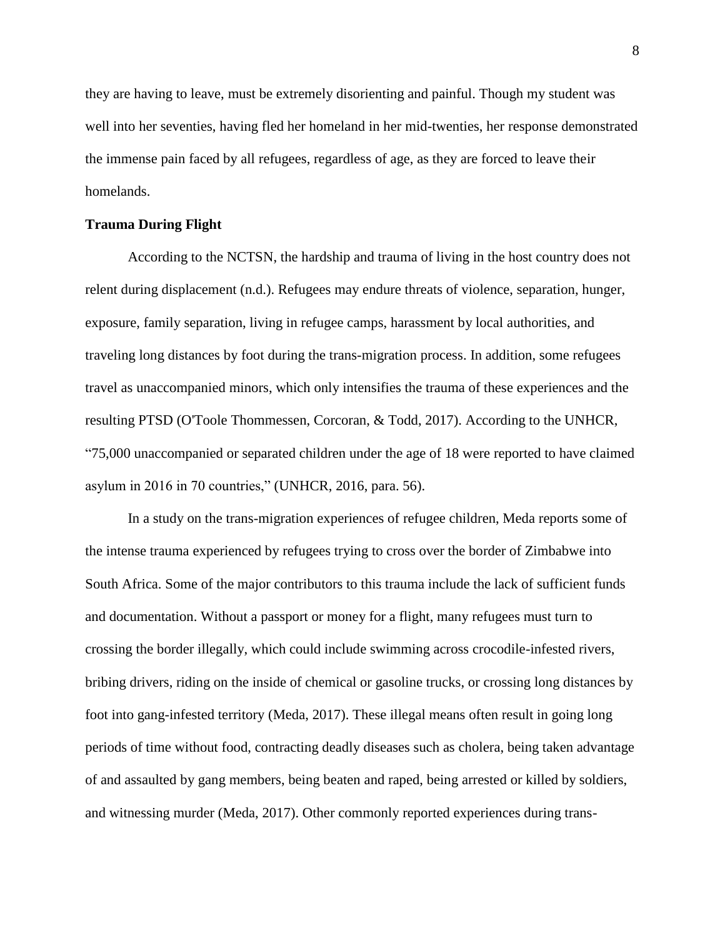they are having to leave, must be extremely disorienting and painful. Though my student was well into her seventies, having fled her homeland in her mid-twenties, her response demonstrated the immense pain faced by all refugees, regardless of age, as they are forced to leave their homelands.

# **Trauma During Flight**

According to the NCTSN, the hardship and trauma of living in the host country does not relent during displacement (n.d.). Refugees may endure threats of violence, separation, hunger, exposure, family separation, living in refugee camps, harassment by local authorities, and traveling long distances by foot during the trans-migration process. In addition, some refugees travel as unaccompanied minors, which only intensifies the trauma of these experiences and the resulting PTSD (O'Toole Thommessen, Corcoran, & Todd, 2017). According to the UNHCR, "75,000 unaccompanied or separated children under the age of 18 were reported to have claimed asylum in 2016 in 70 countries," (UNHCR, 2016, para. 56).

In a study on the trans-migration experiences of refugee children, Meda reports some of the intense trauma experienced by refugees trying to cross over the border of Zimbabwe into South Africa. Some of the major contributors to this trauma include the lack of sufficient funds and documentation. Without a passport or money for a flight, many refugees must turn to crossing the border illegally, which could include swimming across crocodile-infested rivers, bribing drivers, riding on the inside of chemical or gasoline trucks, or crossing long distances by foot into gang-infested territory (Meda, 2017). These illegal means often result in going long periods of time without food, contracting deadly diseases such as cholera, being taken advantage of and assaulted by gang members, being beaten and raped, being arrested or killed by soldiers, and witnessing murder (Meda, 2017). Other commonly reported experiences during trans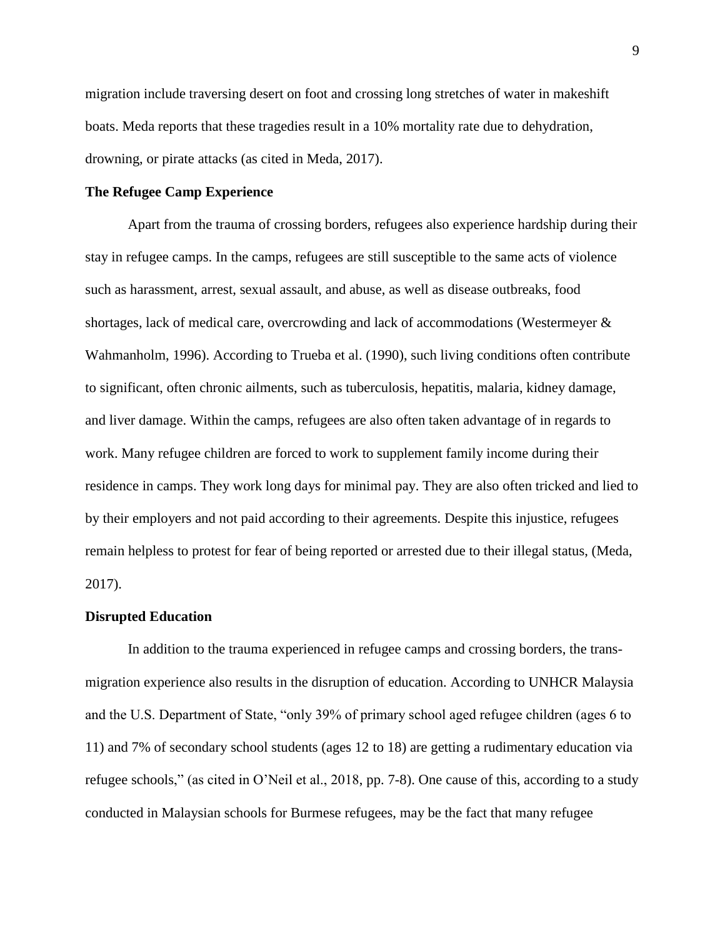migration include traversing desert on foot and crossing long stretches of water in makeshift boats. Meda reports that these tragedies result in a 10% mortality rate due to dehydration, drowning, or pirate attacks (as cited in Meda, 2017).

# **The Refugee Camp Experience**

Apart from the trauma of crossing borders, refugees also experience hardship during their stay in refugee camps. In the camps, refugees are still susceptible to the same acts of violence such as harassment, arrest, sexual assault, and abuse, as well as disease outbreaks, food shortages, lack of medical care, overcrowding and lack of accommodations (Westermeyer & Wahmanholm, 1996). According to Trueba et al. (1990), such living conditions often contribute to significant, often chronic ailments, such as tuberculosis, hepatitis, malaria, kidney damage, and liver damage. Within the camps, refugees are also often taken advantage of in regards to work. Many refugee children are forced to work to supplement family income during their residence in camps. They work long days for minimal pay. They are also often tricked and lied to by their employers and not paid according to their agreements. Despite this injustice, refugees remain helpless to protest for fear of being reported or arrested due to their illegal status, (Meda, 2017).

#### **Disrupted Education**

In addition to the trauma experienced in refugee camps and crossing borders, the transmigration experience also results in the disruption of education. According to UNHCR Malaysia and the U.S. Department of State, "only 39% of primary school aged refugee children (ages 6 to 11) and 7% of secondary school students (ages 12 to 18) are getting a rudimentary education via refugee schools," (as cited in O'Neil et al., 2018, pp. 7-8). One cause of this, according to a study conducted in Malaysian schools for Burmese refugees, may be the fact that many refugee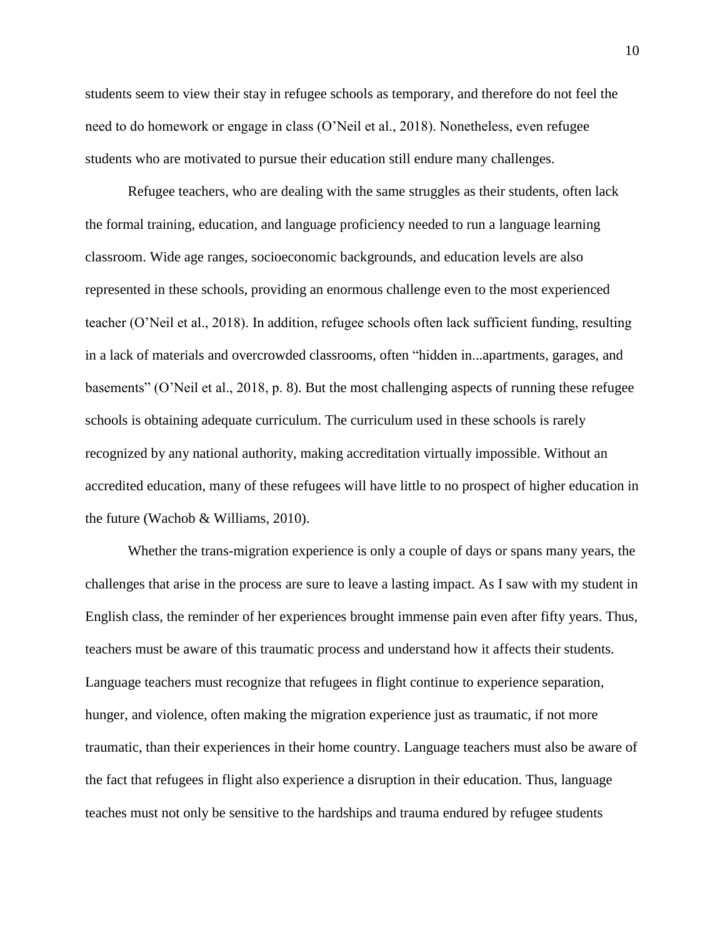students seem to view their stay in refugee schools as temporary, and therefore do not feel the need to do homework or engage in class (O'Neil et al., 2018). Nonetheless, even refugee students who are motivated to pursue their education still endure many challenges.

Refugee teachers, who are dealing with the same struggles as their students, often lack the formal training, education, and language proficiency needed to run a language learning classroom. Wide age ranges, socioeconomic backgrounds, and education levels are also represented in these schools, providing an enormous challenge even to the most experienced teacher (O'Neil et al., 2018). In addition, refugee schools often lack sufficient funding, resulting in a lack of materials and overcrowded classrooms, often "hidden in...apartments, garages, and basements" (O'Neil et al., 2018, p. 8). But the most challenging aspects of running these refugee schools is obtaining adequate curriculum. The curriculum used in these schools is rarely recognized by any national authority, making accreditation virtually impossible. Without an accredited education, many of these refugees will have little to no prospect of higher education in the future (Wachob & Williams, 2010).

Whether the trans-migration experience is only a couple of days or spans many years, the challenges that arise in the process are sure to leave a lasting impact. As I saw with my student in English class, the reminder of her experiences brought immense pain even after fifty years. Thus, teachers must be aware of this traumatic process and understand how it affects their students. Language teachers must recognize that refugees in flight continue to experience separation, hunger, and violence, often making the migration experience just as traumatic, if not more traumatic, than their experiences in their home country. Language teachers must also be aware of the fact that refugees in flight also experience a disruption in their education. Thus, language teaches must not only be sensitive to the hardships and trauma endured by refugee students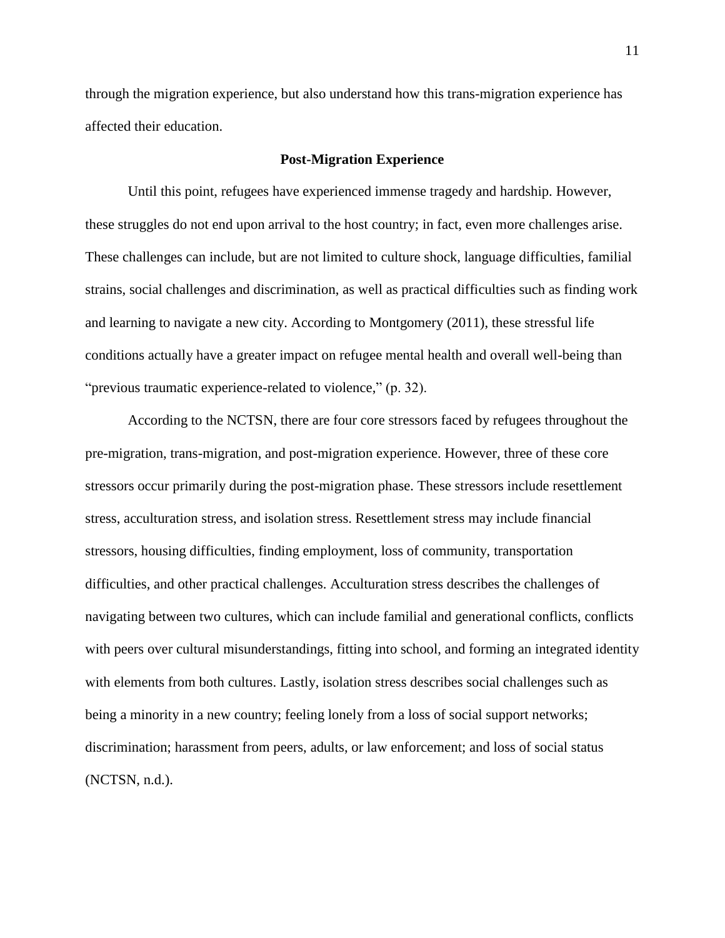through the migration experience, but also understand how this trans-migration experience has affected their education.

# **Post-Migration Experience**

Until this point, refugees have experienced immense tragedy and hardship. However, these struggles do not end upon arrival to the host country; in fact, even more challenges arise. These challenges can include, but are not limited to culture shock, language difficulties, familial strains, social challenges and discrimination, as well as practical difficulties such as finding work and learning to navigate a new city. According to Montgomery (2011), these stressful life conditions actually have a greater impact on refugee mental health and overall well-being than "previous traumatic experience-related to violence," (p. 32).

According to the NCTSN, there are four core stressors faced by refugees throughout the pre-migration, trans-migration, and post-migration experience. However, three of these core stressors occur primarily during the post-migration phase. These stressors include resettlement stress, acculturation stress, and isolation stress. Resettlement stress may include financial stressors, housing difficulties, finding employment, loss of community, transportation difficulties, and other practical challenges. Acculturation stress describes the challenges of navigating between two cultures, which can include familial and generational conflicts, conflicts with peers over cultural misunderstandings, fitting into school, and forming an integrated identity with elements from both cultures. Lastly, isolation stress describes social challenges such as being a minority in a new country; feeling lonely from a loss of social support networks; discrimination; harassment from peers, adults, or law enforcement; and loss of social status (NCTSN, n.d.).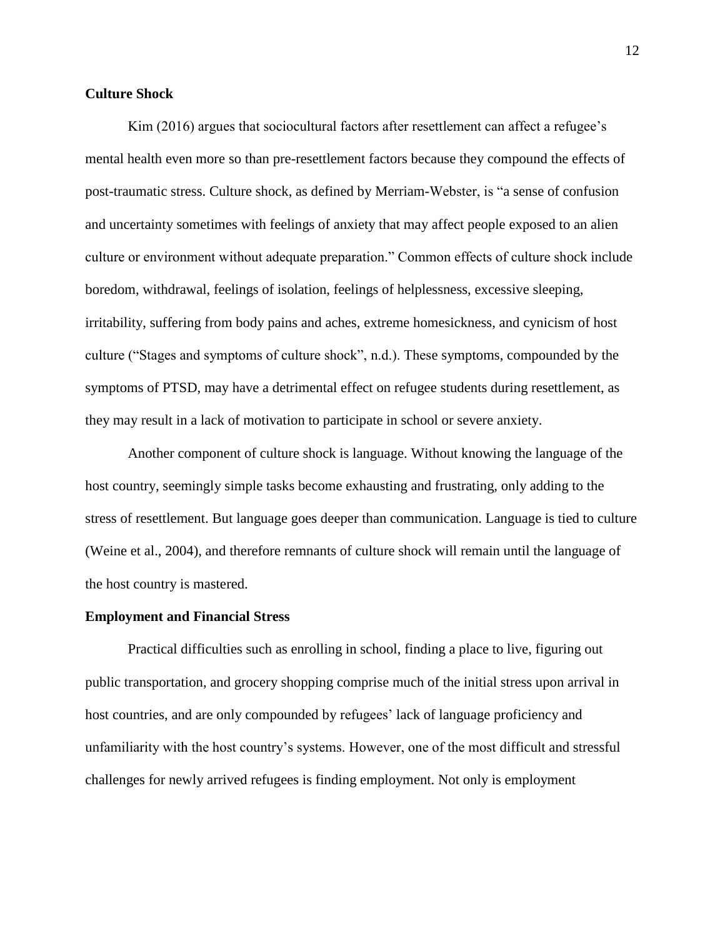# **Culture Shock**

Kim (2016) argues that sociocultural factors after resettlement can affect a refugee's mental health even more so than pre-resettlement factors because they compound the effects of post-traumatic stress. Culture shock, as defined by Merriam-Webster, is "a sense of confusion and uncertainty sometimes with feelings of anxiety that may affect people exposed to an alien culture or environment without adequate preparation." Common effects of culture shock include boredom, withdrawal, feelings of isolation, feelings of helplessness, excessive sleeping, irritability, suffering from body pains and aches, extreme homesickness, and cynicism of host culture ("Stages and symptoms of culture shock", n.d.). These symptoms, compounded by the symptoms of PTSD, may have a detrimental effect on refugee students during resettlement, as they may result in a lack of motivation to participate in school or severe anxiety.

Another component of culture shock is language. Without knowing the language of the host country, seemingly simple tasks become exhausting and frustrating, only adding to the stress of resettlement. But language goes deeper than communication. Language is tied to culture (Weine et al., 2004), and therefore remnants of culture shock will remain until the language of the host country is mastered.

# **Employment and Financial Stress**

Practical difficulties such as enrolling in school, finding a place to live, figuring out public transportation, and grocery shopping comprise much of the initial stress upon arrival in host countries, and are only compounded by refugees' lack of language proficiency and unfamiliarity with the host country's systems. However, one of the most difficult and stressful challenges for newly arrived refugees is finding employment. Not only is employment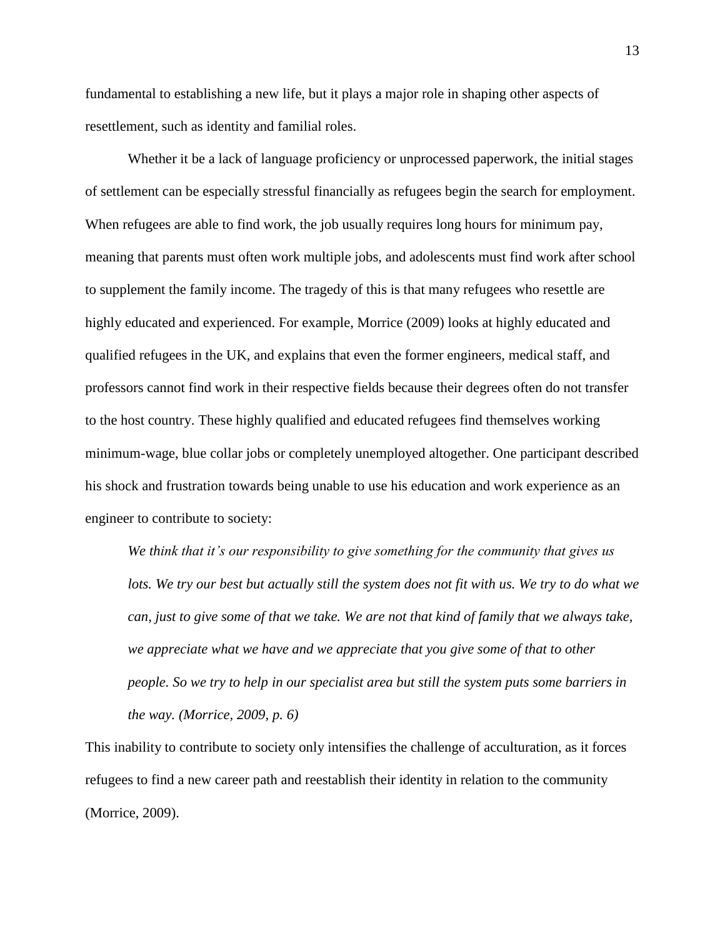fundamental to establishing a new life, but it plays a major role in shaping other aspects of resettlement, such as identity and familial roles.

Whether it be a lack of language proficiency or unprocessed paperwork, the initial stages of settlement can be especially stressful financially as refugees begin the search for employment. When refugees are able to find work, the job usually requires long hours for minimum pay, meaning that parents must often work multiple jobs, and adolescents must find work after school to supplement the family income. The tragedy of this is that many refugees who resettle are highly educated and experienced. For example, Morrice (2009) looks at highly educated and qualified refugees in the UK, and explains that even the former engineers, medical staff, and professors cannot find work in their respective fields because their degrees often do not transfer to the host country. These highly qualified and educated refugees find themselves working minimum-wage, blue collar jobs or completely unemployed altogether. One participant described his shock and frustration towards being unable to use his education and work experience as an engineer to contribute to society:

*We think that it's our responsibility to give something for the community that gives us*  lots. We try our best but actually still the system does not fit with us. We try to do what we *can, just to give some of that we take. We are not that kind of family that we always take, we appreciate what we have and we appreciate that you give some of that to other people. So we try to help in our specialist area but still the system puts some barriers in the way. (Morrice, 2009, p. 6)*

This inability to contribute to society only intensifies the challenge of acculturation, as it forces refugees to find a new career path and reestablish their identity in relation to the community (Morrice, 2009).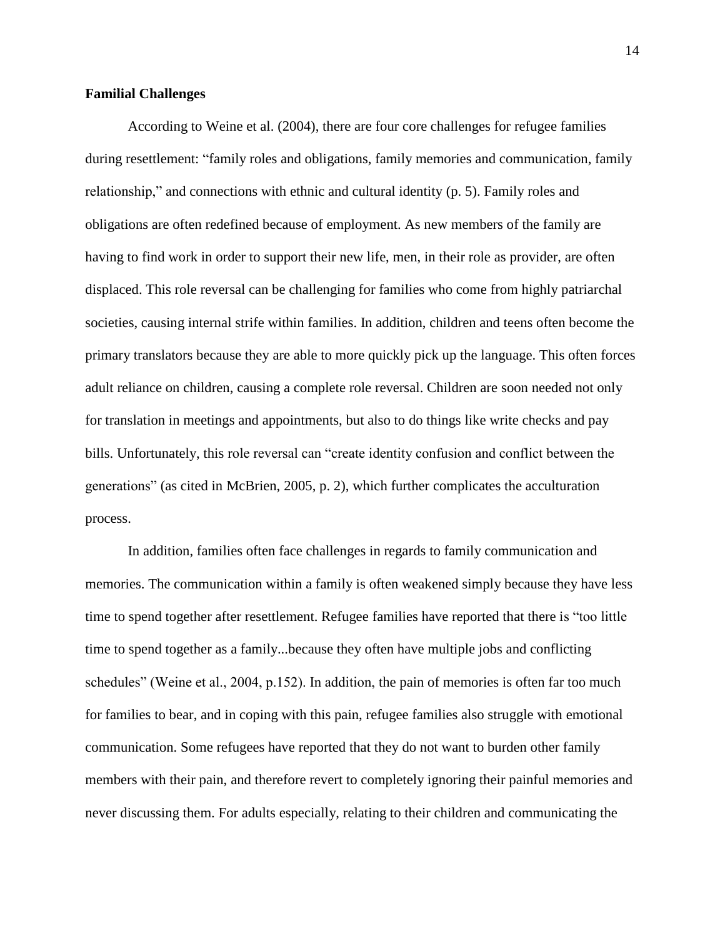# **Familial Challenges**

According to Weine et al. (2004), there are four core challenges for refugee families during resettlement: "family roles and obligations, family memories and communication, family relationship," and connections with ethnic and cultural identity (p. 5). Family roles and obligations are often redefined because of employment. As new members of the family are having to find work in order to support their new life, men, in their role as provider, are often displaced. This role reversal can be challenging for families who come from highly patriarchal societies, causing internal strife within families. In addition, children and teens often become the primary translators because they are able to more quickly pick up the language. This often forces adult reliance on children, causing a complete role reversal. Children are soon needed not only for translation in meetings and appointments, but also to do things like write checks and pay bills. Unfortunately, this role reversal can "create identity confusion and conflict between the generations" (as cited in McBrien, 2005, p. 2), which further complicates the acculturation process.

In addition, families often face challenges in regards to family communication and memories. The communication within a family is often weakened simply because they have less time to spend together after resettlement. Refugee families have reported that there is "too little time to spend together as a family...because they often have multiple jobs and conflicting schedules" (Weine et al., 2004, p.152). In addition, the pain of memories is often far too much for families to bear, and in coping with this pain, refugee families also struggle with emotional communication. Some refugees have reported that they do not want to burden other family members with their pain, and therefore revert to completely ignoring their painful memories and never discussing them. For adults especially, relating to their children and communicating the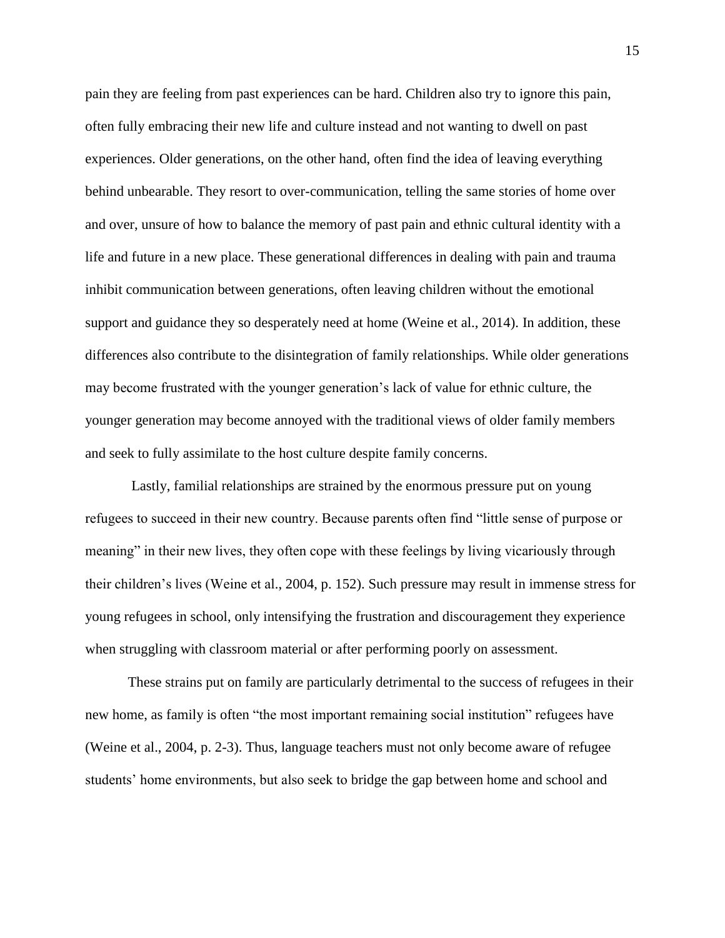pain they are feeling from past experiences can be hard. Children also try to ignore this pain, often fully embracing their new life and culture instead and not wanting to dwell on past experiences. Older generations, on the other hand, often find the idea of leaving everything behind unbearable. They resort to over-communication, telling the same stories of home over and over, unsure of how to balance the memory of past pain and ethnic cultural identity with a life and future in a new place. These generational differences in dealing with pain and trauma inhibit communication between generations, often leaving children without the emotional support and guidance they so desperately need at home (Weine et al., 2014). In addition, these differences also contribute to the disintegration of family relationships. While older generations may become frustrated with the younger generation's lack of value for ethnic culture, the younger generation may become annoyed with the traditional views of older family members and seek to fully assimilate to the host culture despite family concerns.

Lastly, familial relationships are strained by the enormous pressure put on young refugees to succeed in their new country. Because parents often find "little sense of purpose or meaning" in their new lives, they often cope with these feelings by living vicariously through their children's lives (Weine et al., 2004, p. 152). Such pressure may result in immense stress for young refugees in school, only intensifying the frustration and discouragement they experience when struggling with classroom material or after performing poorly on assessment.

These strains put on family are particularly detrimental to the success of refugees in their new home, as family is often "the most important remaining social institution" refugees have (Weine et al., 2004, p. 2-3). Thus, language teachers must not only become aware of refugee students' home environments, but also seek to bridge the gap between home and school and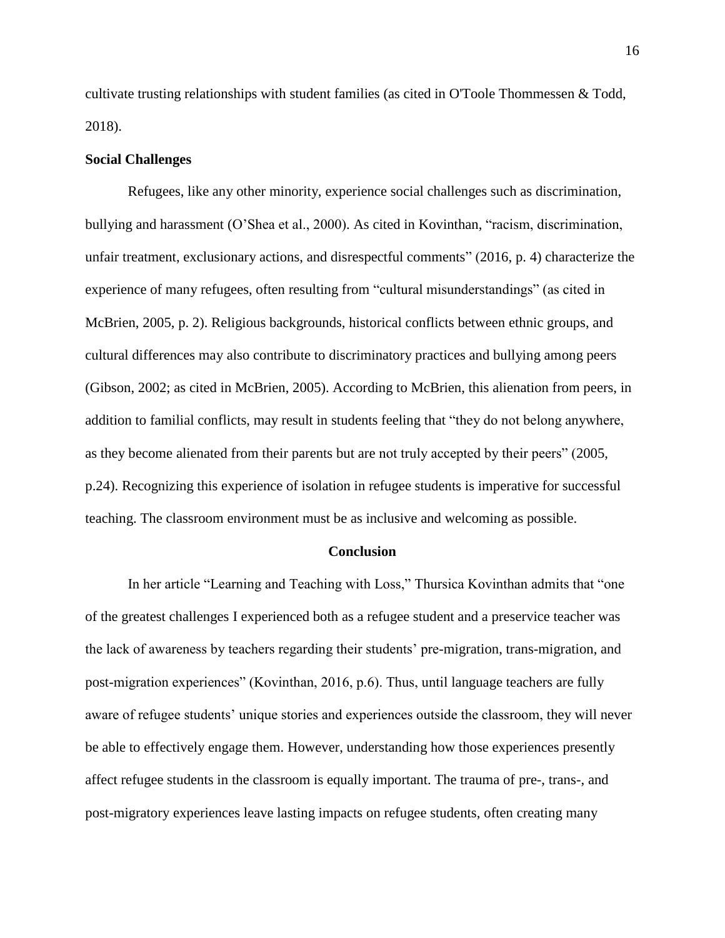cultivate trusting relationships with student families (as cited in O'Toole Thommessen & Todd, 2018).

# **Social Challenges**

Refugees, like any other minority, experience social challenges such as discrimination, bullying and harassment (O'Shea et al., 2000). As cited in Kovinthan, "racism, discrimination, unfair treatment, exclusionary actions, and disrespectful comments" (2016, p. 4) characterize the experience of many refugees, often resulting from "cultural misunderstandings" (as cited in McBrien, 2005, p. 2). Religious backgrounds, historical conflicts between ethnic groups, and cultural differences may also contribute to discriminatory practices and bullying among peers (Gibson, 2002; as cited in McBrien, 2005). According to McBrien, this alienation from peers, in addition to familial conflicts, may result in students feeling that "they do not belong anywhere, as they become alienated from their parents but are not truly accepted by their peers" (2005, p.24). Recognizing this experience of isolation in refugee students is imperative for successful teaching. The classroom environment must be as inclusive and welcoming as possible.

#### **Conclusion**

In her article "Learning and Teaching with Loss," Thursica Kovinthan admits that "one of the greatest challenges I experienced both as a refugee student and a preservice teacher was the lack of awareness by teachers regarding their students' pre-migration, trans-migration, and post-migration experiences" (Kovinthan, 2016, p.6). Thus, until language teachers are fully aware of refugee students' unique stories and experiences outside the classroom, they will never be able to effectively engage them. However, understanding how those experiences presently affect refugee students in the classroom is equally important. The trauma of pre-, trans-, and post-migratory experiences leave lasting impacts on refugee students, often creating many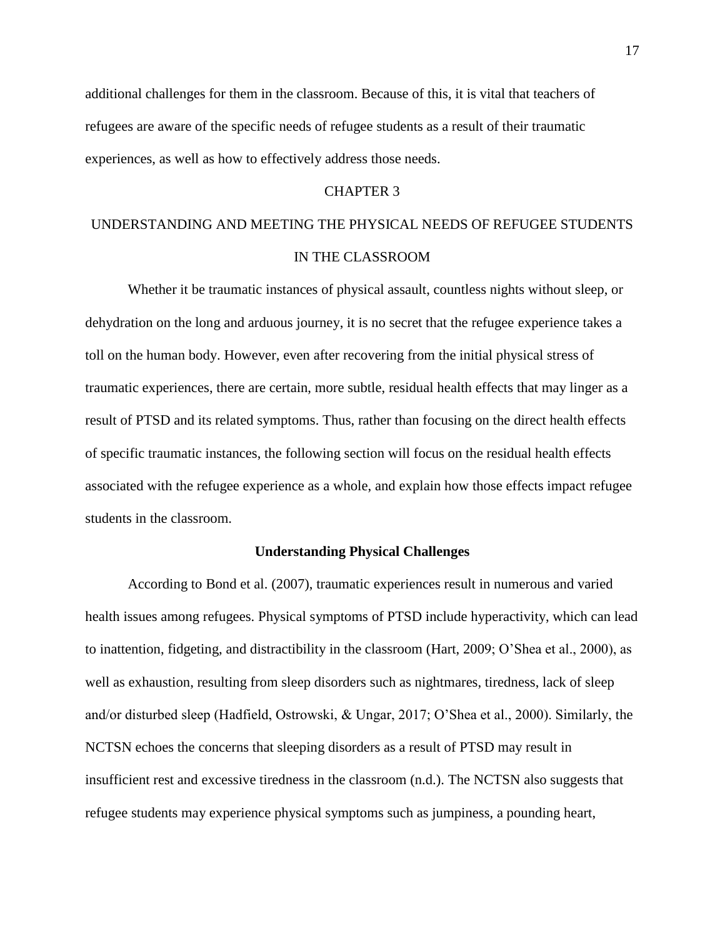additional challenges for them in the classroom. Because of this, it is vital that teachers of refugees are aware of the specific needs of refugee students as a result of their traumatic experiences, as well as how to effectively address those needs.

# CHAPTER 3

# UNDERSTANDING AND MEETING THE PHYSICAL NEEDS OF REFUGEE STUDENTS IN THE CLASSROOM

Whether it be traumatic instances of physical assault, countless nights without sleep, or dehydration on the long and arduous journey, it is no secret that the refugee experience takes a toll on the human body. However, even after recovering from the initial physical stress of traumatic experiences, there are certain, more subtle, residual health effects that may linger as a result of PTSD and its related symptoms. Thus, rather than focusing on the direct health effects of specific traumatic instances, the following section will focus on the residual health effects associated with the refugee experience as a whole, and explain how those effects impact refugee students in the classroom.

# **Understanding Physical Challenges**

According to Bond et al. (2007), traumatic experiences result in numerous and varied health issues among refugees. Physical symptoms of PTSD include hyperactivity, which can lead to inattention, fidgeting, and distractibility in the classroom (Hart, 2009; O'Shea et al., 2000), as well as exhaustion, resulting from sleep disorders such as nightmares, tiredness, lack of sleep and/or disturbed sleep (Hadfield, Ostrowski, & Ungar, 2017; O'Shea et al., 2000). Similarly, the NCTSN echoes the concerns that sleeping disorders as a result of PTSD may result in insufficient rest and excessive tiredness in the classroom (n.d.). The NCTSN also suggests that refugee students may experience physical symptoms such as jumpiness, a pounding heart,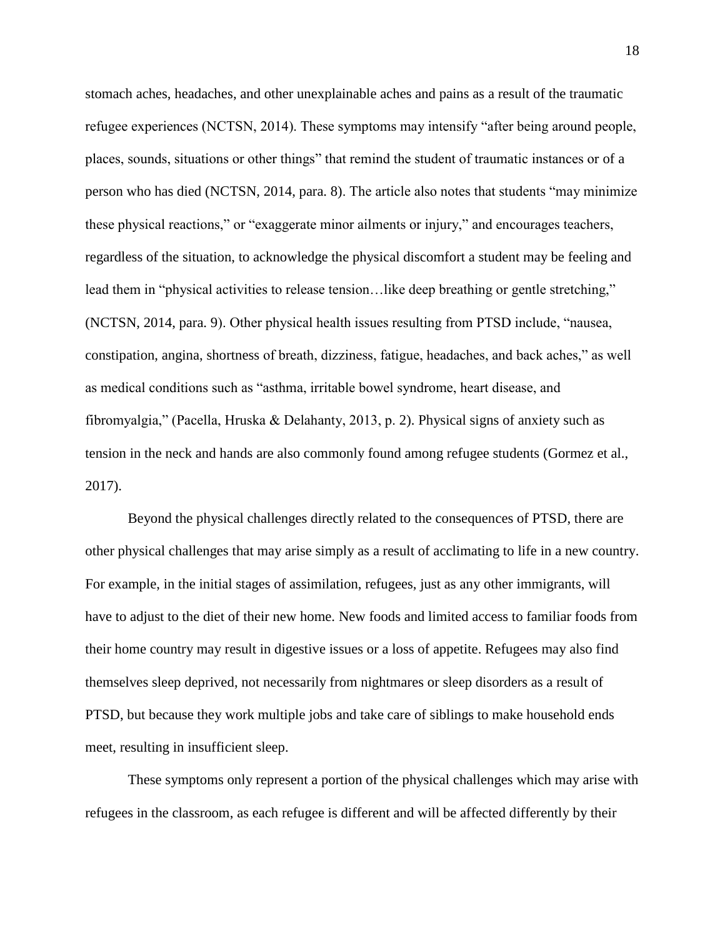stomach aches, headaches, and other unexplainable aches and pains as a result of the traumatic refugee experiences (NCTSN, 2014). These symptoms may intensify "after being around people, places, sounds, situations or other things" that remind the student of traumatic instances or of a person who has died (NCTSN, 2014, para. 8). The article also notes that students "may minimize these physical reactions," or "exaggerate minor ailments or injury," and encourages teachers, regardless of the situation, to acknowledge the physical discomfort a student may be feeling and lead them in "physical activities to release tension…like deep breathing or gentle stretching," (NCTSN, 2014, para. 9). Other physical health issues resulting from PTSD include, "nausea, constipation, angina, shortness of breath, dizziness, fatigue, headaches, and back aches," as well as medical conditions such as "asthma, irritable bowel syndrome, heart disease, and fibromyalgia," (Pacella, Hruska & Delahanty, 2013, p. 2). Physical signs of anxiety such as tension in the neck and hands are also commonly found among refugee students (Gormez et al., 2017).

Beyond the physical challenges directly related to the consequences of PTSD, there are other physical challenges that may arise simply as a result of acclimating to life in a new country. For example, in the initial stages of assimilation, refugees, just as any other immigrants, will have to adjust to the diet of their new home. New foods and limited access to familiar foods from their home country may result in digestive issues or a loss of appetite. Refugees may also find themselves sleep deprived, not necessarily from nightmares or sleep disorders as a result of PTSD, but because they work multiple jobs and take care of siblings to make household ends meet, resulting in insufficient sleep.

These symptoms only represent a portion of the physical challenges which may arise with refugees in the classroom, as each refugee is different and will be affected differently by their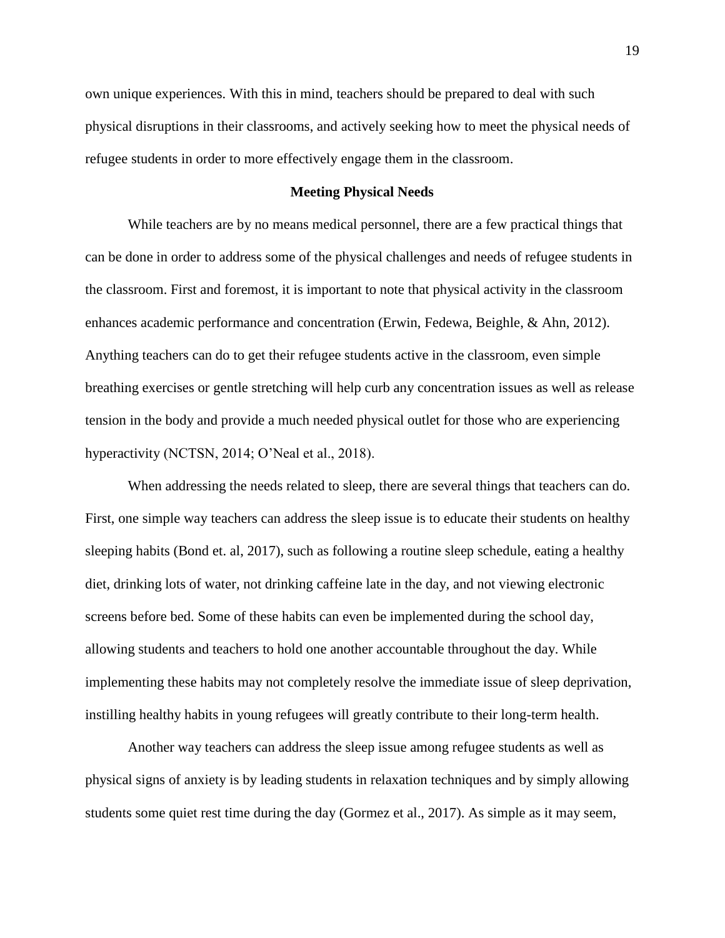own unique experiences. With this in mind, teachers should be prepared to deal with such physical disruptions in their classrooms, and actively seeking how to meet the physical needs of refugee students in order to more effectively engage them in the classroom.

# **Meeting Physical Needs**

While teachers are by no means medical personnel, there are a few practical things that can be done in order to address some of the physical challenges and needs of refugee students in the classroom. First and foremost, it is important to note that physical activity in the classroom enhances academic performance and concentration (Erwin, Fedewa, Beighle, & Ahn, 2012). Anything teachers can do to get their refugee students active in the classroom, even simple breathing exercises or gentle stretching will help curb any concentration issues as well as release tension in the body and provide a much needed physical outlet for those who are experiencing hyperactivity (NCTSN, 2014; O'Neal et al., 2018).

When addressing the needs related to sleep, there are several things that teachers can do. First, one simple way teachers can address the sleep issue is to educate their students on healthy sleeping habits (Bond et. al, 2017), such as following a routine sleep schedule, eating a healthy diet, drinking lots of water, not drinking caffeine late in the day, and not viewing electronic screens before bed. Some of these habits can even be implemented during the school day, allowing students and teachers to hold one another accountable throughout the day. While implementing these habits may not completely resolve the immediate issue of sleep deprivation, instilling healthy habits in young refugees will greatly contribute to their long-term health.

Another way teachers can address the sleep issue among refugee students as well as physical signs of anxiety is by leading students in relaxation techniques and by simply allowing students some quiet rest time during the day (Gormez et al., 2017). As simple as it may seem,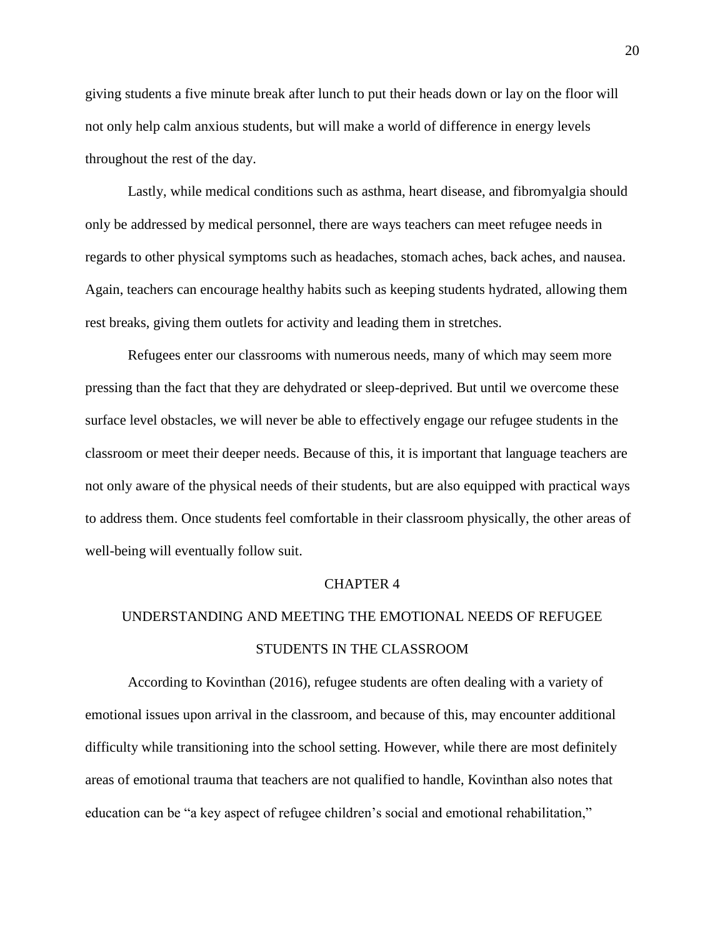giving students a five minute break after lunch to put their heads down or lay on the floor will not only help calm anxious students, but will make a world of difference in energy levels throughout the rest of the day.

Lastly, while medical conditions such as asthma, heart disease, and fibromyalgia should only be addressed by medical personnel, there are ways teachers can meet refugee needs in regards to other physical symptoms such as headaches, stomach aches, back aches, and nausea. Again, teachers can encourage healthy habits such as keeping students hydrated, allowing them rest breaks, giving them outlets for activity and leading them in stretches.

Refugees enter our classrooms with numerous needs, many of which may seem more pressing than the fact that they are dehydrated or sleep-deprived. But until we overcome these surface level obstacles, we will never be able to effectively engage our refugee students in the classroom or meet their deeper needs. Because of this, it is important that language teachers are not only aware of the physical needs of their students, but are also equipped with practical ways to address them. Once students feel comfortable in their classroom physically, the other areas of well-being will eventually follow suit.

#### CHAPTER 4

# UNDERSTANDING AND MEETING THE EMOTIONAL NEEDS OF REFUGEE STUDENTS IN THE CLASSROOM

According to Kovinthan (2016), refugee students are often dealing with a variety of emotional issues upon arrival in the classroom, and because of this, may encounter additional difficulty while transitioning into the school setting. However, while there are most definitely areas of emotional trauma that teachers are not qualified to handle, Kovinthan also notes that education can be "a key aspect of refugee children's social and emotional rehabilitation,"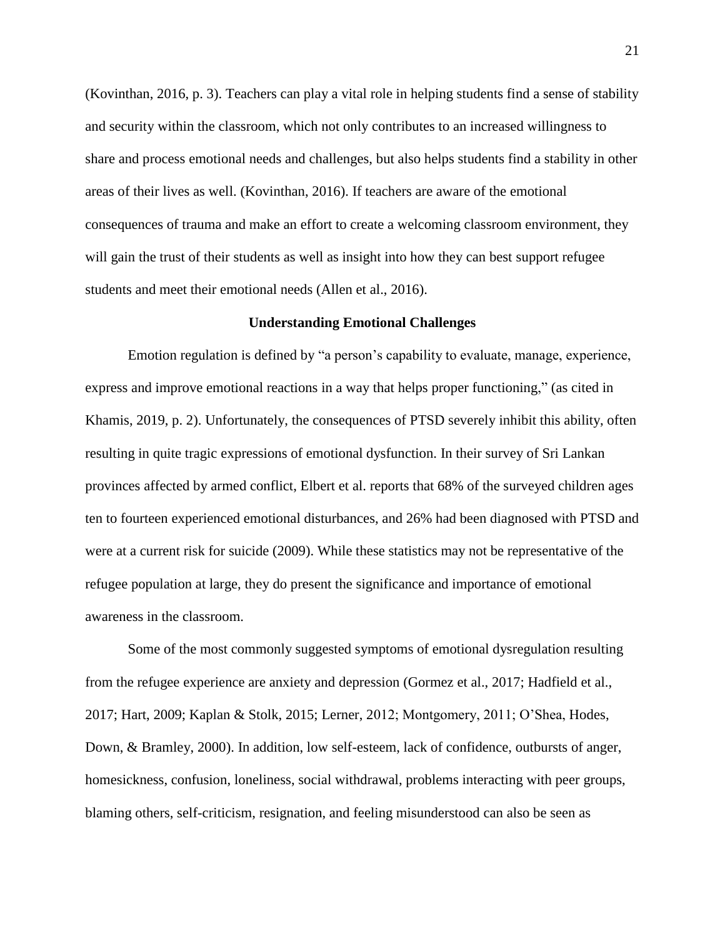(Kovinthan, 2016, p. 3). Teachers can play a vital role in helping students find a sense of stability and security within the classroom, which not only contributes to an increased willingness to share and process emotional needs and challenges, but also helps students find a stability in other areas of their lives as well. (Kovinthan, 2016). If teachers are aware of the emotional consequences of trauma and make an effort to create a welcoming classroom environment, they will gain the trust of their students as well as insight into how they can best support refugee students and meet their emotional needs (Allen et al., 2016).

### **Understanding Emotional Challenges**

Emotion regulation is defined by "a person's capability to evaluate, manage, experience, express and improve emotional reactions in a way that helps proper functioning," (as cited in Khamis, 2019, p. 2). Unfortunately, the consequences of PTSD severely inhibit this ability, often resulting in quite tragic expressions of emotional dysfunction. In their survey of Sri Lankan provinces affected by armed conflict, Elbert et al. reports that 68% of the surveyed children ages ten to fourteen experienced emotional disturbances, and 26% had been diagnosed with PTSD and were at a current risk for suicide (2009). While these statistics may not be representative of the refugee population at large, they do present the significance and importance of emotional awareness in the classroom.

Some of the most commonly suggested symptoms of emotional dysregulation resulting from the refugee experience are anxiety and depression (Gormez et al., 2017; Hadfield et al., 2017; Hart, 2009; Kaplan & Stolk, 2015; Lerner, 2012; Montgomery, 2011; O'Shea, Hodes, Down, & Bramley, 2000). In addition, low self-esteem, lack of confidence, outbursts of anger, homesickness, confusion, loneliness, social withdrawal, problems interacting with peer groups, blaming others, self-criticism, resignation, and feeling misunderstood can also be seen as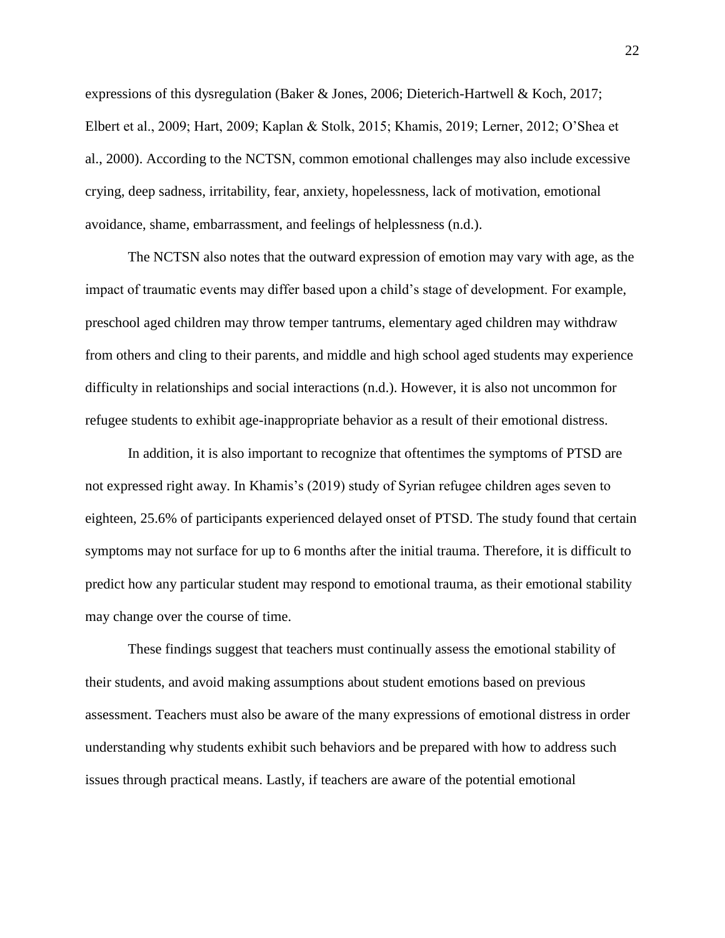expressions of this dysregulation (Baker & Jones, 2006; Dieterich-Hartwell & Koch, 2017; Elbert et al., 2009; Hart, 2009; Kaplan & Stolk, 2015; Khamis, 2019; Lerner, 2012; O'Shea et al., 2000). According to the NCTSN, common emotional challenges may also include excessive crying, deep sadness, irritability, fear, anxiety, hopelessness, lack of motivation, emotional avoidance, shame, embarrassment, and feelings of helplessness (n.d.).

The NCTSN also notes that the outward expression of emotion may vary with age, as the impact of traumatic events may differ based upon a child's stage of development. For example, preschool aged children may throw temper tantrums, elementary aged children may withdraw from others and cling to their parents, and middle and high school aged students may experience difficulty in relationships and social interactions (n.d.). However, it is also not uncommon for refugee students to exhibit age-inappropriate behavior as a result of their emotional distress.

In addition, it is also important to recognize that oftentimes the symptoms of PTSD are not expressed right away. In Khamis's (2019) study of Syrian refugee children ages seven to eighteen, 25.6% of participants experienced delayed onset of PTSD. The study found that certain symptoms may not surface for up to 6 months after the initial trauma. Therefore, it is difficult to predict how any particular student may respond to emotional trauma, as their emotional stability may change over the course of time.

These findings suggest that teachers must continually assess the emotional stability of their students, and avoid making assumptions about student emotions based on previous assessment. Teachers must also be aware of the many expressions of emotional distress in order understanding why students exhibit such behaviors and be prepared with how to address such issues through practical means. Lastly, if teachers are aware of the potential emotional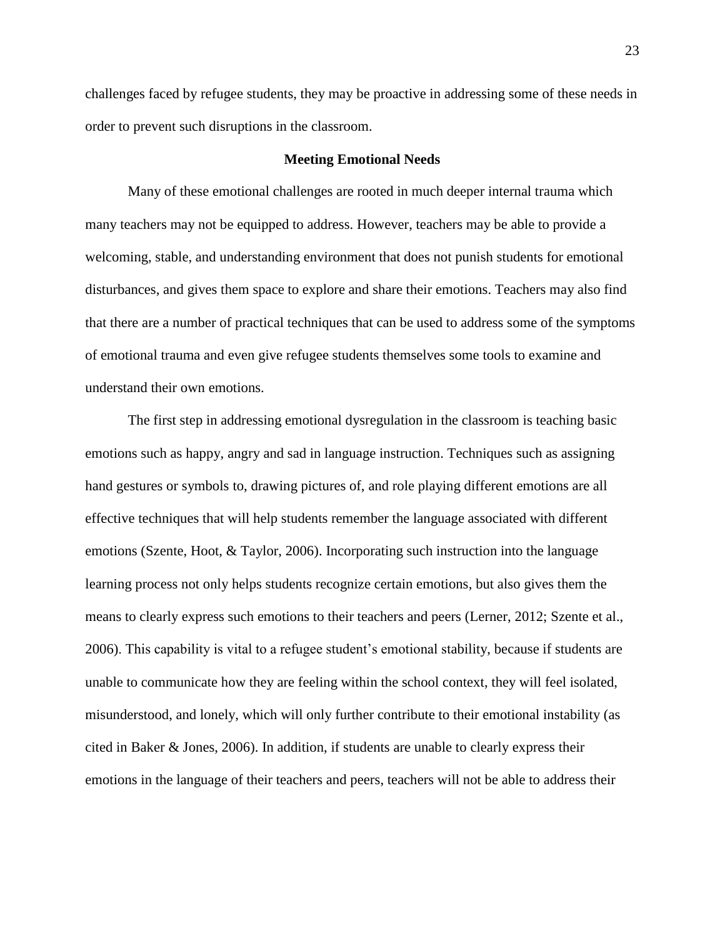challenges faced by refugee students, they may be proactive in addressing some of these needs in order to prevent such disruptions in the classroom.

# **Meeting Emotional Needs**

Many of these emotional challenges are rooted in much deeper internal trauma which many teachers may not be equipped to address. However, teachers may be able to provide a welcoming, stable, and understanding environment that does not punish students for emotional disturbances, and gives them space to explore and share their emotions. Teachers may also find that there are a number of practical techniques that can be used to address some of the symptoms of emotional trauma and even give refugee students themselves some tools to examine and understand their own emotions.

The first step in addressing emotional dysregulation in the classroom is teaching basic emotions such as happy, angry and sad in language instruction. Techniques such as assigning hand gestures or symbols to, drawing pictures of, and role playing different emotions are all effective techniques that will help students remember the language associated with different emotions (Szente, Hoot, & Taylor, 2006). Incorporating such instruction into the language learning process not only helps students recognize certain emotions, but also gives them the means to clearly express such emotions to their teachers and peers (Lerner, 2012; Szente et al., 2006). This capability is vital to a refugee student's emotional stability, because if students are unable to communicate how they are feeling within the school context, they will feel isolated, misunderstood, and lonely, which will only further contribute to their emotional instability (as cited in Baker & Jones, 2006). In addition, if students are unable to clearly express their emotions in the language of their teachers and peers, teachers will not be able to address their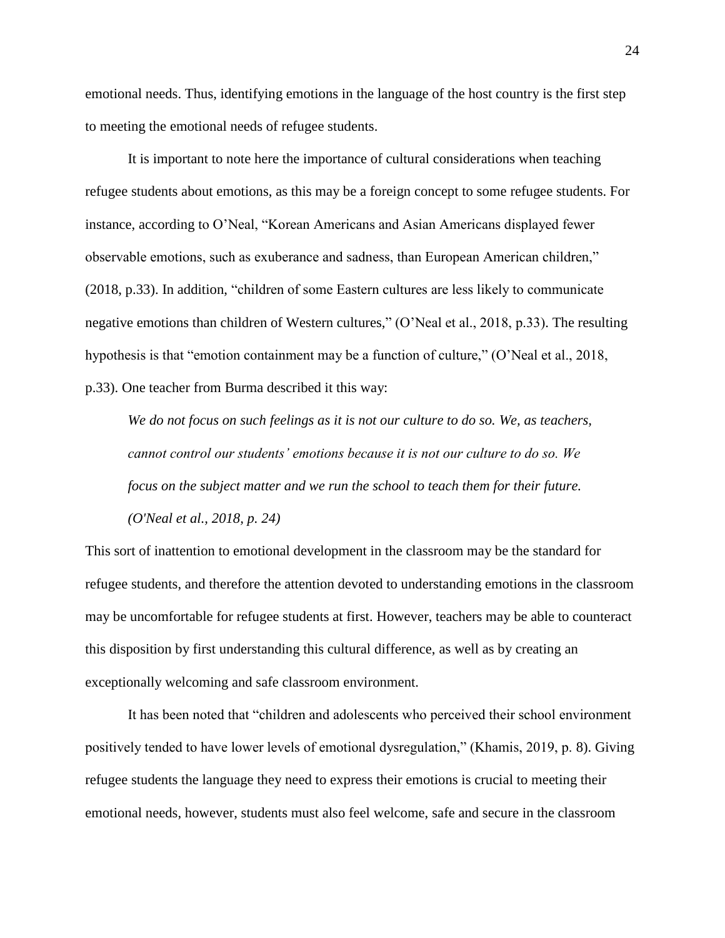emotional needs. Thus, identifying emotions in the language of the host country is the first step to meeting the emotional needs of refugee students.

It is important to note here the importance of cultural considerations when teaching refugee students about emotions, as this may be a foreign concept to some refugee students. For instance, according to O'Neal, "Korean Americans and Asian Americans displayed fewer observable emotions, such as exuberance and sadness, than European American children," (2018, p.33). In addition, "children of some Eastern cultures are less likely to communicate negative emotions than children of Western cultures," (O'Neal et al., 2018, p.33). The resulting hypothesis is that "emotion containment may be a function of culture," (O'Neal et al., 2018, p.33). One teacher from Burma described it this way:

*We do not focus on such feelings as it is not our culture to do so. We, as teachers, cannot control our students' emotions because it is not our culture to do so. We focus on the subject matter and we run the school to teach them for their future. (O'Neal et al., 2018, p. 24)*

This sort of inattention to emotional development in the classroom may be the standard for refugee students, and therefore the attention devoted to understanding emotions in the classroom may be uncomfortable for refugee students at first. However, teachers may be able to counteract this disposition by first understanding this cultural difference, as well as by creating an exceptionally welcoming and safe classroom environment.

It has been noted that "children and adolescents who perceived their school environment positively tended to have lower levels of emotional dysregulation," (Khamis, 2019, p. 8). Giving refugee students the language they need to express their emotions is crucial to meeting their emotional needs, however, students must also feel welcome, safe and secure in the classroom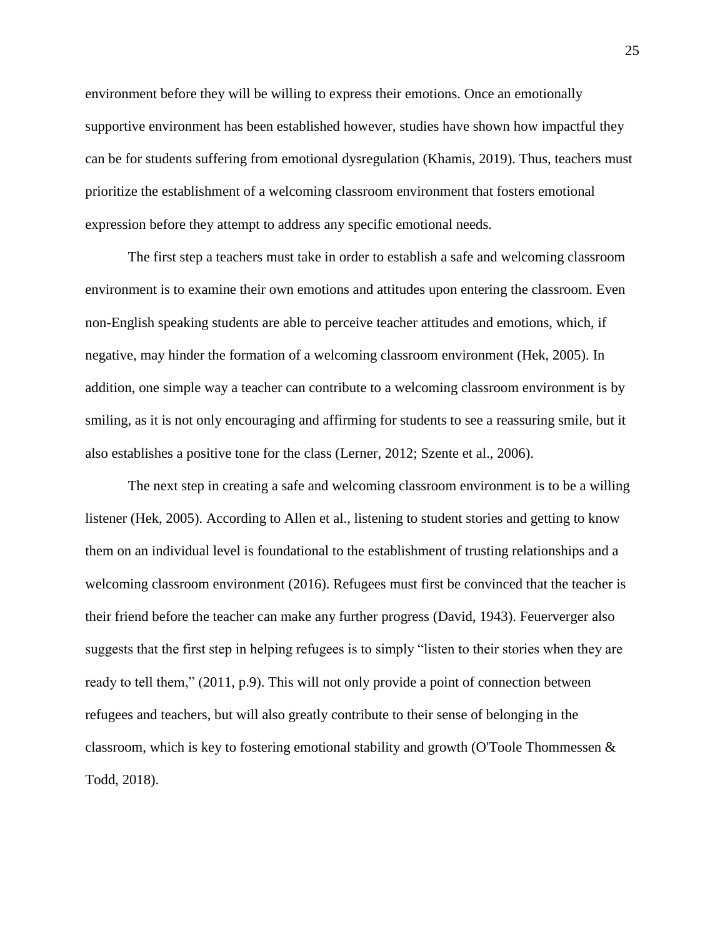environment before they will be willing to express their emotions. Once an emotionally supportive environment has been established however, studies have shown how impactful they can be for students suffering from emotional dysregulation (Khamis, 2019). Thus, teachers must prioritize the establishment of a welcoming classroom environment that fosters emotional expression before they attempt to address any specific emotional needs.

The first step a teachers must take in order to establish a safe and welcoming classroom environment is to examine their own emotions and attitudes upon entering the classroom. Even non-English speaking students are able to perceive teacher attitudes and emotions, which, if negative, may hinder the formation of a welcoming classroom environment (Hek, 2005). In addition, one simple way a teacher can contribute to a welcoming classroom environment is by smiling, as it is not only encouraging and affirming for students to see a reassuring smile, but it also establishes a positive tone for the class (Lerner, 2012; Szente et al., 2006).

The next step in creating a safe and welcoming classroom environment is to be a willing listener (Hek, 2005). According to Allen et al., listening to student stories and getting to know them on an individual level is foundational to the establishment of trusting relationships and a welcoming classroom environment (2016). Refugees must first be convinced that the teacher is their friend before the teacher can make any further progress (David, 1943). Feuerverger also suggests that the first step in helping refugees is to simply "listen to their stories when they are ready to tell them," (2011, p.9). This will not only provide a point of connection between refugees and teachers, but will also greatly contribute to their sense of belonging in the classroom, which is key to fostering emotional stability and growth (O'Toole Thommessen & Todd, 2018).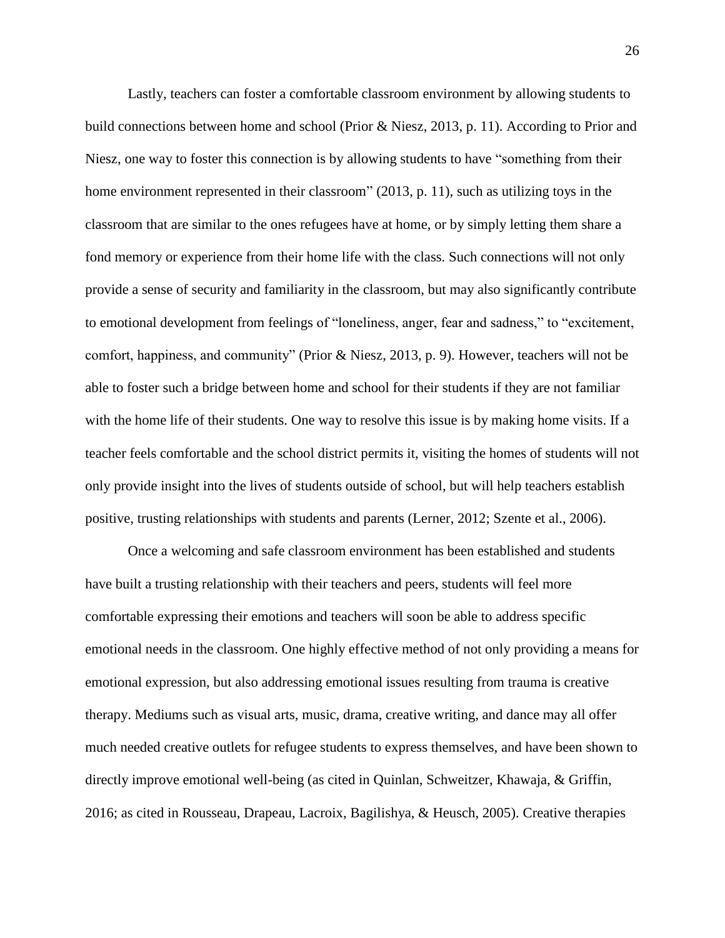Lastly, teachers can foster a comfortable classroom environment by allowing students to build connections between home and school (Prior & Niesz, 2013, p. 11). According to Prior and Niesz, one way to foster this connection is by allowing students to have "something from their home environment represented in their classroom" (2013, p. 11), such as utilizing toys in the classroom that are similar to the ones refugees have at home, or by simply letting them share a fond memory or experience from their home life with the class. Such connections will not only provide a sense of security and familiarity in the classroom, but may also significantly contribute to emotional development from feelings of "loneliness, anger, fear and sadness," to "excitement, comfort, happiness, and community" (Prior & Niesz, 2013, p. 9). However, teachers will not be able to foster such a bridge between home and school for their students if they are not familiar with the home life of their students. One way to resolve this issue is by making home visits. If a teacher feels comfortable and the school district permits it, visiting the homes of students will not only provide insight into the lives of students outside of school, but will help teachers establish positive, trusting relationships with students and parents (Lerner, 2012; Szente et al., 2006).

Once a welcoming and safe classroom environment has been established and students have built a trusting relationship with their teachers and peers, students will feel more comfortable expressing their emotions and teachers will soon be able to address specific emotional needs in the classroom. One highly effective method of not only providing a means for emotional expression, but also addressing emotional issues resulting from trauma is creative therapy. Mediums such as visual arts, music, drama, creative writing, and dance may all offer much needed creative outlets for refugee students to express themselves, and have been shown to directly improve emotional well-being (as cited in Quinlan, Schweitzer, Khawaja, & Griffin, 2016; as cited in Rousseau, Drapeau, Lacroix, Bagilishya, & Heusch, 2005). Creative therapies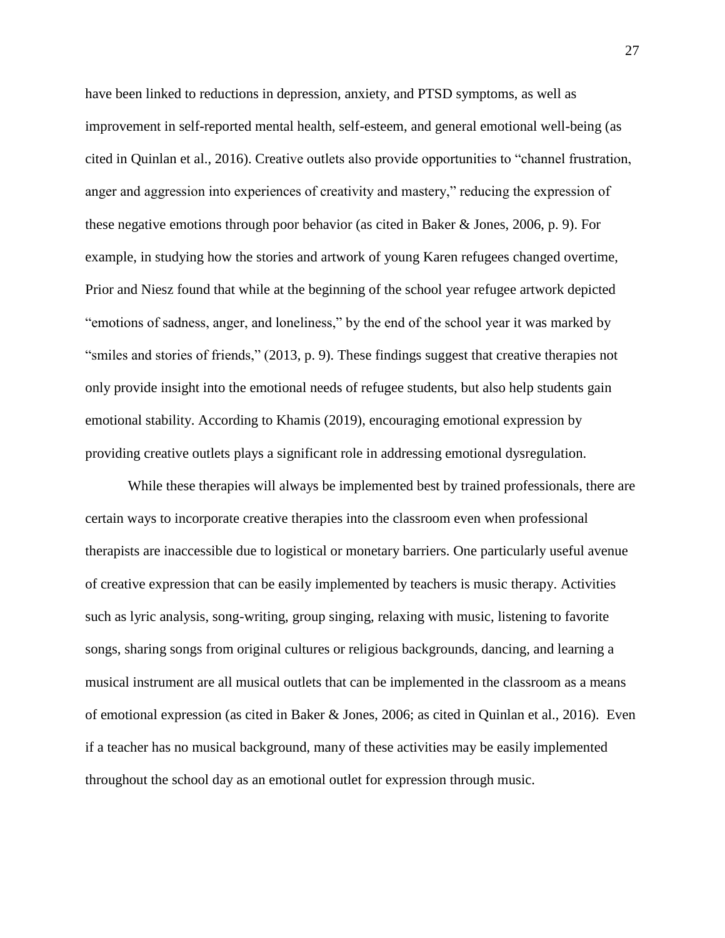have been linked to reductions in depression, anxiety, and PTSD symptoms, as well as improvement in self-reported mental health, self-esteem, and general emotional well-being (as cited in Quinlan et al., 2016). Creative outlets also provide opportunities to "channel frustration, anger and aggression into experiences of creativity and mastery," reducing the expression of these negative emotions through poor behavior (as cited in Baker & Jones, 2006, p. 9). For example, in studying how the stories and artwork of young Karen refugees changed overtime, Prior and Niesz found that while at the beginning of the school year refugee artwork depicted "emotions of sadness, anger, and loneliness," by the end of the school year it was marked by "smiles and stories of friends," (2013, p. 9). These findings suggest that creative therapies not only provide insight into the emotional needs of refugee students, but also help students gain emotional stability. According to Khamis (2019), encouraging emotional expression by providing creative outlets plays a significant role in addressing emotional dysregulation.

While these therapies will always be implemented best by trained professionals, there are certain ways to incorporate creative therapies into the classroom even when professional therapists are inaccessible due to logistical or monetary barriers. One particularly useful avenue of creative expression that can be easily implemented by teachers is music therapy. Activities such as lyric analysis, song-writing, group singing, relaxing with music, listening to favorite songs, sharing songs from original cultures or religious backgrounds, dancing, and learning a musical instrument are all musical outlets that can be implemented in the classroom as a means of emotional expression (as cited in Baker & Jones, 2006; as cited in Quinlan et al., 2016). Even if a teacher has no musical background, many of these activities may be easily implemented throughout the school day as an emotional outlet for expression through music.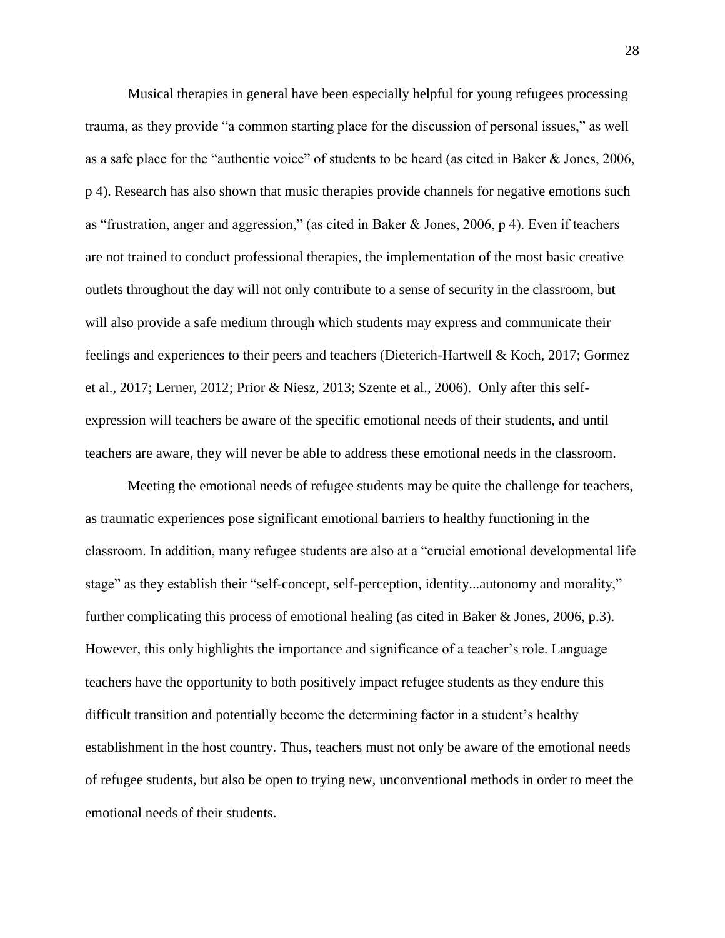Musical therapies in general have been especially helpful for young refugees processing trauma, as they provide "a common starting place for the discussion of personal issues," as well as a safe place for the "authentic voice" of students to be heard (as cited in Baker & Jones, 2006, p 4). Research has also shown that music therapies provide channels for negative emotions such as "frustration, anger and aggression," (as cited in Baker & Jones, 2006, p 4). Even if teachers are not trained to conduct professional therapies, the implementation of the most basic creative outlets throughout the day will not only contribute to a sense of security in the classroom, but will also provide a safe medium through which students may express and communicate their feelings and experiences to their peers and teachers (Dieterich-Hartwell & Koch, 2017; Gormez et al., 2017; Lerner, 2012; Prior & Niesz, 2013; Szente et al., 2006). Only after this selfexpression will teachers be aware of the specific emotional needs of their students, and until teachers are aware, they will never be able to address these emotional needs in the classroom.

Meeting the emotional needs of refugee students may be quite the challenge for teachers, as traumatic experiences pose significant emotional barriers to healthy functioning in the classroom. In addition, many refugee students are also at a "crucial emotional developmental life stage" as they establish their "self-concept, self-perception, identity...autonomy and morality," further complicating this process of emotional healing (as cited in Baker & Jones, 2006, p.3). However, this only highlights the importance and significance of a teacher's role. Language teachers have the opportunity to both positively impact refugee students as they endure this difficult transition and potentially become the determining factor in a student's healthy establishment in the host country. Thus, teachers must not only be aware of the emotional needs of refugee students, but also be open to trying new, unconventional methods in order to meet the emotional needs of their students.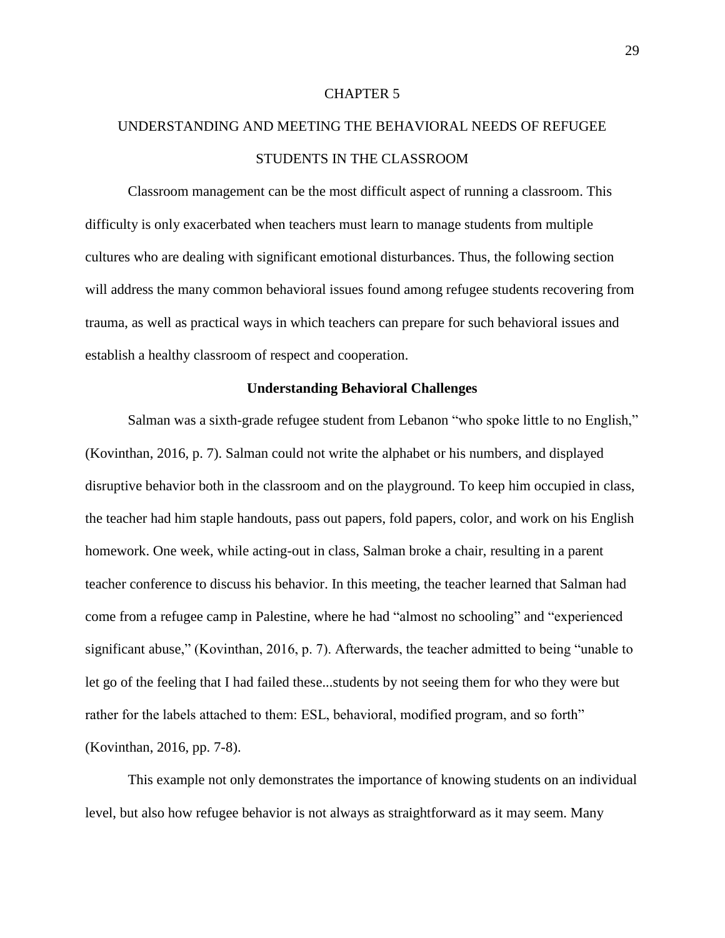#### CHAPTER 5

# UNDERSTANDING AND MEETING THE BEHAVIORAL NEEDS OF REFUGEE STUDENTS IN THE CLASSROOM

Classroom management can be the most difficult aspect of running a classroom. This difficulty is only exacerbated when teachers must learn to manage students from multiple cultures who are dealing with significant emotional disturbances. Thus, the following section will address the many common behavioral issues found among refugee students recovering from trauma, as well as practical ways in which teachers can prepare for such behavioral issues and establish a healthy classroom of respect and cooperation.

# **Understanding Behavioral Challenges**

Salman was a sixth-grade refugee student from Lebanon "who spoke little to no English," (Kovinthan, 2016, p. 7). Salman could not write the alphabet or his numbers, and displayed disruptive behavior both in the classroom and on the playground. To keep him occupied in class, the teacher had him staple handouts, pass out papers, fold papers, color, and work on his English homework. One week, while acting-out in class, Salman broke a chair, resulting in a parent teacher conference to discuss his behavior. In this meeting, the teacher learned that Salman had come from a refugee camp in Palestine, where he had "almost no schooling" and "experienced significant abuse," (Kovinthan, 2016, p. 7). Afterwards, the teacher admitted to being "unable to let go of the feeling that I had failed these...students by not seeing them for who they were but rather for the labels attached to them: ESL, behavioral, modified program, and so forth" (Kovinthan, 2016, pp. 7-8).

This example not only demonstrates the importance of knowing students on an individual level, but also how refugee behavior is not always as straightforward as it may seem. Many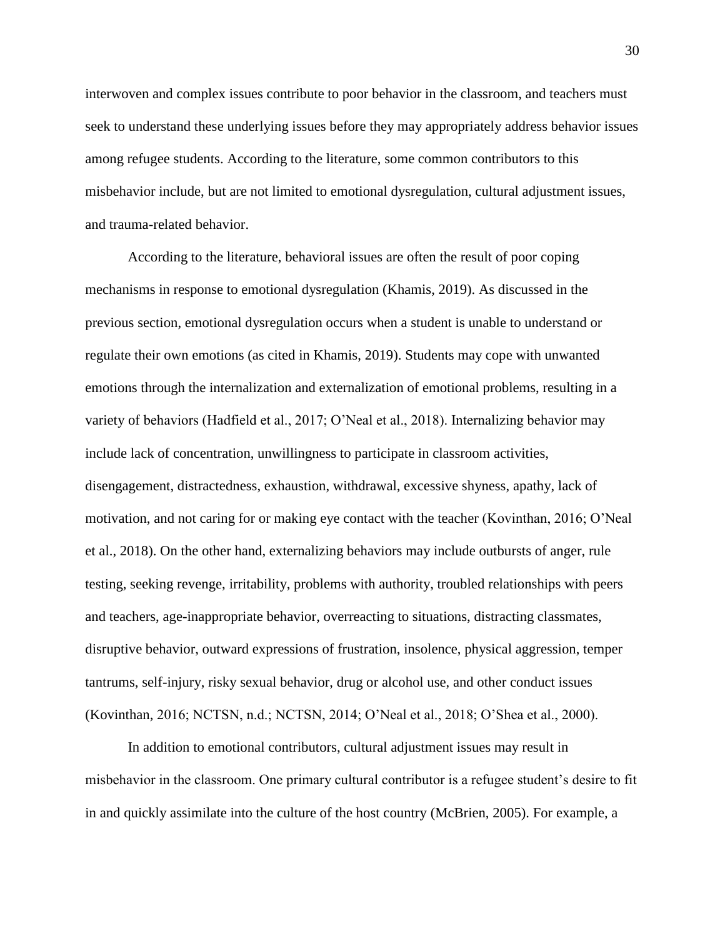interwoven and complex issues contribute to poor behavior in the classroom, and teachers must seek to understand these underlying issues before they may appropriately address behavior issues among refugee students. According to the literature, some common contributors to this misbehavior include, but are not limited to emotional dysregulation, cultural adjustment issues, and trauma-related behavior.

According to the literature, behavioral issues are often the result of poor coping mechanisms in response to emotional dysregulation (Khamis, 2019). As discussed in the previous section, emotional dysregulation occurs when a student is unable to understand or regulate their own emotions (as cited in Khamis, 2019). Students may cope with unwanted emotions through the internalization and externalization of emotional problems, resulting in a variety of behaviors (Hadfield et al., 2017; O'Neal et al., 2018). Internalizing behavior may include lack of concentration, unwillingness to participate in classroom activities, disengagement, distractedness, exhaustion, withdrawal, excessive shyness, apathy, lack of motivation, and not caring for or making eye contact with the teacher (Kovinthan, 2016; O'Neal et al., 2018). On the other hand, externalizing behaviors may include outbursts of anger, rule testing, seeking revenge, irritability, problems with authority, troubled relationships with peers and teachers, age-inappropriate behavior, overreacting to situations, distracting classmates, disruptive behavior, outward expressions of frustration, insolence, physical aggression, temper tantrums, self-injury, risky sexual behavior, drug or alcohol use, and other conduct issues (Kovinthan, 2016; NCTSN, n.d.; NCTSN, 2014; O'Neal et al., 2018; O'Shea et al., 2000).

In addition to emotional contributors, cultural adjustment issues may result in misbehavior in the classroom. One primary cultural contributor is a refugee student's desire to fit in and quickly assimilate into the culture of the host country (McBrien, 2005). For example, a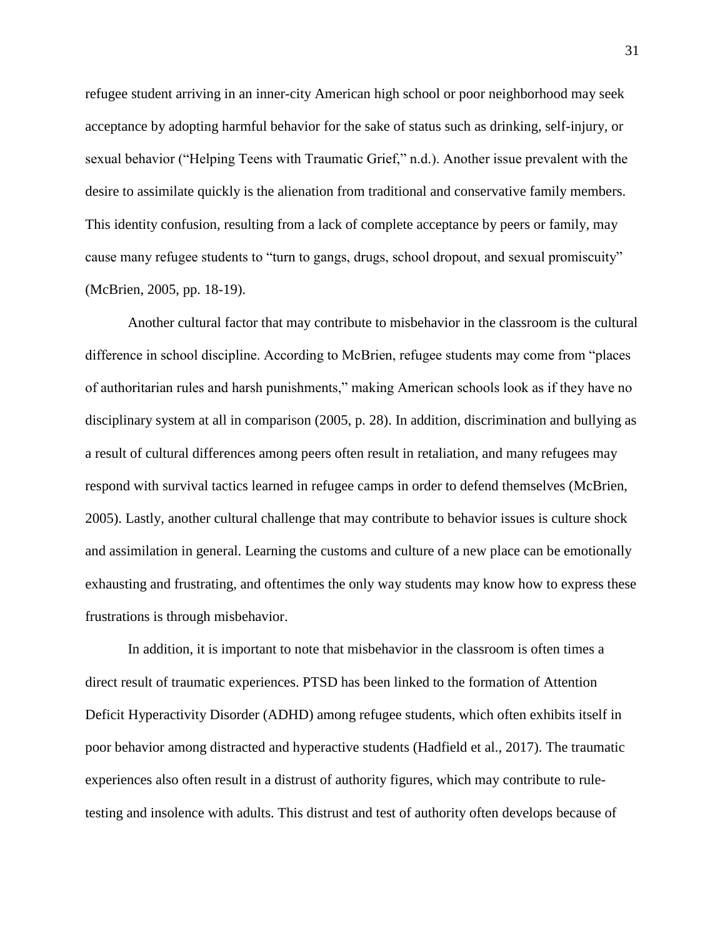refugee student arriving in an inner-city American high school or poor neighborhood may seek acceptance by adopting harmful behavior for the sake of status such as drinking, self-injury, or sexual behavior ("Helping Teens with Traumatic Grief," n.d.). Another issue prevalent with the desire to assimilate quickly is the alienation from traditional and conservative family members. This identity confusion, resulting from a lack of complete acceptance by peers or family, may cause many refugee students to "turn to gangs, drugs, school dropout, and sexual promiscuity" (McBrien, 2005, pp. 18-19).

Another cultural factor that may contribute to misbehavior in the classroom is the cultural difference in school discipline. According to McBrien, refugee students may come from "places of authoritarian rules and harsh punishments," making American schools look as if they have no disciplinary system at all in comparison (2005, p. 28). In addition, discrimination and bullying as a result of cultural differences among peers often result in retaliation, and many refugees may respond with survival tactics learned in refugee camps in order to defend themselves (McBrien, 2005). Lastly, another cultural challenge that may contribute to behavior issues is culture shock and assimilation in general. Learning the customs and culture of a new place can be emotionally exhausting and frustrating, and oftentimes the only way students may know how to express these frustrations is through misbehavior.

In addition, it is important to note that misbehavior in the classroom is often times a direct result of traumatic experiences. PTSD has been linked to the formation of Attention Deficit Hyperactivity Disorder (ADHD) among refugee students, which often exhibits itself in poor behavior among distracted and hyperactive students (Hadfield et al., 2017). The traumatic experiences also often result in a distrust of authority figures, which may contribute to ruletesting and insolence with adults. This distrust and test of authority often develops because of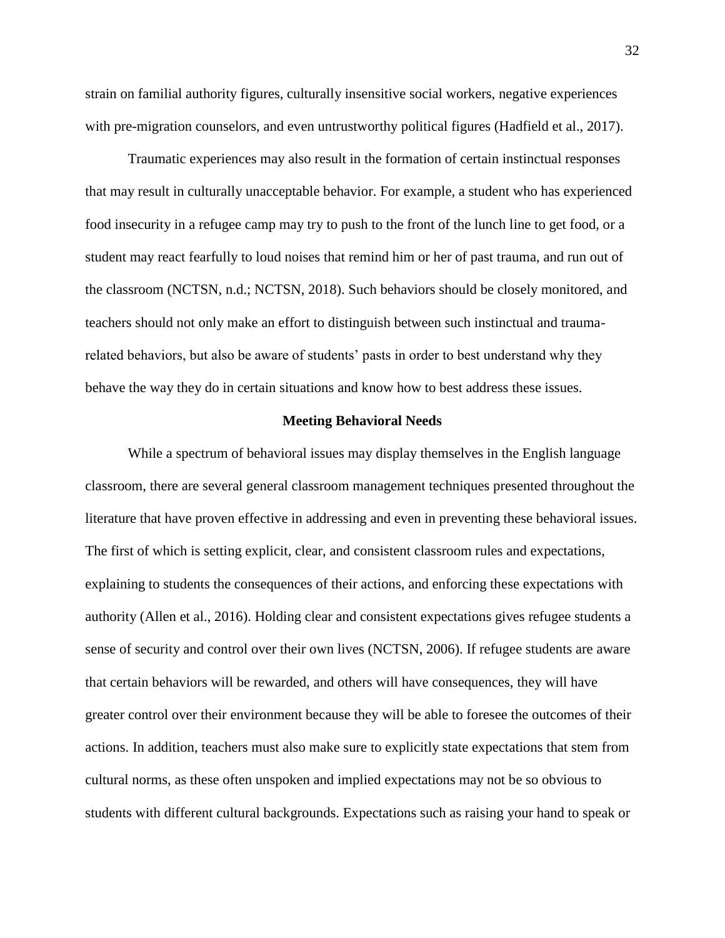strain on familial authority figures, culturally insensitive social workers, negative experiences with pre-migration counselors, and even untrustworthy political figures (Hadfield et al., 2017).

Traumatic experiences may also result in the formation of certain instinctual responses that may result in culturally unacceptable behavior. For example, a student who has experienced food insecurity in a refugee camp may try to push to the front of the lunch line to get food, or a student may react fearfully to loud noises that remind him or her of past trauma, and run out of the classroom (NCTSN, n.d.; NCTSN, 2018). Such behaviors should be closely monitored, and teachers should not only make an effort to distinguish between such instinctual and traumarelated behaviors, but also be aware of students' pasts in order to best understand why they behave the way they do in certain situations and know how to best address these issues.

## **Meeting Behavioral Needs**

While a spectrum of behavioral issues may display themselves in the English language classroom, there are several general classroom management techniques presented throughout the literature that have proven effective in addressing and even in preventing these behavioral issues. The first of which is setting explicit, clear, and consistent classroom rules and expectations, explaining to students the consequences of their actions, and enforcing these expectations with authority (Allen et al., 2016). Holding clear and consistent expectations gives refugee students a sense of security and control over their own lives (NCTSN, 2006). If refugee students are aware that certain behaviors will be rewarded, and others will have consequences, they will have greater control over their environment because they will be able to foresee the outcomes of their actions. In addition, teachers must also make sure to explicitly state expectations that stem from cultural norms, as these often unspoken and implied expectations may not be so obvious to students with different cultural backgrounds. Expectations such as raising your hand to speak or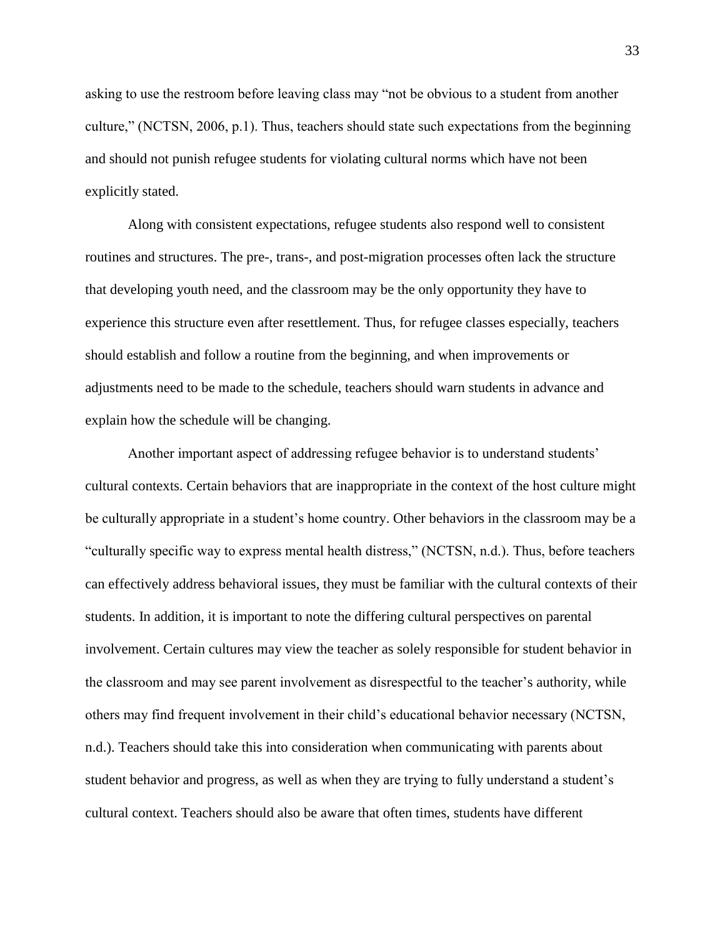asking to use the restroom before leaving class may "not be obvious to a student from another culture," (NCTSN, 2006, p.1). Thus, teachers should state such expectations from the beginning and should not punish refugee students for violating cultural norms which have not been explicitly stated.

Along with consistent expectations, refugee students also respond well to consistent routines and structures. The pre-, trans-, and post-migration processes often lack the structure that developing youth need, and the classroom may be the only opportunity they have to experience this structure even after resettlement. Thus, for refugee classes especially, teachers should establish and follow a routine from the beginning, and when improvements or adjustments need to be made to the schedule, teachers should warn students in advance and explain how the schedule will be changing.

Another important aspect of addressing refugee behavior is to understand students' cultural contexts. Certain behaviors that are inappropriate in the context of the host culture might be culturally appropriate in a student's home country. Other behaviors in the classroom may be a "culturally specific way to express mental health distress," (NCTSN, n.d.). Thus, before teachers can effectively address behavioral issues, they must be familiar with the cultural contexts of their students. In addition, it is important to note the differing cultural perspectives on parental involvement. Certain cultures may view the teacher as solely responsible for student behavior in the classroom and may see parent involvement as disrespectful to the teacher's authority, while others may find frequent involvement in their child's educational behavior necessary (NCTSN, n.d.). Teachers should take this into consideration when communicating with parents about student behavior and progress, as well as when they are trying to fully understand a student's cultural context. Teachers should also be aware that often times, students have different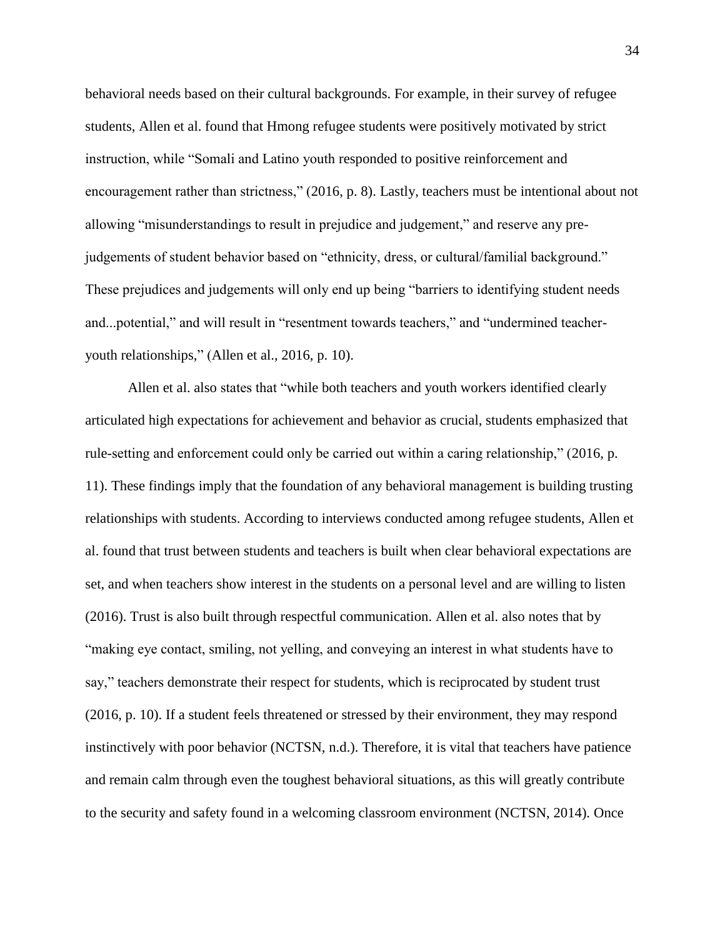behavioral needs based on their cultural backgrounds. For example, in their survey of refugee students, Allen et al. found that Hmong refugee students were positively motivated by strict instruction, while "Somali and Latino youth responded to positive reinforcement and encouragement rather than strictness," (2016, p. 8). Lastly, teachers must be intentional about not allowing "misunderstandings to result in prejudice and judgement," and reserve any prejudgements of student behavior based on "ethnicity, dress, or cultural/familial background." These prejudices and judgements will only end up being "barriers to identifying student needs and...potential," and will result in "resentment towards teachers," and "undermined teacheryouth relationships," (Allen et al., 2016, p. 10).

Allen et al. also states that "while both teachers and youth workers identified clearly articulated high expectations for achievement and behavior as crucial, students emphasized that rule-setting and enforcement could only be carried out within a caring relationship," (2016, p. 11). These findings imply that the foundation of any behavioral management is building trusting relationships with students. According to interviews conducted among refugee students, Allen et al. found that trust between students and teachers is built when clear behavioral expectations are set, and when teachers show interest in the students on a personal level and are willing to listen (2016). Trust is also built through respectful communication. Allen et al. also notes that by "making eye contact, smiling, not yelling, and conveying an interest in what students have to say," teachers demonstrate their respect for students, which is reciprocated by student trust (2016, p. 10). If a student feels threatened or stressed by their environment, they may respond instinctively with poor behavior (NCTSN, n.d.). Therefore, it is vital that teachers have patience and remain calm through even the toughest behavioral situations, as this will greatly contribute to the security and safety found in a welcoming classroom environment (NCTSN, 2014). Once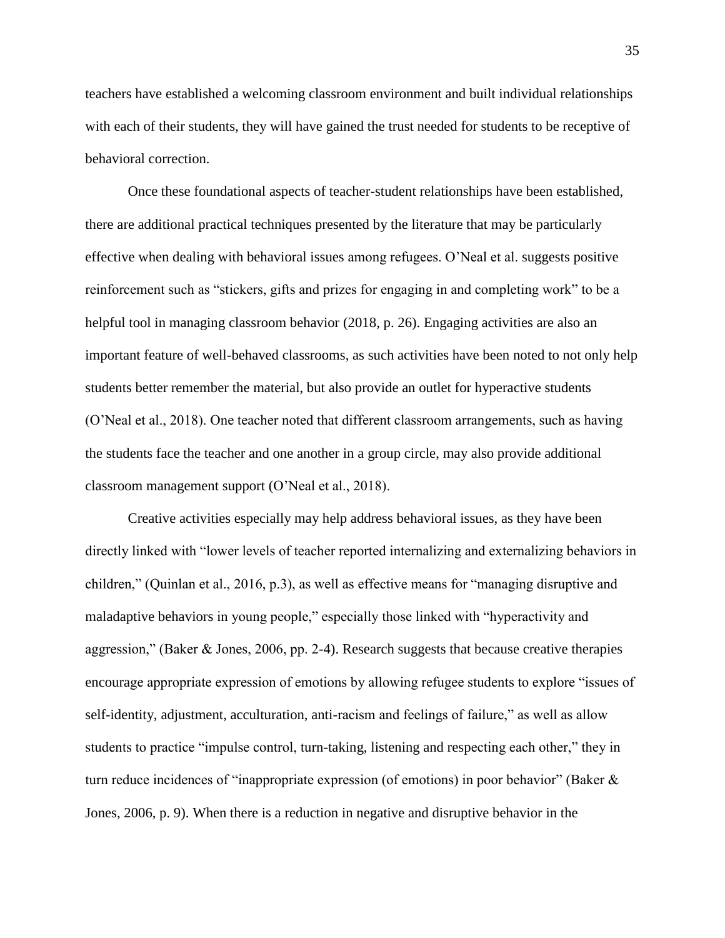teachers have established a welcoming classroom environment and built individual relationships with each of their students, they will have gained the trust needed for students to be receptive of behavioral correction.

Once these foundational aspects of teacher-student relationships have been established, there are additional practical techniques presented by the literature that may be particularly effective when dealing with behavioral issues among refugees. O'Neal et al. suggests positive reinforcement such as "stickers, gifts and prizes for engaging in and completing work" to be a helpful tool in managing classroom behavior (2018, p. 26). Engaging activities are also an important feature of well-behaved classrooms, as such activities have been noted to not only help students better remember the material, but also provide an outlet for hyperactive students (O'Neal et al., 2018). One teacher noted that different classroom arrangements, such as having the students face the teacher and one another in a group circle, may also provide additional classroom management support (O'Neal et al., 2018).

Creative activities especially may help address behavioral issues, as they have been directly linked with "lower levels of teacher reported internalizing and externalizing behaviors in children," (Quinlan et al., 2016, p.3), as well as effective means for "managing disruptive and maladaptive behaviors in young people," especially those linked with "hyperactivity and aggression," (Baker & Jones, 2006, pp. 2-4). Research suggests that because creative therapies encourage appropriate expression of emotions by allowing refugee students to explore "issues of self-identity, adjustment, acculturation, anti-racism and feelings of failure," as well as allow students to practice "impulse control, turn-taking, listening and respecting each other," they in turn reduce incidences of "inappropriate expression (of emotions) in poor behavior" (Baker & Jones, 2006, p. 9). When there is a reduction in negative and disruptive behavior in the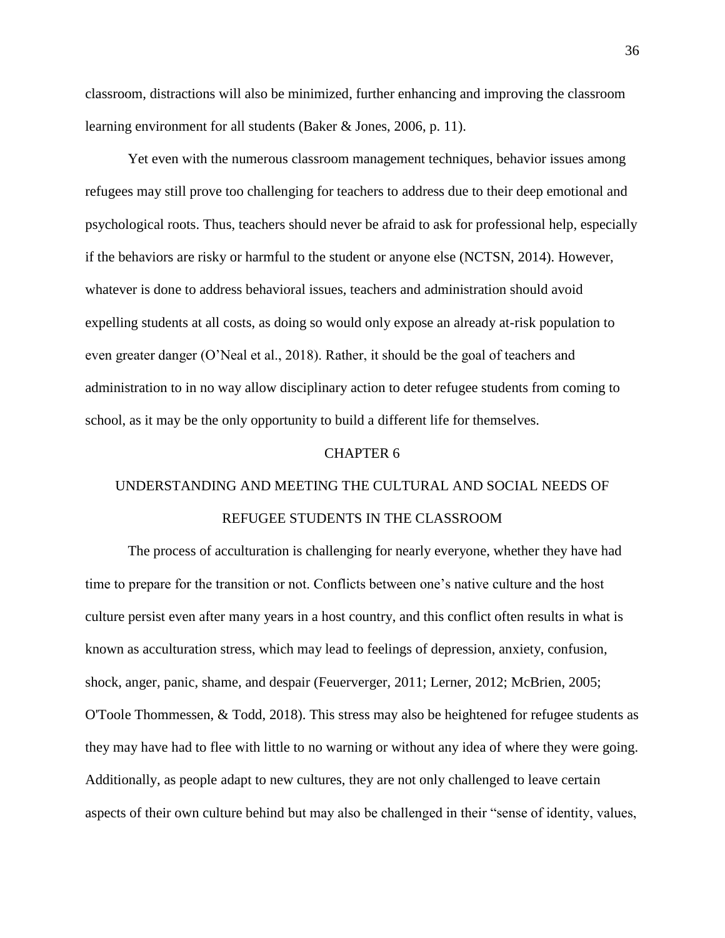classroom, distractions will also be minimized, further enhancing and improving the classroom learning environment for all students (Baker & Jones, 2006, p. 11).

Yet even with the numerous classroom management techniques, behavior issues among refugees may still prove too challenging for teachers to address due to their deep emotional and psychological roots. Thus, teachers should never be afraid to ask for professional help, especially if the behaviors are risky or harmful to the student or anyone else (NCTSN, 2014). However, whatever is done to address behavioral issues, teachers and administration should avoid expelling students at all costs, as doing so would only expose an already at-risk population to even greater danger (O'Neal et al., 2018). Rather, it should be the goal of teachers and administration to in no way allow disciplinary action to deter refugee students from coming to school, as it may be the only opportunity to build a different life for themselves.

### CHAPTER 6

# UNDERSTANDING AND MEETING THE CULTURAL AND SOCIAL NEEDS OF REFUGEE STUDENTS IN THE CLASSROOM

The process of acculturation is challenging for nearly everyone, whether they have had time to prepare for the transition or not. Conflicts between one's native culture and the host culture persist even after many years in a host country, and this conflict often results in what is known as acculturation stress, which may lead to feelings of depression, anxiety, confusion, shock, anger, panic, shame, and despair (Feuerverger, 2011; Lerner, 2012; McBrien, 2005; O'Toole Thommessen, & Todd, 2018). This stress may also be heightened for refugee students as they may have had to flee with little to no warning or without any idea of where they were going. Additionally, as people adapt to new cultures, they are not only challenged to leave certain aspects of their own culture behind but may also be challenged in their "sense of identity, values,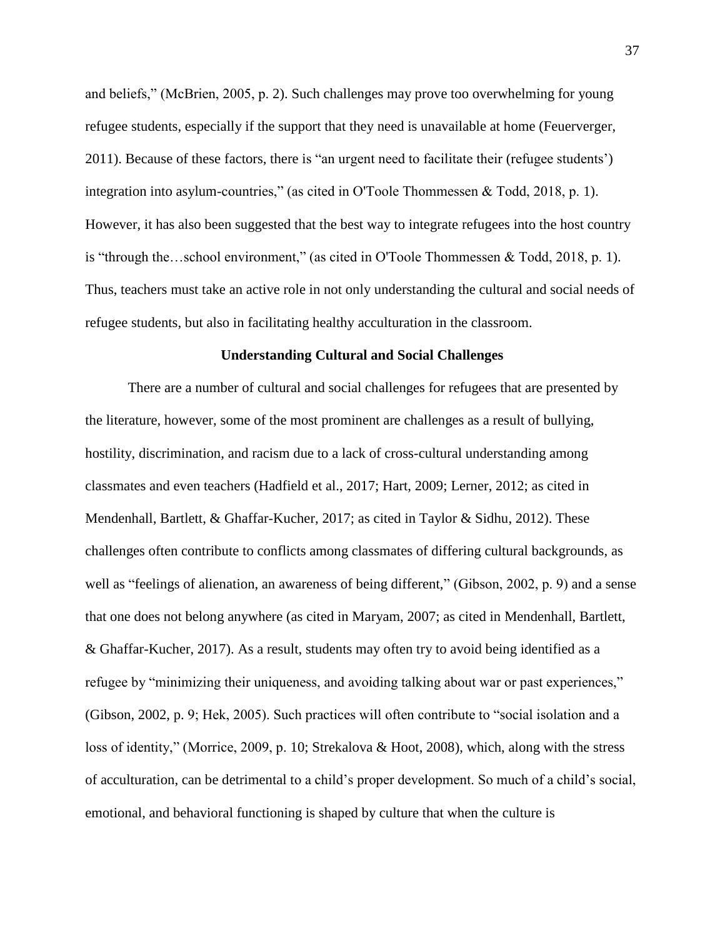and beliefs," (McBrien, 2005, p. 2). Such challenges may prove too overwhelming for young refugee students, especially if the support that they need is unavailable at home (Feuerverger, 2011). Because of these factors, there is "an urgent need to facilitate their (refugee students') integration into asylum-countries," (as cited in O'Toole Thommessen & Todd, 2018, p. 1). However, it has also been suggested that the best way to integrate refugees into the host country is "through the…school environment," (as cited in O'Toole Thommessen & Todd, 2018, p. 1). Thus, teachers must take an active role in not only understanding the cultural and social needs of refugee students, but also in facilitating healthy acculturation in the classroom.

## **Understanding Cultural and Social Challenges**

There are a number of cultural and social challenges for refugees that are presented by the literature, however, some of the most prominent are challenges as a result of bullying, hostility, discrimination, and racism due to a lack of cross-cultural understanding among classmates and even teachers (Hadfield et al., 2017; Hart, 2009; Lerner, 2012; as cited in Mendenhall, Bartlett, & Ghaffar-Kucher, 2017; as cited in Taylor & Sidhu, 2012). These challenges often contribute to conflicts among classmates of differing cultural backgrounds, as well as "feelings of alienation, an awareness of being different," (Gibson, 2002, p. 9) and a sense that one does not belong anywhere (as cited in Maryam, 2007; as cited in Mendenhall, Bartlett, & Ghaffar-Kucher, 2017). As a result, students may often try to avoid being identified as a refugee by "minimizing their uniqueness, and avoiding talking about war or past experiences," (Gibson, 2002, p. 9; Hek, 2005). Such practices will often contribute to "social isolation and a loss of identity," (Morrice, 2009, p. 10; Strekalova & Hoot, 2008), which, along with the stress of acculturation, can be detrimental to a child's proper development. So much of a child's social, emotional, and behavioral functioning is shaped by culture that when the culture is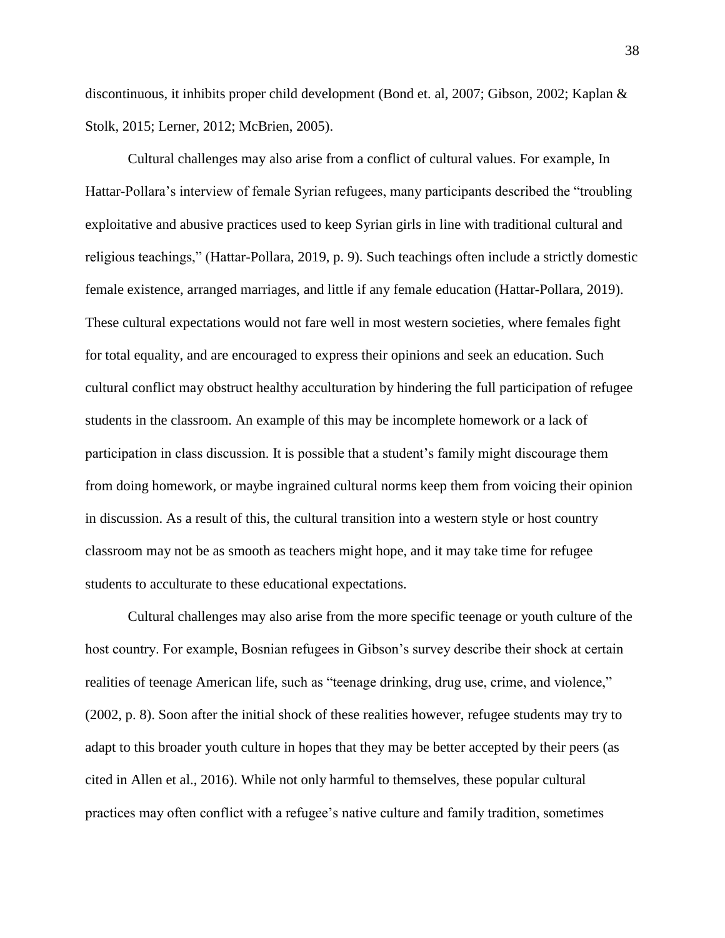discontinuous, it inhibits proper child development (Bond et. al, 2007; Gibson, 2002; Kaplan & Stolk, 2015; Lerner, 2012; McBrien, 2005).

Cultural challenges may also arise from a conflict of cultural values. For example, In Hattar-Pollara's interview of female Syrian refugees, many participants described the "troubling exploitative and abusive practices used to keep Syrian girls in line with traditional cultural and religious teachings," (Hattar-Pollara, 2019, p. 9). Such teachings often include a strictly domestic female existence, arranged marriages, and little if any female education (Hattar-Pollara, 2019). These cultural expectations would not fare well in most western societies, where females fight for total equality, and are encouraged to express their opinions and seek an education. Such cultural conflict may obstruct healthy acculturation by hindering the full participation of refugee students in the classroom. An example of this may be incomplete homework or a lack of participation in class discussion. It is possible that a student's family might discourage them from doing homework, or maybe ingrained cultural norms keep them from voicing their opinion in discussion. As a result of this, the cultural transition into a western style or host country classroom may not be as smooth as teachers might hope, and it may take time for refugee students to acculturate to these educational expectations.

Cultural challenges may also arise from the more specific teenage or youth culture of the host country. For example, Bosnian refugees in Gibson's survey describe their shock at certain realities of teenage American life, such as "teenage drinking, drug use, crime, and violence," (2002, p. 8). Soon after the initial shock of these realities however, refugee students may try to adapt to this broader youth culture in hopes that they may be better accepted by their peers (as cited in Allen et al., 2016). While not only harmful to themselves, these popular cultural practices may often conflict with a refugee's native culture and family tradition, sometimes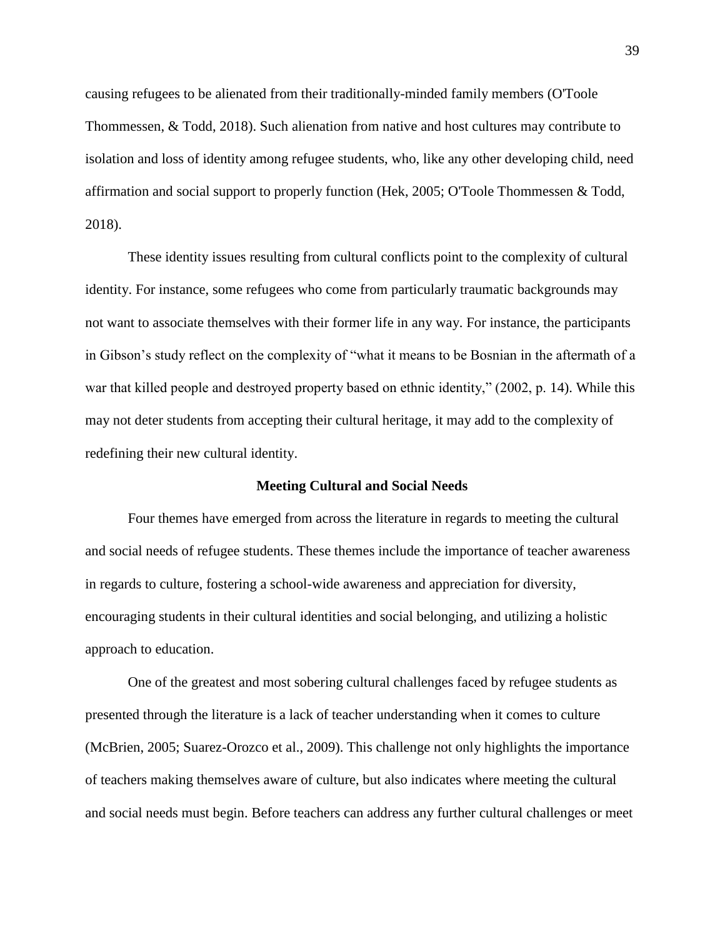causing refugees to be alienated from their traditionally-minded family members (O'Toole Thommessen, & Todd, 2018). Such alienation from native and host cultures may contribute to isolation and loss of identity among refugee students, who, like any other developing child, need affirmation and social support to properly function (Hek, 2005; O'Toole Thommessen & Todd, 2018).

These identity issues resulting from cultural conflicts point to the complexity of cultural identity. For instance, some refugees who come from particularly traumatic backgrounds may not want to associate themselves with their former life in any way. For instance, the participants in Gibson's study reflect on the complexity of "what it means to be Bosnian in the aftermath of a war that killed people and destroyed property based on ethnic identity," (2002, p. 14). While this may not deter students from accepting their cultural heritage, it may add to the complexity of redefining their new cultural identity.

### **Meeting Cultural and Social Needs**

Four themes have emerged from across the literature in regards to meeting the cultural and social needs of refugee students. These themes include the importance of teacher awareness in regards to culture, fostering a school-wide awareness and appreciation for diversity, encouraging students in their cultural identities and social belonging, and utilizing a holistic approach to education.

One of the greatest and most sobering cultural challenges faced by refugee students as presented through the literature is a lack of teacher understanding when it comes to culture (McBrien, 2005; Suarez-Orozco et al., 2009). This challenge not only highlights the importance of teachers making themselves aware of culture, but also indicates where meeting the cultural and social needs must begin. Before teachers can address any further cultural challenges or meet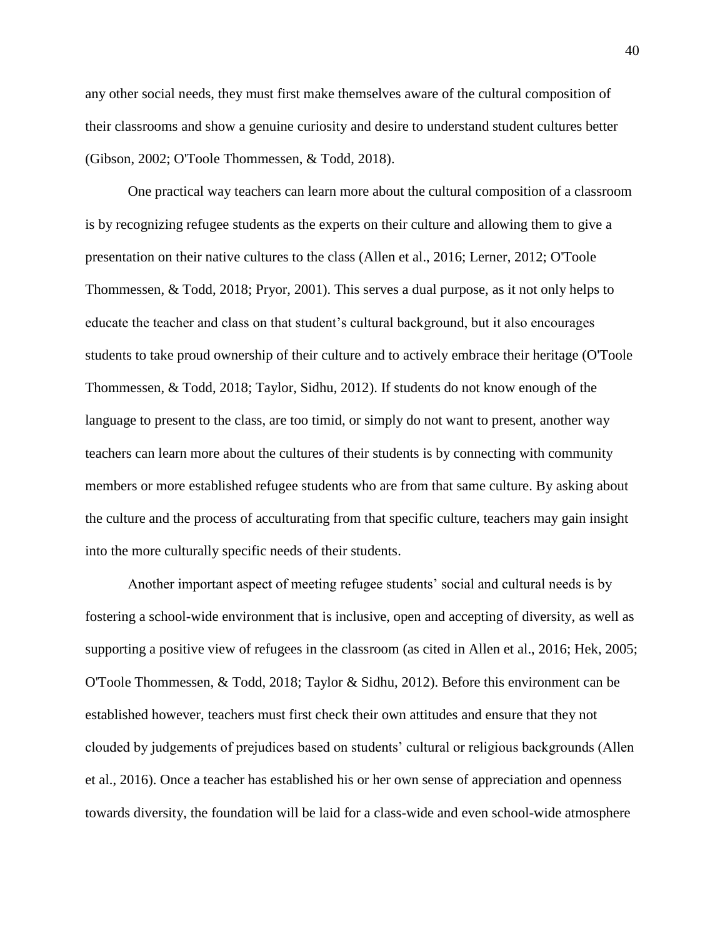any other social needs, they must first make themselves aware of the cultural composition of their classrooms and show a genuine curiosity and desire to understand student cultures better (Gibson, 2002; O'Toole Thommessen, & Todd, 2018).

One practical way teachers can learn more about the cultural composition of a classroom is by recognizing refugee students as the experts on their culture and allowing them to give a presentation on their native cultures to the class (Allen et al., 2016; Lerner, 2012; O'Toole Thommessen, & Todd, 2018; Pryor, 2001). This serves a dual purpose, as it not only helps to educate the teacher and class on that student's cultural background, but it also encourages students to take proud ownership of their culture and to actively embrace their heritage (O'Toole Thommessen, & Todd, 2018; Taylor, Sidhu, 2012). If students do not know enough of the language to present to the class, are too timid, or simply do not want to present, another way teachers can learn more about the cultures of their students is by connecting with community members or more established refugee students who are from that same culture. By asking about the culture and the process of acculturating from that specific culture, teachers may gain insight into the more culturally specific needs of their students.

Another important aspect of meeting refugee students' social and cultural needs is by fostering a school-wide environment that is inclusive, open and accepting of diversity, as well as supporting a positive view of refugees in the classroom (as cited in Allen et al., 2016; Hek, 2005; O'Toole Thommessen, & Todd, 2018; Taylor & Sidhu, 2012). Before this environment can be established however, teachers must first check their own attitudes and ensure that they not clouded by judgements of prejudices based on students' cultural or religious backgrounds (Allen et al., 2016). Once a teacher has established his or her own sense of appreciation and openness towards diversity, the foundation will be laid for a class-wide and even school-wide atmosphere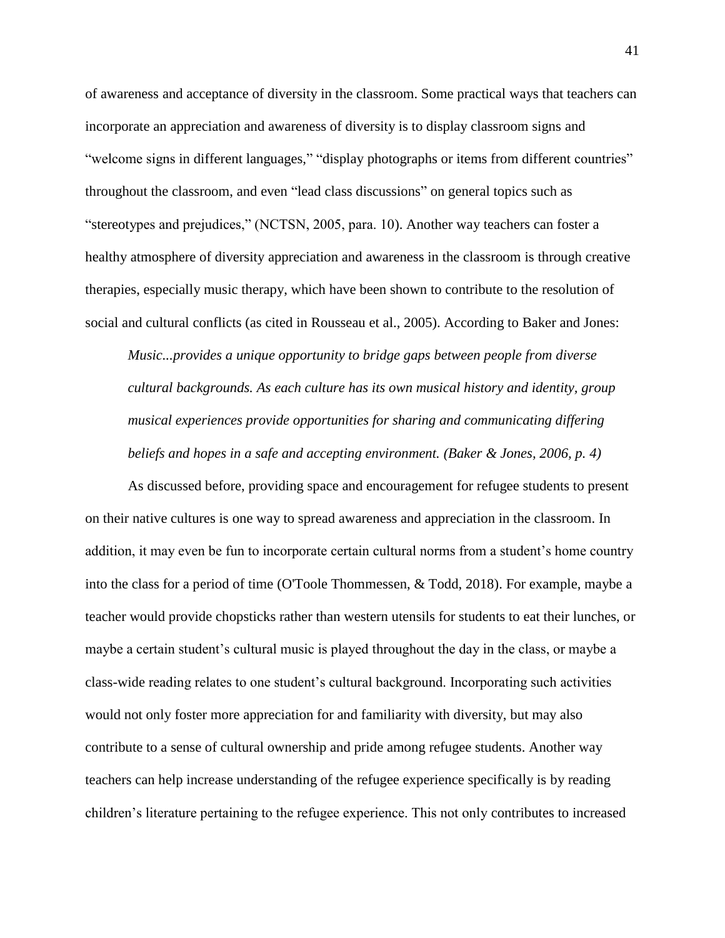of awareness and acceptance of diversity in the classroom. Some practical ways that teachers can incorporate an appreciation and awareness of diversity is to display classroom signs and "welcome signs in different languages," "display photographs or items from different countries" throughout the classroom, and even "lead class discussions" on general topics such as "stereotypes and prejudices," (NCTSN, 2005, para. 10). Another way teachers can foster a healthy atmosphere of diversity appreciation and awareness in the classroom is through creative therapies, especially music therapy, which have been shown to contribute to the resolution of social and cultural conflicts (as cited in Rousseau et al., 2005). According to Baker and Jones:

*Music...provides a unique opportunity to bridge gaps between people from diverse cultural backgrounds. As each culture has its own musical history and identity, group musical experiences provide opportunities for sharing and communicating differing beliefs and hopes in a safe and accepting environment. (Baker & Jones, 2006, p. 4)*

As discussed before, providing space and encouragement for refugee students to present on their native cultures is one way to spread awareness and appreciation in the classroom. In addition, it may even be fun to incorporate certain cultural norms from a student's home country into the class for a period of time (O'Toole Thommessen, & Todd, 2018). For example, maybe a teacher would provide chopsticks rather than western utensils for students to eat their lunches, or maybe a certain student's cultural music is played throughout the day in the class, or maybe a class-wide reading relates to one student's cultural background. Incorporating such activities would not only foster more appreciation for and familiarity with diversity, but may also contribute to a sense of cultural ownership and pride among refugee students. Another way teachers can help increase understanding of the refugee experience specifically is by reading children's literature pertaining to the refugee experience. This not only contributes to increased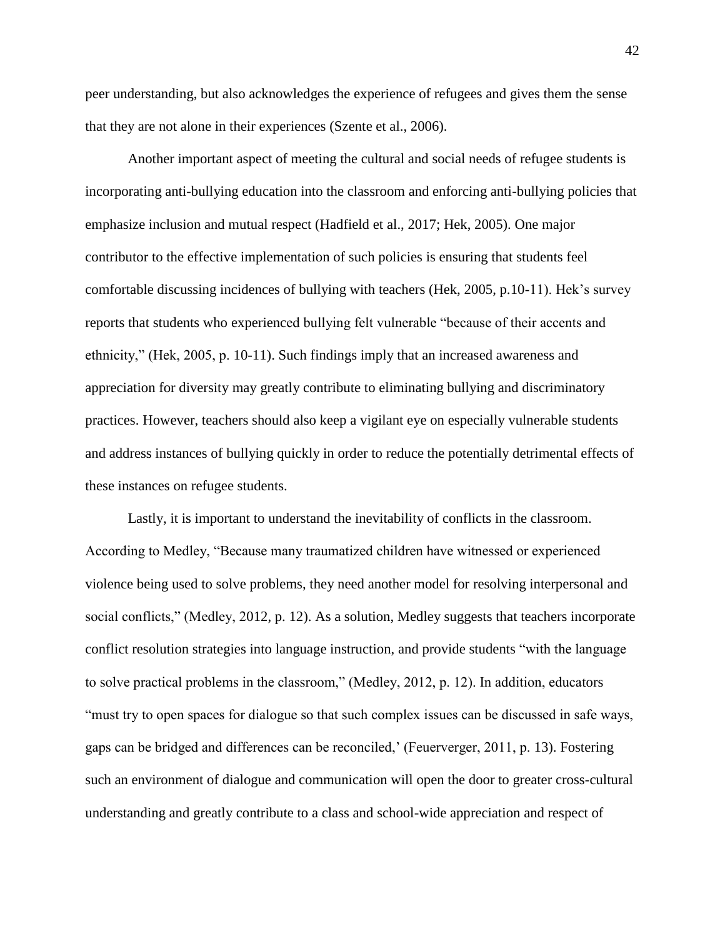peer understanding, but also acknowledges the experience of refugees and gives them the sense that they are not alone in their experiences (Szente et al., 2006).

Another important aspect of meeting the cultural and social needs of refugee students is incorporating anti-bullying education into the classroom and enforcing anti-bullying policies that emphasize inclusion and mutual respect (Hadfield et al., 2017; Hek, 2005). One major contributor to the effective implementation of such policies is ensuring that students feel comfortable discussing incidences of bullying with teachers (Hek, 2005, p.10-11). Hek's survey reports that students who experienced bullying felt vulnerable "because of their accents and ethnicity," (Hek, 2005, p. 10-11). Such findings imply that an increased awareness and appreciation for diversity may greatly contribute to eliminating bullying and discriminatory practices. However, teachers should also keep a vigilant eye on especially vulnerable students and address instances of bullying quickly in order to reduce the potentially detrimental effects of these instances on refugee students.

Lastly, it is important to understand the inevitability of conflicts in the classroom. According to Medley, "Because many traumatized children have witnessed or experienced violence being used to solve problems, they need another model for resolving interpersonal and social conflicts," (Medley, 2012, p. 12). As a solution, Medley suggests that teachers incorporate conflict resolution strategies into language instruction, and provide students "with the language to solve practical problems in the classroom," (Medley, 2012, p. 12). In addition, educators "must try to open spaces for dialogue so that such complex issues can be discussed in safe ways, gaps can be bridged and differences can be reconciled,' (Feuerverger, 2011, p. 13). Fostering such an environment of dialogue and communication will open the door to greater cross-cultural understanding and greatly contribute to a class and school-wide appreciation and respect of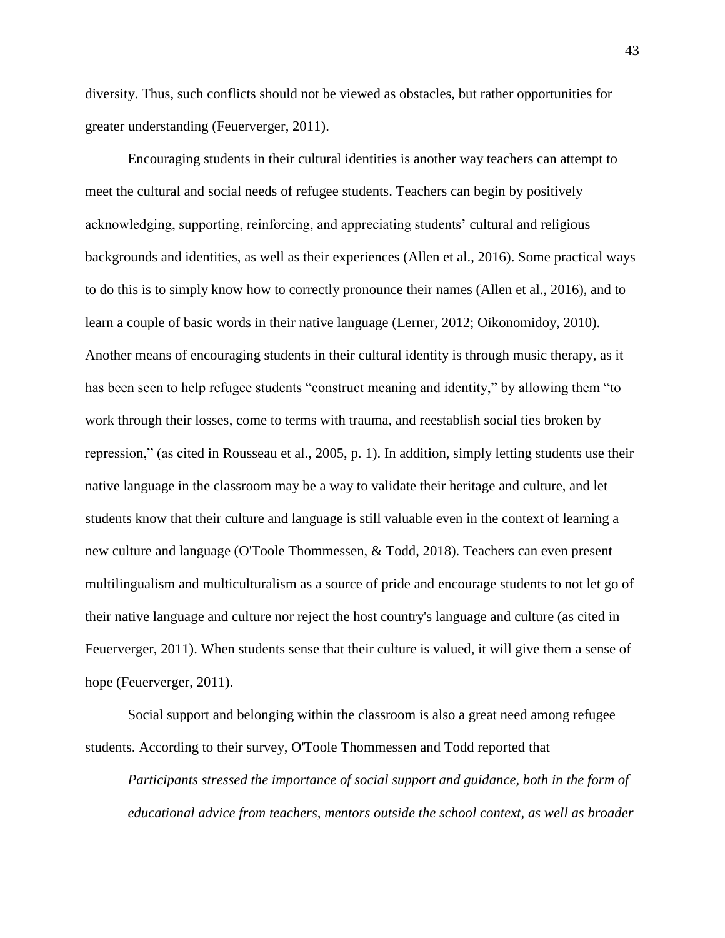diversity. Thus, such conflicts should not be viewed as obstacles, but rather opportunities for greater understanding (Feuerverger, 2011).

Encouraging students in their cultural identities is another way teachers can attempt to meet the cultural and social needs of refugee students. Teachers can begin by positively acknowledging, supporting, reinforcing, and appreciating students' cultural and religious backgrounds and identities, as well as their experiences (Allen et al., 2016). Some practical ways to do this is to simply know how to correctly pronounce their names (Allen et al., 2016), and to learn a couple of basic words in their native language (Lerner, 2012; Oikonomidoy, 2010). Another means of encouraging students in their cultural identity is through music therapy, as it has been seen to help refugee students "construct meaning and identity," by allowing them "to work through their losses, come to terms with trauma, and reestablish social ties broken by repression," (as cited in Rousseau et al., 2005, p. 1). In addition, simply letting students use their native language in the classroom may be a way to validate their heritage and culture, and let students know that their culture and language is still valuable even in the context of learning a new culture and language (O'Toole Thommessen, & Todd, 2018). Teachers can even present multilingualism and multiculturalism as a source of pride and encourage students to not let go of their native language and culture nor reject the host country's language and culture (as cited in Feuerverger, 2011). When students sense that their culture is valued, it will give them a sense of hope (Feuerverger, 2011).

Social support and belonging within the classroom is also a great need among refugee students. According to their survey, O'Toole Thommessen and Todd reported that

*Participants stressed the importance of social support and guidance, both in the form of educational advice from teachers, mentors outside the school context, as well as broader*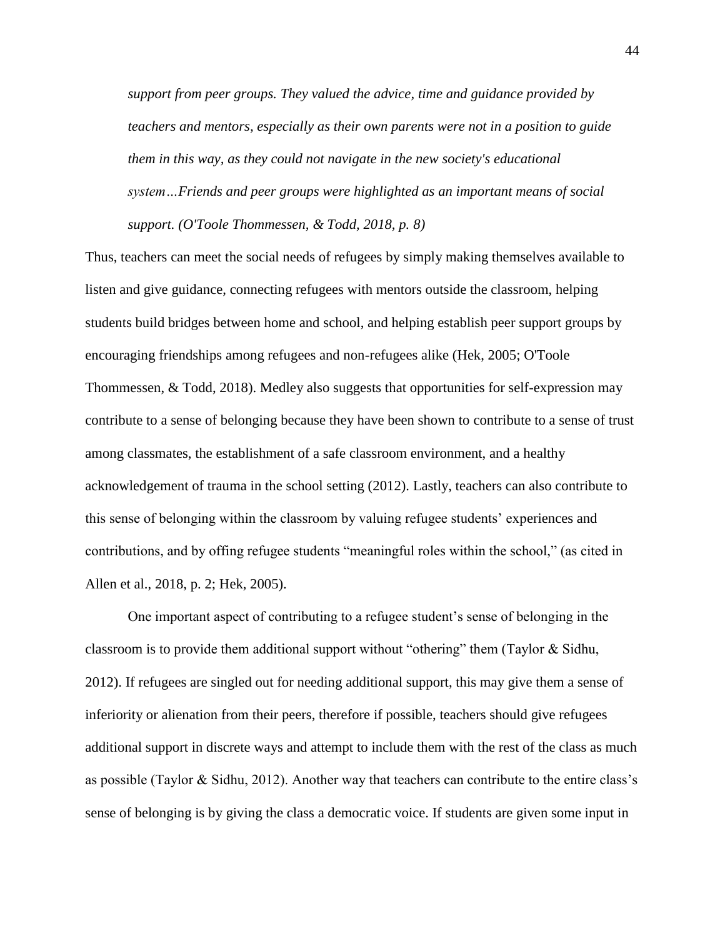*support from peer groups. They valued the advice, time and guidance provided by teachers and mentors, especially as their own parents were not in a position to guide them in this way, as they could not navigate in the new society's educational system…Friends and peer groups were highlighted as an important means of social support. (O'Toole Thommessen, & Todd, 2018, p. 8)*

Thus, teachers can meet the social needs of refugees by simply making themselves available to listen and give guidance, connecting refugees with mentors outside the classroom, helping students build bridges between home and school, and helping establish peer support groups by encouraging friendships among refugees and non-refugees alike (Hek, 2005; O'Toole Thommessen, & Todd, 2018). Medley also suggests that opportunities for self-expression may contribute to a sense of belonging because they have been shown to contribute to a sense of trust among classmates, the establishment of a safe classroom environment, and a healthy acknowledgement of trauma in the school setting (2012). Lastly, teachers can also contribute to this sense of belonging within the classroom by valuing refugee students' experiences and contributions, and by offing refugee students "meaningful roles within the school," (as cited in Allen et al., 2018, p. 2; Hek, 2005).

One important aspect of contributing to a refugee student's sense of belonging in the classroom is to provide them additional support without "othering" them (Taylor & Sidhu, 2012). If refugees are singled out for needing additional support, this may give them a sense of inferiority or alienation from their peers, therefore if possible, teachers should give refugees additional support in discrete ways and attempt to include them with the rest of the class as much as possible (Taylor & Sidhu, 2012). Another way that teachers can contribute to the entire class's sense of belonging is by giving the class a democratic voice. If students are given some input in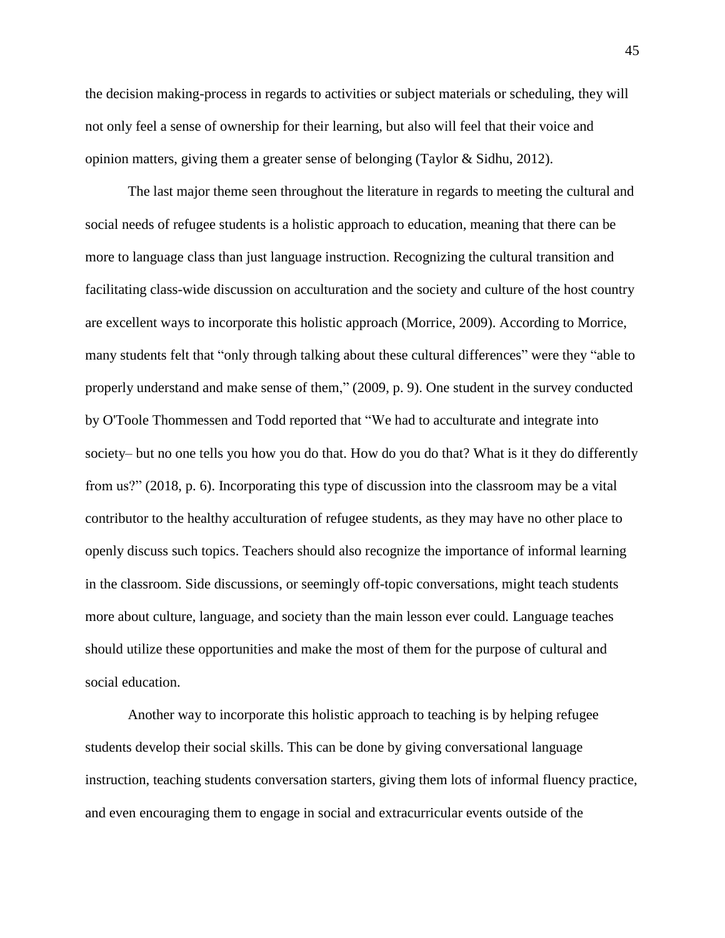the decision making-process in regards to activities or subject materials or scheduling, they will not only feel a sense of ownership for their learning, but also will feel that their voice and opinion matters, giving them a greater sense of belonging (Taylor & Sidhu, 2012).

The last major theme seen throughout the literature in regards to meeting the cultural and social needs of refugee students is a holistic approach to education, meaning that there can be more to language class than just language instruction. Recognizing the cultural transition and facilitating class-wide discussion on acculturation and the society and culture of the host country are excellent ways to incorporate this holistic approach (Morrice, 2009). According to Morrice, many students felt that "only through talking about these cultural differences" were they "able to properly understand and make sense of them," (2009, p. 9). One student in the survey conducted by O'Toole Thommessen and Todd reported that "We had to acculturate and integrate into society– but no one tells you how you do that. How do you do that? What is it they do differently from us?" (2018, p. 6). Incorporating this type of discussion into the classroom may be a vital contributor to the healthy acculturation of refugee students, as they may have no other place to openly discuss such topics. Teachers should also recognize the importance of informal learning in the classroom. Side discussions, or seemingly off-topic conversations, might teach students more about culture, language, and society than the main lesson ever could. Language teaches should utilize these opportunities and make the most of them for the purpose of cultural and social education.

Another way to incorporate this holistic approach to teaching is by helping refugee students develop their social skills. This can be done by giving conversational language instruction, teaching students conversation starters, giving them lots of informal fluency practice, and even encouraging them to engage in social and extracurricular events outside of the

45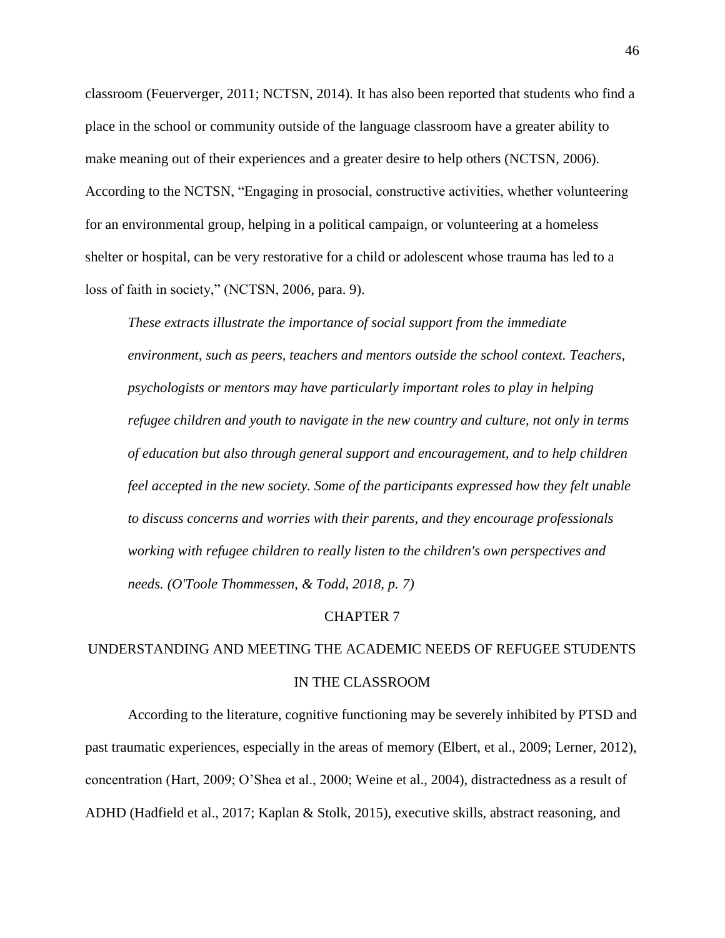classroom (Feuerverger, 2011; NCTSN, 2014). It has also been reported that students who find a place in the school or community outside of the language classroom have a greater ability to make meaning out of their experiences and a greater desire to help others (NCTSN, 2006). According to the NCTSN, "Engaging in prosocial, constructive activities, whether volunteering for an environmental group, helping in a political campaign, or volunteering at a homeless shelter or hospital, can be very restorative for a child or adolescent whose trauma has led to a loss of faith in society," (NCTSN, 2006, para. 9).

*These extracts illustrate the importance of social support from the immediate environment, such as peers, teachers and mentors outside the school context. Teachers, psychologists or mentors may have particularly important roles to play in helping refugee children and youth to navigate in the new country and culture, not only in terms of education but also through general support and encouragement, and to help children feel accepted in the new society. Some of the participants expressed how they felt unable to discuss concerns and worries with their parents, and they encourage professionals working with refugee children to really listen to the children's own perspectives and needs. (O'Toole Thommessen, & Todd, 2018, p. 7)*

#### CHAPTER 7

# UNDERSTANDING AND MEETING THE ACADEMIC NEEDS OF REFUGEE STUDENTS IN THE CLASSROOM

According to the literature, cognitive functioning may be severely inhibited by PTSD and past traumatic experiences, especially in the areas of memory (Elbert, et al., 2009; Lerner, 2012), concentration (Hart, 2009; O'Shea et al., 2000; Weine et al., 2004), distractedness as a result of ADHD (Hadfield et al., 2017; Kaplan & Stolk, 2015), executive skills, abstract reasoning, and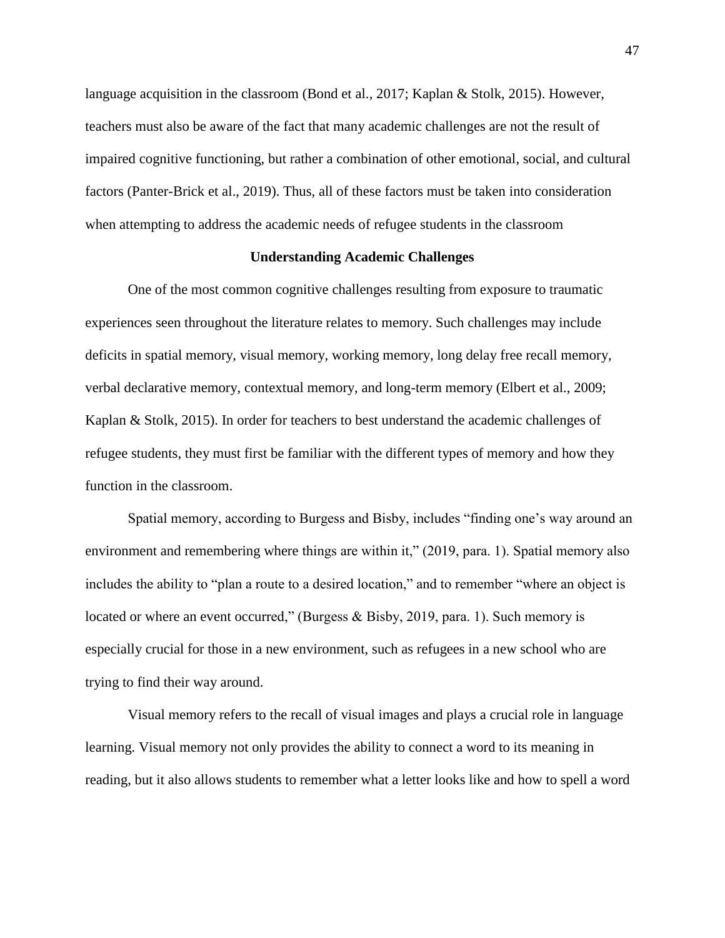language acquisition in the classroom (Bond et al., 2017; Kaplan & Stolk, 2015). However, teachers must also be aware of the fact that many academic challenges are not the result of impaired cognitive functioning, but rather a combination of other emotional, social, and cultural factors (Panter-Brick et al., 2019). Thus, all of these factors must be taken into consideration when attempting to address the academic needs of refugee students in the classroom

# **Understanding Academic Challenges**

One of the most common cognitive challenges resulting from exposure to traumatic experiences seen throughout the literature relates to memory. Such challenges may include deficits in spatial memory, visual memory, working memory, long delay free recall memory, verbal declarative memory, contextual memory, and long-term memory (Elbert et al., 2009; Kaplan & Stolk, 2015). In order for teachers to best understand the academic challenges of refugee students, they must first be familiar with the different types of memory and how they function in the classroom.

Spatial memory, according to Burgess and Bisby, includes "finding one's way around an environment and remembering where things are within it," (2019, para. 1). Spatial memory also includes the ability to "plan a route to a desired location," and to remember "where an object is located or where an event occurred," (Burgess & Bisby, 2019, para. 1). Such memory is especially crucial for those in a new environment, such as refugees in a new school who are trying to find their way around.

Visual memory refers to the recall of visual images and plays a crucial role in language learning. Visual memory not only provides the ability to connect a word to its meaning in reading, but it also allows students to remember what a letter looks like and how to spell a word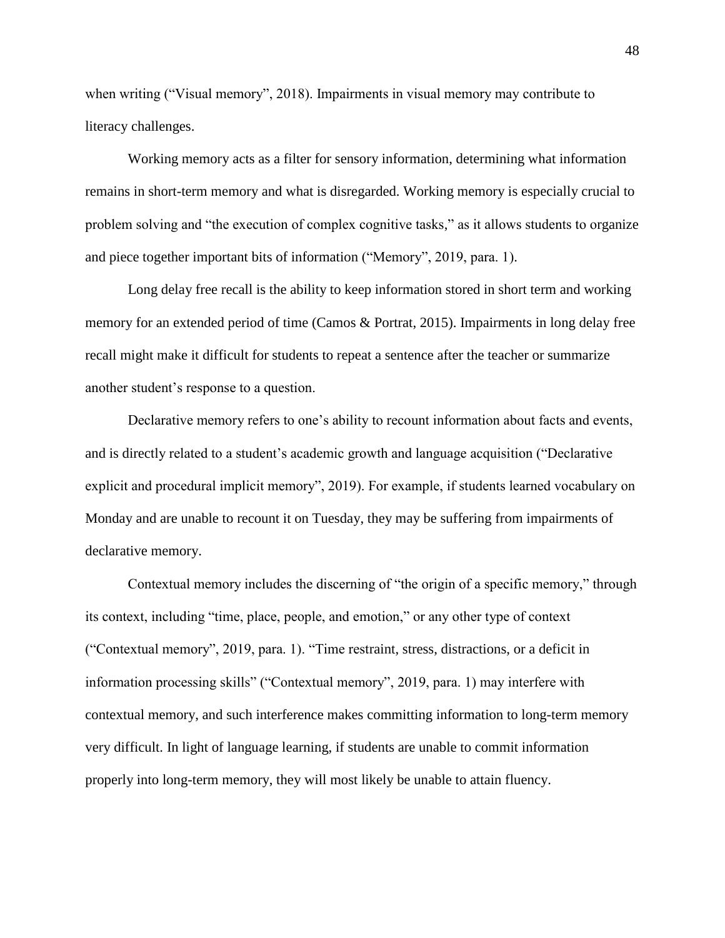when writing ("Visual memory", 2018). Impairments in visual memory may contribute to literacy challenges.

Working memory acts as a filter for sensory information, determining what information remains in short-term memory and what is disregarded. Working memory is especially crucial to problem solving and "the execution of complex cognitive tasks," as it allows students to organize and piece together important bits of information ("Memory", 2019, para. 1).

Long delay free recall is the ability to keep information stored in short term and working memory for an extended period of time (Camos & Portrat, 2015). Impairments in long delay free recall might make it difficult for students to repeat a sentence after the teacher or summarize another student's response to a question.

Declarative memory refers to one's ability to recount information about facts and events, and is directly related to a student's academic growth and language acquisition ("Declarative explicit and procedural implicit memory", 2019). For example, if students learned vocabulary on Monday and are unable to recount it on Tuesday, they may be suffering from impairments of declarative memory.

Contextual memory includes the discerning of "the origin of a specific memory," through its context, including "time, place, people, and emotion," or any other type of context ("Contextual memory", 2019, para. 1). "Time restraint, stress, distractions, or a deficit in information processing skills" ("Contextual memory", 2019, para. 1) may interfere with contextual memory, and such interference makes committing information to long-term memory very difficult. In light of language learning, if students are unable to commit information properly into long-term memory, they will most likely be unable to attain fluency.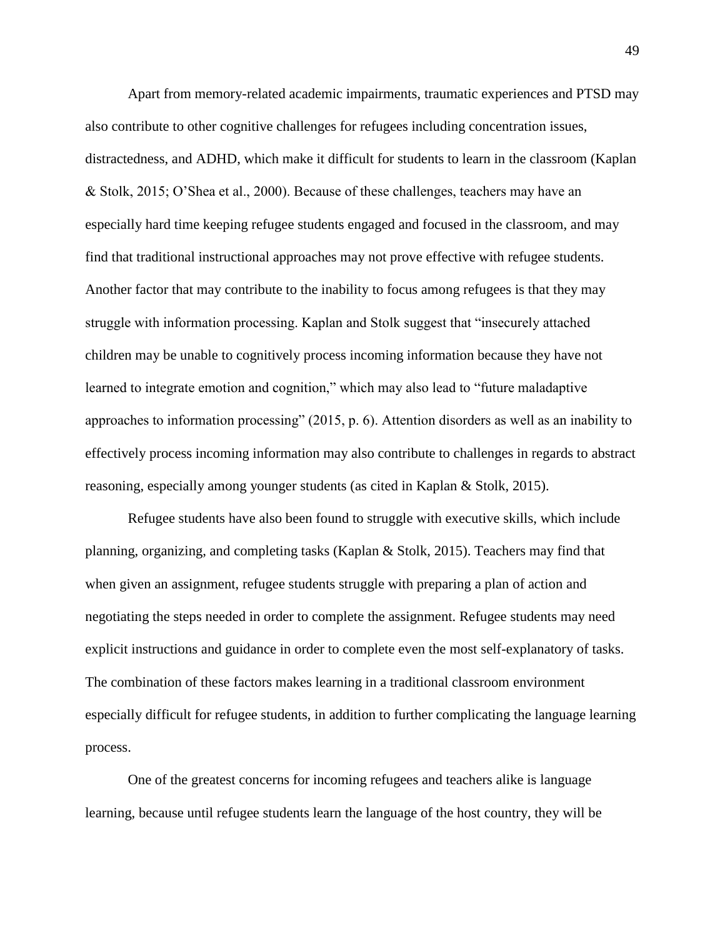Apart from memory-related academic impairments, traumatic experiences and PTSD may also contribute to other cognitive challenges for refugees including concentration issues, distractedness, and ADHD, which make it difficult for students to learn in the classroom (Kaplan & Stolk, 2015; O'Shea et al., 2000). Because of these challenges, teachers may have an especially hard time keeping refugee students engaged and focused in the classroom, and may find that traditional instructional approaches may not prove effective with refugee students. Another factor that may contribute to the inability to focus among refugees is that they may struggle with information processing. Kaplan and Stolk suggest that "insecurely attached children may be unable to cognitively process incoming information because they have not learned to integrate emotion and cognition," which may also lead to "future maladaptive approaches to information processing" (2015, p. 6). Attention disorders as well as an inability to effectively process incoming information may also contribute to challenges in regards to abstract reasoning, especially among younger students (as cited in Kaplan & Stolk, 2015).

Refugee students have also been found to struggle with executive skills, which include planning, organizing, and completing tasks (Kaplan & Stolk, 2015). Teachers may find that when given an assignment, refugee students struggle with preparing a plan of action and negotiating the steps needed in order to complete the assignment. Refugee students may need explicit instructions and guidance in order to complete even the most self-explanatory of tasks. The combination of these factors makes learning in a traditional classroom environment especially difficult for refugee students, in addition to further complicating the language learning process.

One of the greatest concerns for incoming refugees and teachers alike is language learning, because until refugee students learn the language of the host country, they will be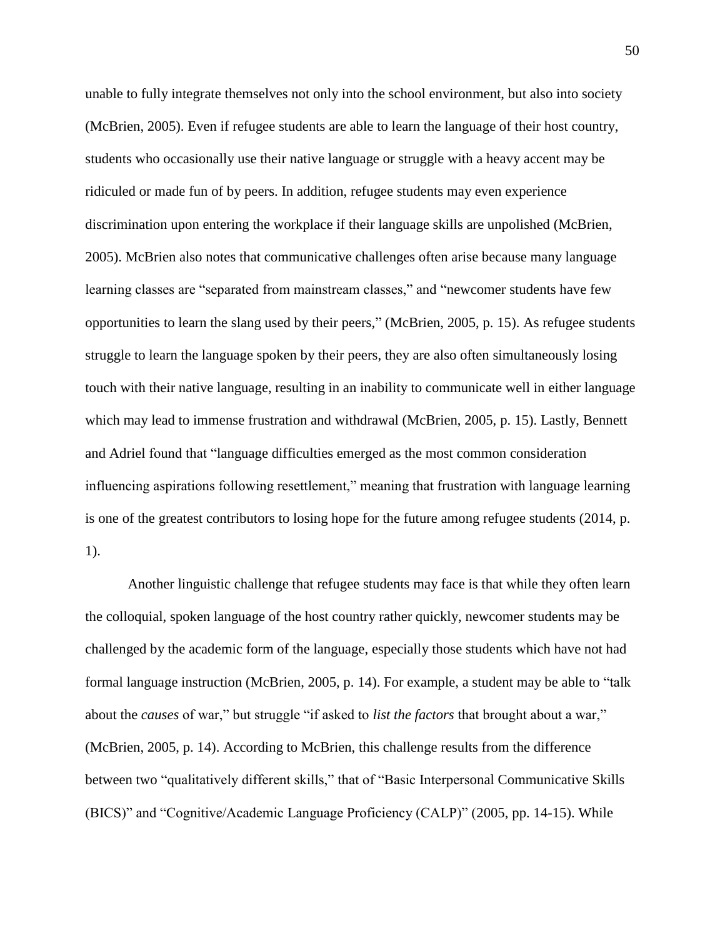unable to fully integrate themselves not only into the school environment, but also into society (McBrien, 2005). Even if refugee students are able to learn the language of their host country, students who occasionally use their native language or struggle with a heavy accent may be ridiculed or made fun of by peers. In addition, refugee students may even experience discrimination upon entering the workplace if their language skills are unpolished (McBrien, 2005). McBrien also notes that communicative challenges often arise because many language learning classes are "separated from mainstream classes," and "newcomer students have few opportunities to learn the slang used by their peers," (McBrien, 2005, p. 15). As refugee students struggle to learn the language spoken by their peers, they are also often simultaneously losing touch with their native language, resulting in an inability to communicate well in either language which may lead to immense frustration and withdrawal (McBrien, 2005, p. 15). Lastly, Bennett and Adriel found that "language difficulties emerged as the most common consideration influencing aspirations following resettlement," meaning that frustration with language learning is one of the greatest contributors to losing hope for the future among refugee students (2014, p. 1).

Another linguistic challenge that refugee students may face is that while they often learn the colloquial, spoken language of the host country rather quickly, newcomer students may be challenged by the academic form of the language, especially those students which have not had formal language instruction (McBrien, 2005, p. 14). For example, a student may be able to "talk about the *causes* of war," but struggle "if asked to *list the factors* that brought about a war," (McBrien, 2005, p. 14). According to McBrien, this challenge results from the difference between two "qualitatively different skills," that of "Basic Interpersonal Communicative Skills (BICS)" and "Cognitive/Academic Language Proficiency (CALP)" (2005, pp. 14-15). While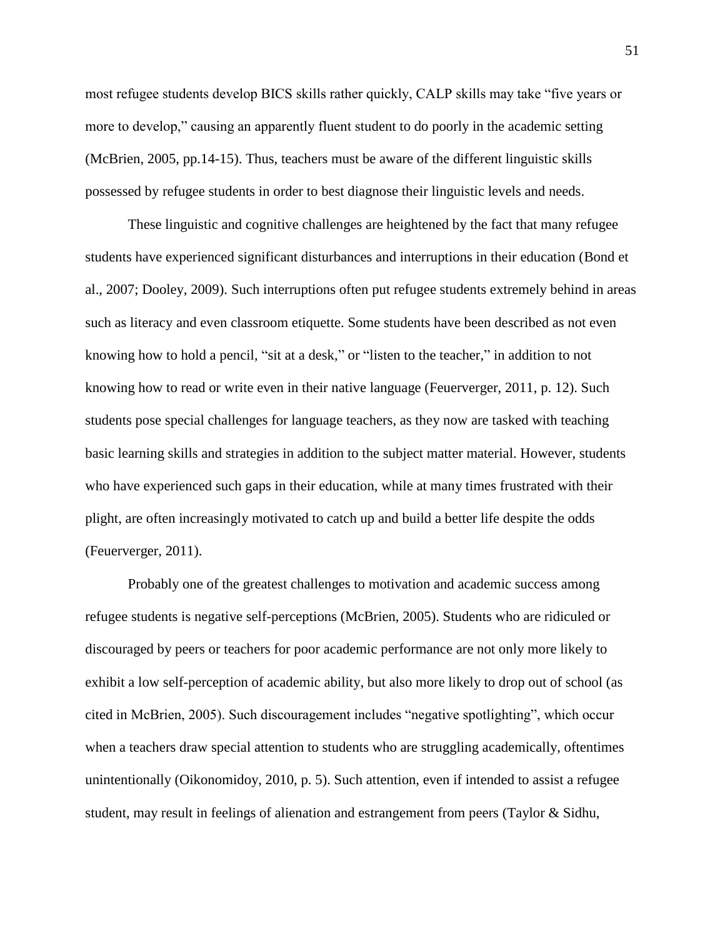most refugee students develop BICS skills rather quickly, CALP skills may take "five years or more to develop," causing an apparently fluent student to do poorly in the academic setting (McBrien, 2005, pp.14-15). Thus, teachers must be aware of the different linguistic skills possessed by refugee students in order to best diagnose their linguistic levels and needs.

These linguistic and cognitive challenges are heightened by the fact that many refugee students have experienced significant disturbances and interruptions in their education (Bond et al., 2007; Dooley, 2009). Such interruptions often put refugee students extremely behind in areas such as literacy and even classroom etiquette. Some students have been described as not even knowing how to hold a pencil, "sit at a desk," or "listen to the teacher," in addition to not knowing how to read or write even in their native language (Feuerverger, 2011, p. 12). Such students pose special challenges for language teachers, as they now are tasked with teaching basic learning skills and strategies in addition to the subject matter material. However, students who have experienced such gaps in their education, while at many times frustrated with their plight, are often increasingly motivated to catch up and build a better life despite the odds (Feuerverger, 2011).

Probably one of the greatest challenges to motivation and academic success among refugee students is negative self-perceptions (McBrien, 2005). Students who are ridiculed or discouraged by peers or teachers for poor academic performance are not only more likely to exhibit a low self-perception of academic ability, but also more likely to drop out of school (as cited in McBrien, 2005). Such discouragement includes "negative spotlighting", which occur when a teachers draw special attention to students who are struggling academically, oftentimes unintentionally (Oikonomidoy, 2010, p. 5). Such attention, even if intended to assist a refugee student, may result in feelings of alienation and estrangement from peers (Taylor & Sidhu,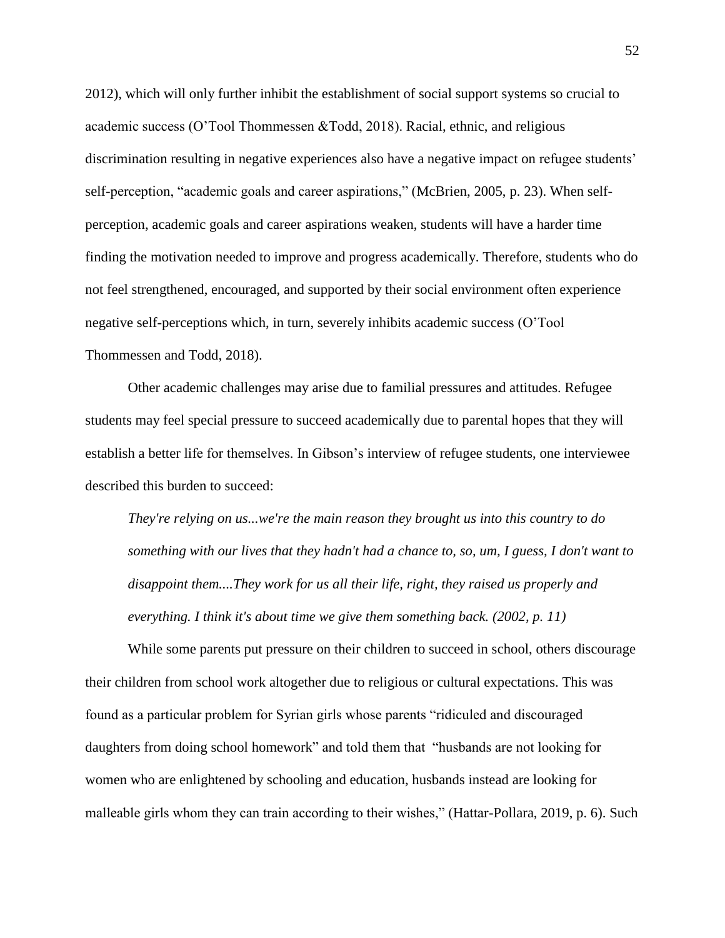2012), which will only further inhibit the establishment of social support systems so crucial to academic success (O'Tool Thommessen &Todd, 2018). Racial, ethnic, and religious discrimination resulting in negative experiences also have a negative impact on refugee students' self-perception, "academic goals and career aspirations," (McBrien, 2005, p. 23). When selfperception, academic goals and career aspirations weaken, students will have a harder time finding the motivation needed to improve and progress academically. Therefore, students who do not feel strengthened, encouraged, and supported by their social environment often experience negative self-perceptions which, in turn, severely inhibits academic success (O'Tool Thommessen and Todd, 2018).

Other academic challenges may arise due to familial pressures and attitudes. Refugee students may feel special pressure to succeed academically due to parental hopes that they will establish a better life for themselves. In Gibson's interview of refugee students, one interviewee described this burden to succeed:

*They're relying on us...we're the main reason they brought us into this country to do something with our lives that they hadn't had a chance to, so, um, I guess, I don't want to disappoint them....They work for us all their life, right, they raised us properly and everything. I think it's about time we give them something back. (2002, p. 11)*

While some parents put pressure on their children to succeed in school, others discourage their children from school work altogether due to religious or cultural expectations. This was found as a particular problem for Syrian girls whose parents "ridiculed and discouraged daughters from doing school homework" and told them that "husbands are not looking for women who are enlightened by schooling and education, husbands instead are looking for malleable girls whom they can train according to their wishes," (Hattar-Pollara, 2019, p. 6). Such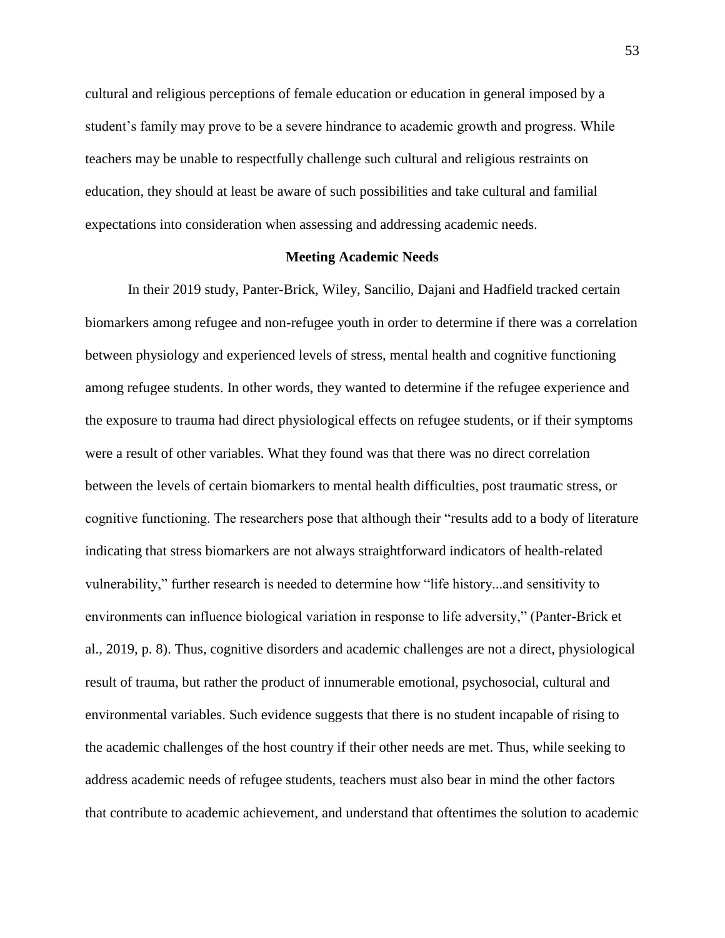cultural and religious perceptions of female education or education in general imposed by a student's family may prove to be a severe hindrance to academic growth and progress. While teachers may be unable to respectfully challenge such cultural and religious restraints on education, they should at least be aware of such possibilities and take cultural and familial expectations into consideration when assessing and addressing academic needs.

# **Meeting Academic Needs**

In their 2019 study, Panter-Brick, Wiley, Sancilio, Dajani and Hadfield tracked certain biomarkers among refugee and non-refugee youth in order to determine if there was a correlation between physiology and experienced levels of stress, mental health and cognitive functioning among refugee students. In other words, they wanted to determine if the refugee experience and the exposure to trauma had direct physiological effects on refugee students, or if their symptoms were a result of other variables. What they found was that there was no direct correlation between the levels of certain biomarkers to mental health difficulties, post traumatic stress, or cognitive functioning. The researchers pose that although their "results add to a body of literature indicating that stress biomarkers are not always straightforward indicators of health-related vulnerability," further research is needed to determine how "life history...and sensitivity to environments can influence biological variation in response to life adversity," (Panter-Brick et al., 2019, p. 8). Thus, cognitive disorders and academic challenges are not a direct, physiological result of trauma, but rather the product of innumerable emotional, psychosocial, cultural and environmental variables. Such evidence suggests that there is no student incapable of rising to the academic challenges of the host country if their other needs are met. Thus, while seeking to address academic needs of refugee students, teachers must also bear in mind the other factors that contribute to academic achievement, and understand that oftentimes the solution to academic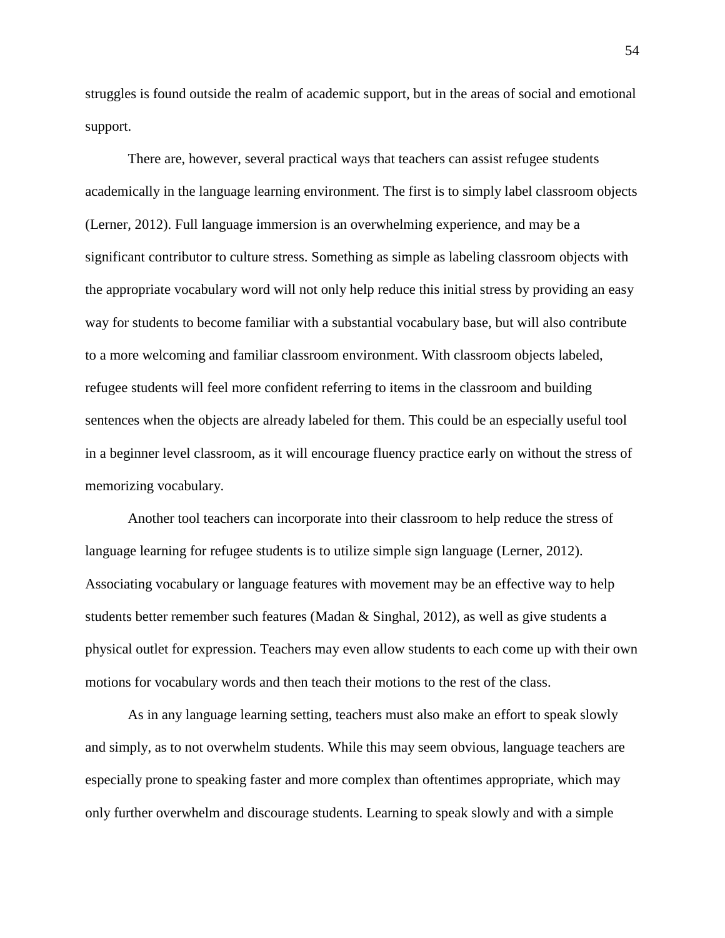struggles is found outside the realm of academic support, but in the areas of social and emotional support.

There are, however, several practical ways that teachers can assist refugee students academically in the language learning environment. The first is to simply label classroom objects (Lerner, 2012). Full language immersion is an overwhelming experience, and may be a significant contributor to culture stress. Something as simple as labeling classroom objects with the appropriate vocabulary word will not only help reduce this initial stress by providing an easy way for students to become familiar with a substantial vocabulary base, but will also contribute to a more welcoming and familiar classroom environment. With classroom objects labeled, refugee students will feel more confident referring to items in the classroom and building sentences when the objects are already labeled for them. This could be an especially useful tool in a beginner level classroom, as it will encourage fluency practice early on without the stress of memorizing vocabulary.

Another tool teachers can incorporate into their classroom to help reduce the stress of language learning for refugee students is to utilize simple sign language (Lerner, 2012). Associating vocabulary or language features with movement may be an effective way to help students better remember such features (Madan & Singhal, 2012), as well as give students a physical outlet for expression. Teachers may even allow students to each come up with their own motions for vocabulary words and then teach their motions to the rest of the class.

As in any language learning setting, teachers must also make an effort to speak slowly and simply, as to not overwhelm students. While this may seem obvious, language teachers are especially prone to speaking faster and more complex than oftentimes appropriate, which may only further overwhelm and discourage students. Learning to speak slowly and with a simple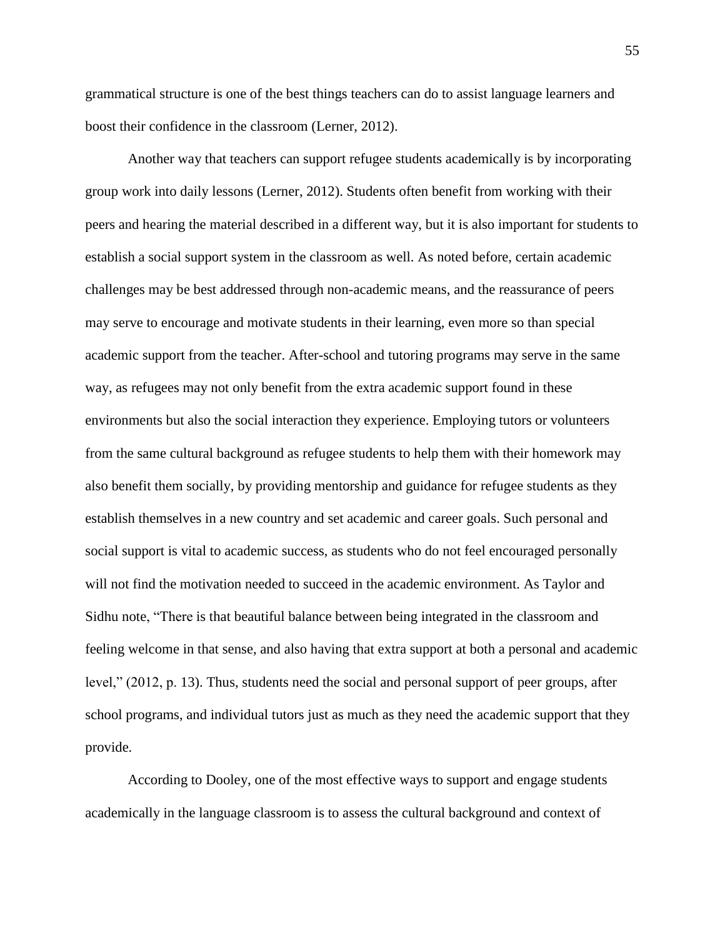grammatical structure is one of the best things teachers can do to assist language learners and boost their confidence in the classroom (Lerner, 2012).

Another way that teachers can support refugee students academically is by incorporating group work into daily lessons (Lerner, 2012). Students often benefit from working with their peers and hearing the material described in a different way, but it is also important for students to establish a social support system in the classroom as well. As noted before, certain academic challenges may be best addressed through non-academic means, and the reassurance of peers may serve to encourage and motivate students in their learning, even more so than special academic support from the teacher. After-school and tutoring programs may serve in the same way, as refugees may not only benefit from the extra academic support found in these environments but also the social interaction they experience. Employing tutors or volunteers from the same cultural background as refugee students to help them with their homework may also benefit them socially, by providing mentorship and guidance for refugee students as they establish themselves in a new country and set academic and career goals. Such personal and social support is vital to academic success, as students who do not feel encouraged personally will not find the motivation needed to succeed in the academic environment. As Taylor and Sidhu note, "There is that beautiful balance between being integrated in the classroom and feeling welcome in that sense, and also having that extra support at both a personal and academic level," (2012, p. 13). Thus, students need the social and personal support of peer groups, after school programs, and individual tutors just as much as they need the academic support that they provide.

According to Dooley, one of the most effective ways to support and engage students academically in the language classroom is to assess the cultural background and context of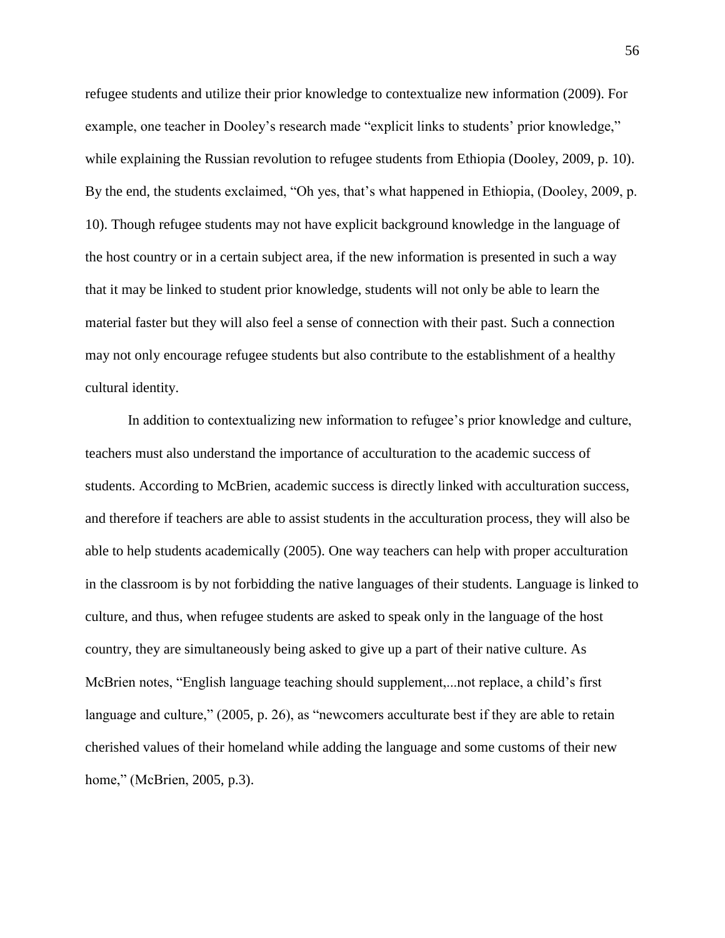refugee students and utilize their prior knowledge to contextualize new information (2009). For example, one teacher in Dooley's research made "explicit links to students' prior knowledge," while explaining the Russian revolution to refugee students from Ethiopia (Dooley, 2009, p. 10). By the end, the students exclaimed, "Oh yes, that's what happened in Ethiopia, (Dooley, 2009, p. 10). Though refugee students may not have explicit background knowledge in the language of the host country or in a certain subject area, if the new information is presented in such a way that it may be linked to student prior knowledge, students will not only be able to learn the material faster but they will also feel a sense of connection with their past. Such a connection may not only encourage refugee students but also contribute to the establishment of a healthy cultural identity.

In addition to contextualizing new information to refugee's prior knowledge and culture, teachers must also understand the importance of acculturation to the academic success of students. According to McBrien, academic success is directly linked with acculturation success, and therefore if teachers are able to assist students in the acculturation process, they will also be able to help students academically (2005). One way teachers can help with proper acculturation in the classroom is by not forbidding the native languages of their students. Language is linked to culture, and thus, when refugee students are asked to speak only in the language of the host country, they are simultaneously being asked to give up a part of their native culture. As McBrien notes, "English language teaching should supplement,...not replace, a child's first language and culture," (2005, p. 26), as "newcomers acculturate best if they are able to retain cherished values of their homeland while adding the language and some customs of their new home," (McBrien, 2005, p.3).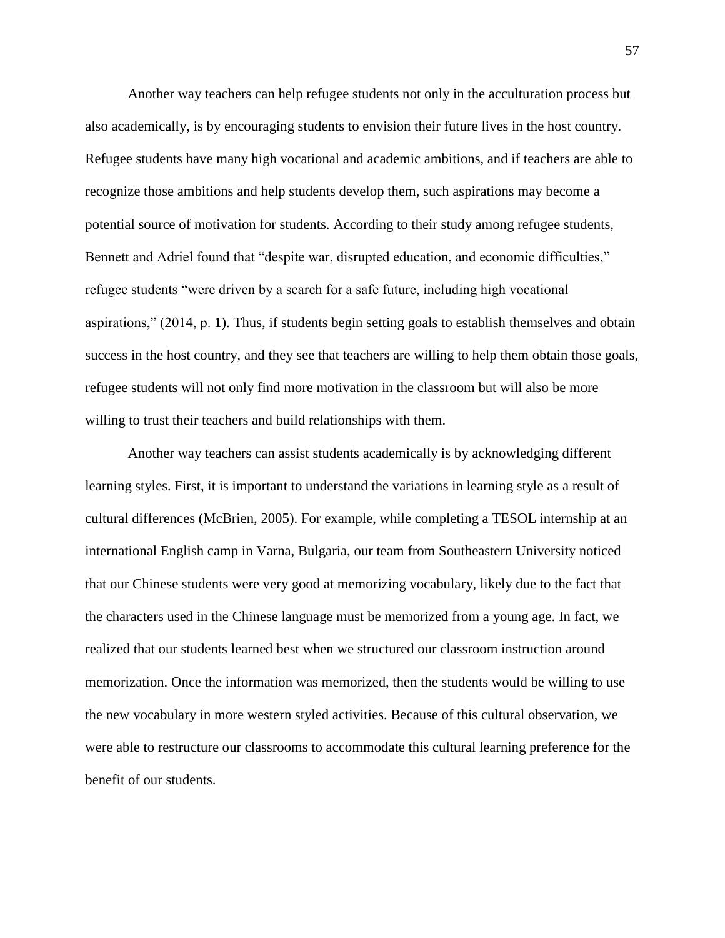Another way teachers can help refugee students not only in the acculturation process but also academically, is by encouraging students to envision their future lives in the host country. Refugee students have many high vocational and academic ambitions, and if teachers are able to recognize those ambitions and help students develop them, such aspirations may become a potential source of motivation for students. According to their study among refugee students, Bennett and Adriel found that "despite war, disrupted education, and economic difficulties," refugee students "were driven by a search for a safe future, including high vocational aspirations," (2014, p. 1). Thus, if students begin setting goals to establish themselves and obtain success in the host country, and they see that teachers are willing to help them obtain those goals, refugee students will not only find more motivation in the classroom but will also be more willing to trust their teachers and build relationships with them.

Another way teachers can assist students academically is by acknowledging different learning styles. First, it is important to understand the variations in learning style as a result of cultural differences (McBrien, 2005). For example, while completing a TESOL internship at an international English camp in Varna, Bulgaria, our team from Southeastern University noticed that our Chinese students were very good at memorizing vocabulary, likely due to the fact that the characters used in the Chinese language must be memorized from a young age. In fact, we realized that our students learned best when we structured our classroom instruction around memorization. Once the information was memorized, then the students would be willing to use the new vocabulary in more western styled activities. Because of this cultural observation, we were able to restructure our classrooms to accommodate this cultural learning preference for the benefit of our students.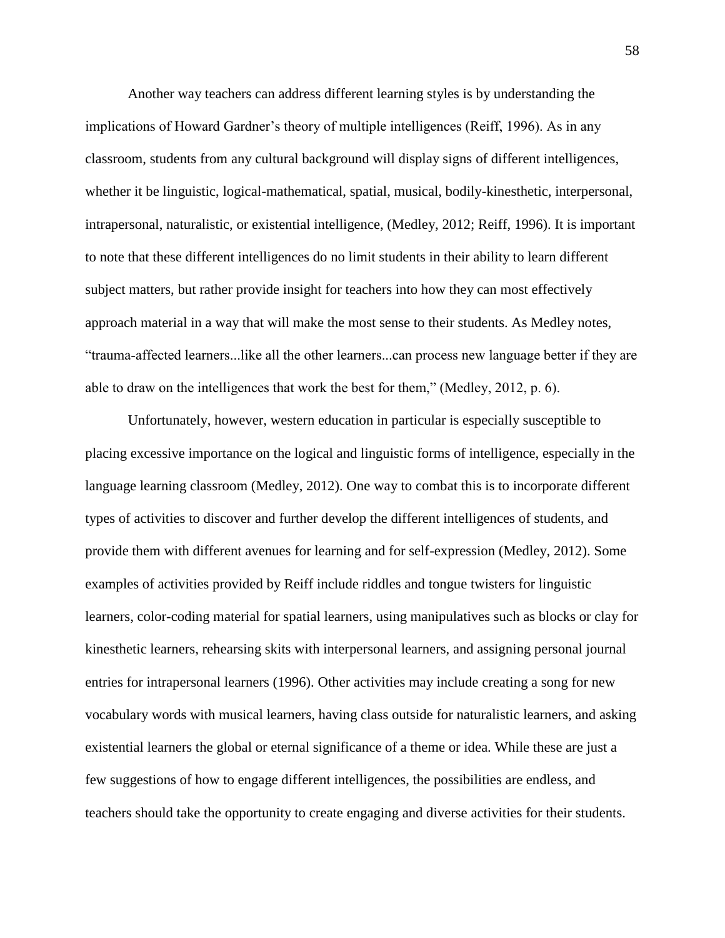Another way teachers can address different learning styles is by understanding the implications of Howard Gardner's theory of multiple intelligences (Reiff, 1996). As in any classroom, students from any cultural background will display signs of different intelligences, whether it be linguistic, logical-mathematical, spatial, musical, bodily-kinesthetic, interpersonal, intrapersonal, naturalistic, or existential intelligence, (Medley, 2012; Reiff, 1996). It is important to note that these different intelligences do no limit students in their ability to learn different subject matters, but rather provide insight for teachers into how they can most effectively approach material in a way that will make the most sense to their students. As Medley notes, "trauma‐affected learners...like all the other learners...can process new language better if they are able to draw on the intelligences that work the best for them," (Medley, 2012, p. 6).

Unfortunately, however, western education in particular is especially susceptible to placing excessive importance on the logical and linguistic forms of intelligence, especially in the language learning classroom (Medley, 2012). One way to combat this is to incorporate different types of activities to discover and further develop the different intelligences of students, and provide them with different avenues for learning and for self-expression (Medley, 2012). Some examples of activities provided by Reiff include riddles and tongue twisters for linguistic learners, color-coding material for spatial learners, using manipulatives such as blocks or clay for kinesthetic learners, rehearsing skits with interpersonal learners, and assigning personal journal entries for intrapersonal learners (1996). Other activities may include creating a song for new vocabulary words with musical learners, having class outside for naturalistic learners, and asking existential learners the global or eternal significance of a theme or idea. While these are just a few suggestions of how to engage different intelligences, the possibilities are endless, and teachers should take the opportunity to create engaging and diverse activities for their students.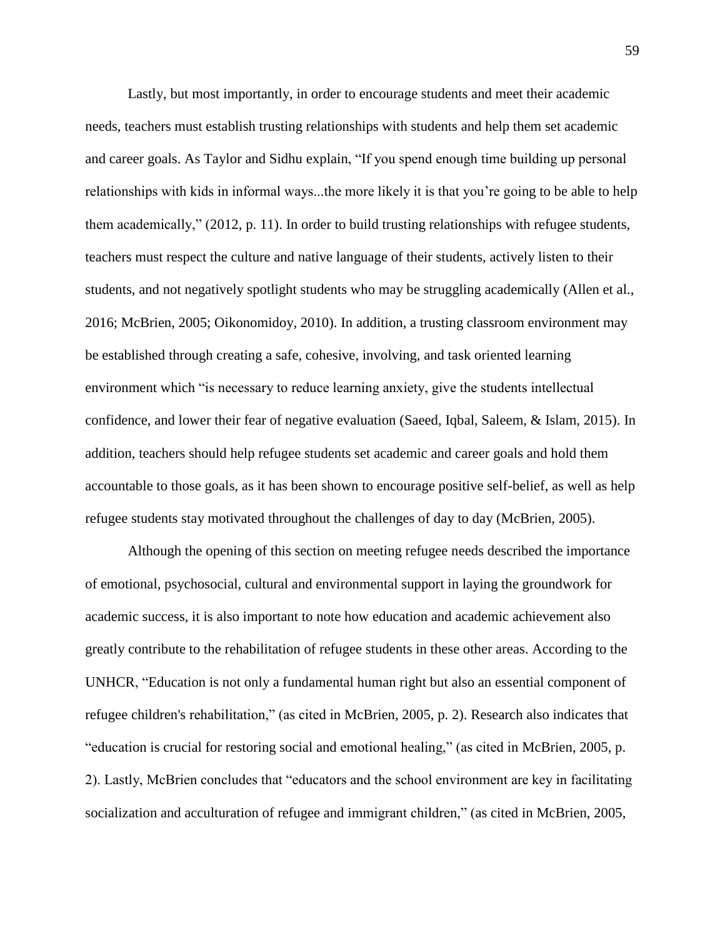Lastly, but most importantly, in order to encourage students and meet their academic needs, teachers must establish trusting relationships with students and help them set academic and career goals. As Taylor and Sidhu explain, "If you spend enough time building up personal relationships with kids in informal ways...the more likely it is that you're going to be able to help them academically," (2012, p. 11). In order to build trusting relationships with refugee students, teachers must respect the culture and native language of their students, actively listen to their students, and not negatively spotlight students who may be struggling academically (Allen et al., 2016; McBrien, 2005; Oikonomidoy, 2010). In addition, a trusting classroom environment may be established through creating a safe, cohesive, involving, and task oriented learning environment which "is necessary to reduce learning anxiety, give the students intellectual confidence, and lower their fear of negative evaluation (Saeed, Iqbal, Saleem, & Islam, 2015). In addition, teachers should help refugee students set academic and career goals and hold them accountable to those goals, as it has been shown to encourage positive self-belief, as well as help refugee students stay motivated throughout the challenges of day to day (McBrien, 2005).

Although the opening of this section on meeting refugee needs described the importance of emotional, psychosocial, cultural and environmental support in laying the groundwork for academic success, it is also important to note how education and academic achievement also greatly contribute to the rehabilitation of refugee students in these other areas. According to the UNHCR, "Education is not only a fundamental human right but also an essential component of refugee children's rehabilitation," (as cited in McBrien, 2005, p. 2). Research also indicates that "education is crucial for restoring social and emotional healing," (as cited in McBrien, 2005, p. 2). Lastly, McBrien concludes that "educators and the school environment are key in facilitating socialization and acculturation of refugee and immigrant children," (as cited in McBrien, 2005,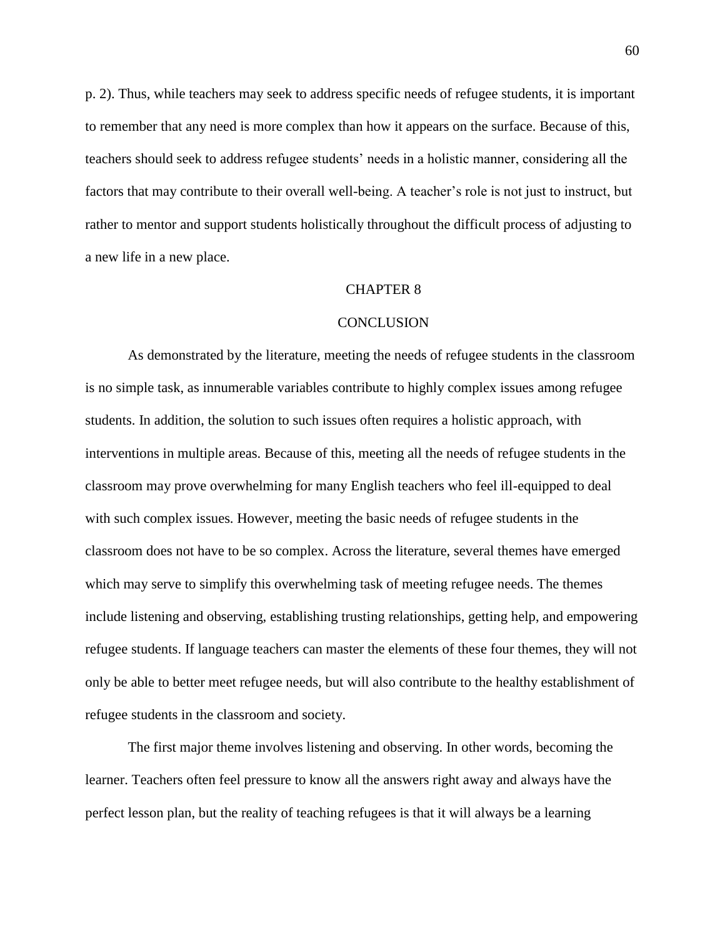p. 2). Thus, while teachers may seek to address specific needs of refugee students, it is important to remember that any need is more complex than how it appears on the surface. Because of this, teachers should seek to address refugee students' needs in a holistic manner, considering all the factors that may contribute to their overall well-being. A teacher's role is not just to instruct, but rather to mentor and support students holistically throughout the difficult process of adjusting to a new life in a new place.

## CHAPTER 8

## **CONCLUSION**

As demonstrated by the literature, meeting the needs of refugee students in the classroom is no simple task, as innumerable variables contribute to highly complex issues among refugee students. In addition, the solution to such issues often requires a holistic approach, with interventions in multiple areas. Because of this, meeting all the needs of refugee students in the classroom may prove overwhelming for many English teachers who feel ill-equipped to deal with such complex issues. However, meeting the basic needs of refugee students in the classroom does not have to be so complex. Across the literature, several themes have emerged which may serve to simplify this overwhelming task of meeting refugee needs. The themes include listening and observing, establishing trusting relationships, getting help, and empowering refugee students. If language teachers can master the elements of these four themes, they will not only be able to better meet refugee needs, but will also contribute to the healthy establishment of refugee students in the classroom and society.

The first major theme involves listening and observing. In other words, becoming the learner. Teachers often feel pressure to know all the answers right away and always have the perfect lesson plan, but the reality of teaching refugees is that it will always be a learning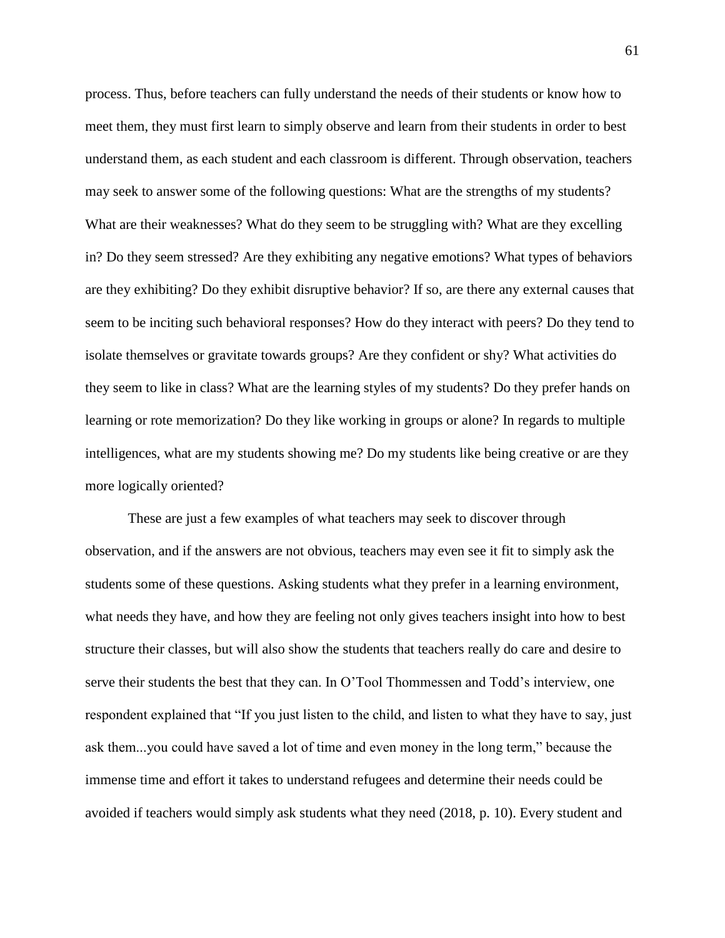process. Thus, before teachers can fully understand the needs of their students or know how to meet them, they must first learn to simply observe and learn from their students in order to best understand them, as each student and each classroom is different. Through observation, teachers may seek to answer some of the following questions: What are the strengths of my students? What are their weaknesses? What do they seem to be struggling with? What are they excelling in? Do they seem stressed? Are they exhibiting any negative emotions? What types of behaviors are they exhibiting? Do they exhibit disruptive behavior? If so, are there any external causes that seem to be inciting such behavioral responses? How do they interact with peers? Do they tend to isolate themselves or gravitate towards groups? Are they confident or shy? What activities do they seem to like in class? What are the learning styles of my students? Do they prefer hands on learning or rote memorization? Do they like working in groups or alone? In regards to multiple intelligences, what are my students showing me? Do my students like being creative or are they more logically oriented?

These are just a few examples of what teachers may seek to discover through observation, and if the answers are not obvious, teachers may even see it fit to simply ask the students some of these questions. Asking students what they prefer in a learning environment, what needs they have, and how they are feeling not only gives teachers insight into how to best structure their classes, but will also show the students that teachers really do care and desire to serve their students the best that they can. In O'Tool Thommessen and Todd's interview, one respondent explained that "If you just listen to the child, and listen to what they have to say, just ask them...you could have saved a lot of time and even money in the long term," because the immense time and effort it takes to understand refugees and determine their needs could be avoided if teachers would simply ask students what they need (2018, p. 10). Every student and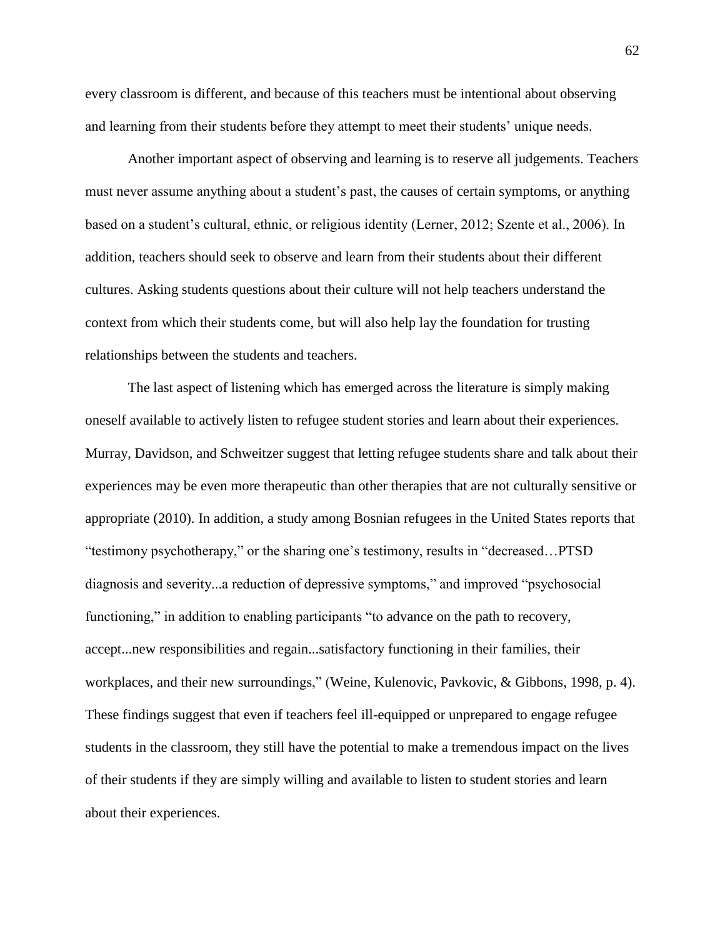every classroom is different, and because of this teachers must be intentional about observing and learning from their students before they attempt to meet their students' unique needs.

Another important aspect of observing and learning is to reserve all judgements. Teachers must never assume anything about a student's past, the causes of certain symptoms, or anything based on a student's cultural, ethnic, or religious identity (Lerner, 2012; Szente et al., 2006). In addition, teachers should seek to observe and learn from their students about their different cultures. Asking students questions about their culture will not help teachers understand the context from which their students come, but will also help lay the foundation for trusting relationships between the students and teachers.

The last aspect of listening which has emerged across the literature is simply making oneself available to actively listen to refugee student stories and learn about their experiences. Murray, Davidson, and Schweitzer suggest that letting refugee students share and talk about their experiences may be even more therapeutic than other therapies that are not culturally sensitive or appropriate (2010). In addition, a study among Bosnian refugees in the United States reports that "testimony psychotherapy," or the sharing one's testimony, results in "decreased…PTSD diagnosis and severity...a reduction of depressive symptoms," and improved "psychosocial functioning," in addition to enabling participants "to advance on the path to recovery, accept...new responsibilities and regain...satisfactory functioning in their families, their workplaces, and their new surroundings," (Weine, Kulenovic, Pavkovic, & Gibbons, 1998, p. 4). These findings suggest that even if teachers feel ill-equipped or unprepared to engage refugee students in the classroom, they still have the potential to make a tremendous impact on the lives of their students if they are simply willing and available to listen to student stories and learn about their experiences.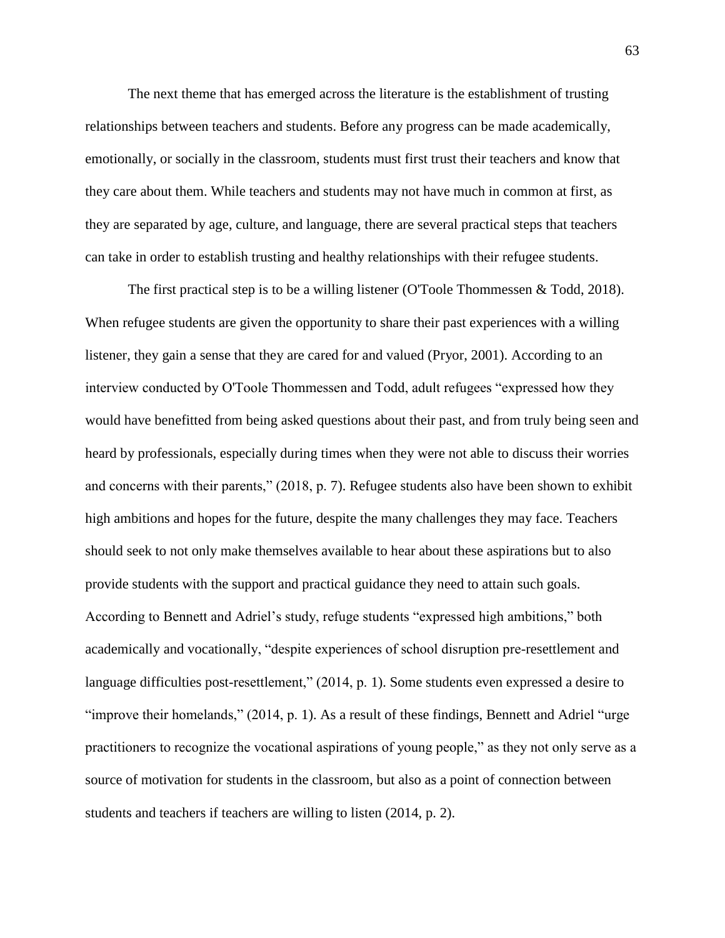The next theme that has emerged across the literature is the establishment of trusting relationships between teachers and students. Before any progress can be made academically, emotionally, or socially in the classroom, students must first trust their teachers and know that they care about them. While teachers and students may not have much in common at first, as they are separated by age, culture, and language, there are several practical steps that teachers can take in order to establish trusting and healthy relationships with their refugee students.

The first practical step is to be a willing listener (O'Toole Thommessen & Todd, 2018). When refugee students are given the opportunity to share their past experiences with a willing listener, they gain a sense that they are cared for and valued (Pryor, 2001). According to an interview conducted by O'Toole Thommessen and Todd, adult refugees "expressed how they would have benefitted from being asked questions about their past, and from truly being seen and heard by professionals, especially during times when they were not able to discuss their worries and concerns with their parents," (2018, p. 7). Refugee students also have been shown to exhibit high ambitions and hopes for the future, despite the many challenges they may face. Teachers should seek to not only make themselves available to hear about these aspirations but to also provide students with the support and practical guidance they need to attain such goals. According to Bennett and Adriel's study, refuge students "expressed high ambitions," both academically and vocationally, "despite experiences of school disruption pre-resettlement and language difficulties post-resettlement," (2014, p. 1). Some students even expressed a desire to "improve their homelands," (2014, p. 1). As a result of these findings, Bennett and Adriel "urge practitioners to recognize the vocational aspirations of young people," as they not only serve as a source of motivation for students in the classroom, but also as a point of connection between students and teachers if teachers are willing to listen (2014, p. 2).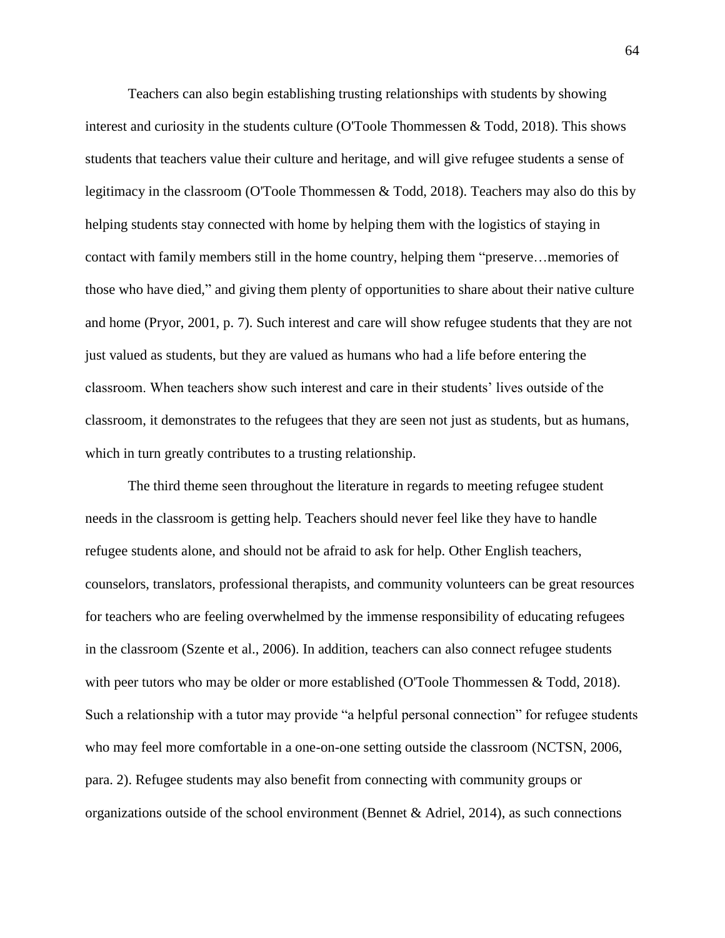Teachers can also begin establishing trusting relationships with students by showing interest and curiosity in the students culture (O'Toole Thommessen & Todd, 2018). This shows students that teachers value their culture and heritage, and will give refugee students a sense of legitimacy in the classroom (O'Toole Thommessen & Todd, 2018). Teachers may also do this by helping students stay connected with home by helping them with the logistics of staying in contact with family members still in the home country, helping them "preserve…memories of those who have died," and giving them plenty of opportunities to share about their native culture and home (Pryor, 2001, p. 7). Such interest and care will show refugee students that they are not just valued as students, but they are valued as humans who had a life before entering the classroom. When teachers show such interest and care in their students' lives outside of the classroom, it demonstrates to the refugees that they are seen not just as students, but as humans, which in turn greatly contributes to a trusting relationship.

The third theme seen throughout the literature in regards to meeting refugee student needs in the classroom is getting help. Teachers should never feel like they have to handle refugee students alone, and should not be afraid to ask for help. Other English teachers, counselors, translators, professional therapists, and community volunteers can be great resources for teachers who are feeling overwhelmed by the immense responsibility of educating refugees in the classroom (Szente et al., 2006). In addition, teachers can also connect refugee students with peer tutors who may be older or more established (O'Toole Thommessen & Todd, 2018). Such a relationship with a tutor may provide "a helpful personal connection" for refugee students who may feel more comfortable in a one-on-one setting outside the classroom (NCTSN, 2006, para. 2). Refugee students may also benefit from connecting with community groups or organizations outside of the school environment (Bennet & Adriel, 2014), as such connections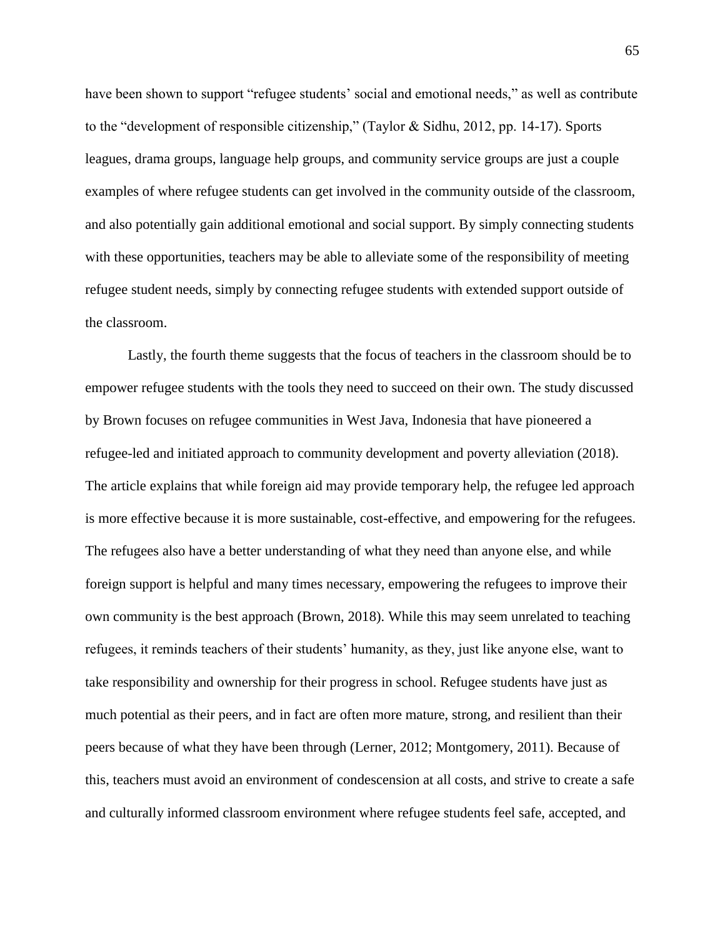have been shown to support "refugee students' social and emotional needs," as well as contribute to the "development of responsible citizenship," (Taylor & Sidhu, 2012, pp. 14-17). Sports leagues, drama groups, language help groups, and community service groups are just a couple examples of where refugee students can get involved in the community outside of the classroom, and also potentially gain additional emotional and social support. By simply connecting students with these opportunities, teachers may be able to alleviate some of the responsibility of meeting refugee student needs, simply by connecting refugee students with extended support outside of the classroom.

Lastly, the fourth theme suggests that the focus of teachers in the classroom should be to empower refugee students with the tools they need to succeed on their own. The study discussed by Brown focuses on refugee communities in West Java, Indonesia that have pioneered a refugee-led and initiated approach to community development and poverty alleviation (2018). The article explains that while foreign aid may provide temporary help, the refugee led approach is more effective because it is more sustainable, cost-effective, and empowering for the refugees. The refugees also have a better understanding of what they need than anyone else, and while foreign support is helpful and many times necessary, empowering the refugees to improve their own community is the best approach (Brown, 2018). While this may seem unrelated to teaching refugees, it reminds teachers of their students' humanity, as they, just like anyone else, want to take responsibility and ownership for their progress in school. Refugee students have just as much potential as their peers, and in fact are often more mature, strong, and resilient than their peers because of what they have been through (Lerner, 2012; Montgomery, 2011). Because of this, teachers must avoid an environment of condescension at all costs, and strive to create a safe and culturally informed classroom environment where refugee students feel safe, accepted, and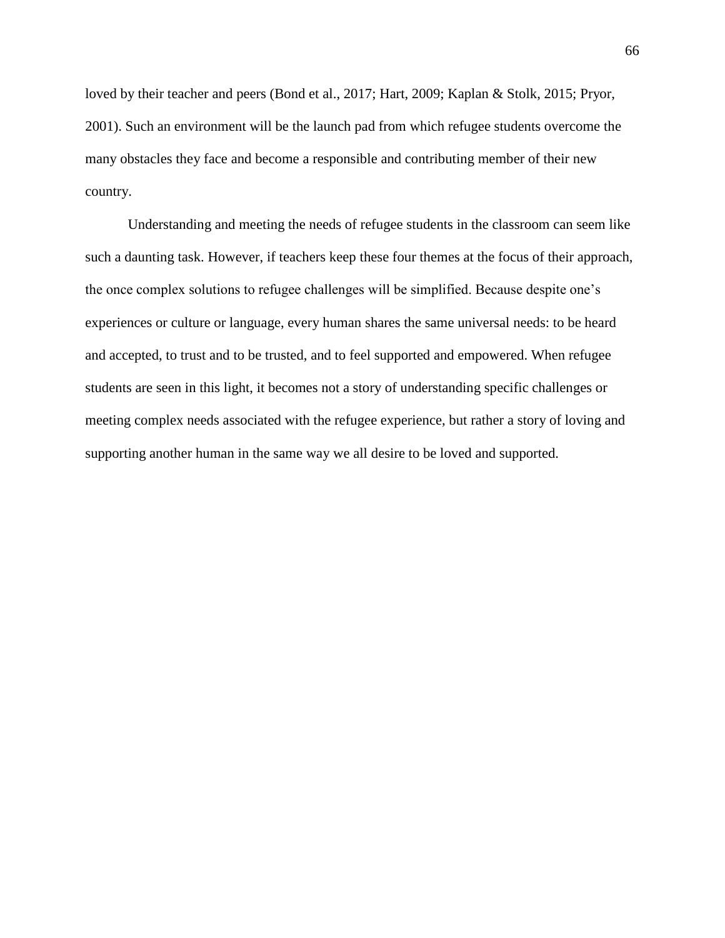loved by their teacher and peers (Bond et al., 2017; Hart, 2009; Kaplan & Stolk, 2015; Pryor, 2001). Such an environment will be the launch pad from which refugee students overcome the many obstacles they face and become a responsible and contributing member of their new country.

Understanding and meeting the needs of refugee students in the classroom can seem like such a daunting task. However, if teachers keep these four themes at the focus of their approach, the once complex solutions to refugee challenges will be simplified. Because despite one's experiences or culture or language, every human shares the same universal needs: to be heard and accepted, to trust and to be trusted, and to feel supported and empowered. When refugee students are seen in this light, it becomes not a story of understanding specific challenges or meeting complex needs associated with the refugee experience, but rather a story of loving and supporting another human in the same way we all desire to be loved and supported.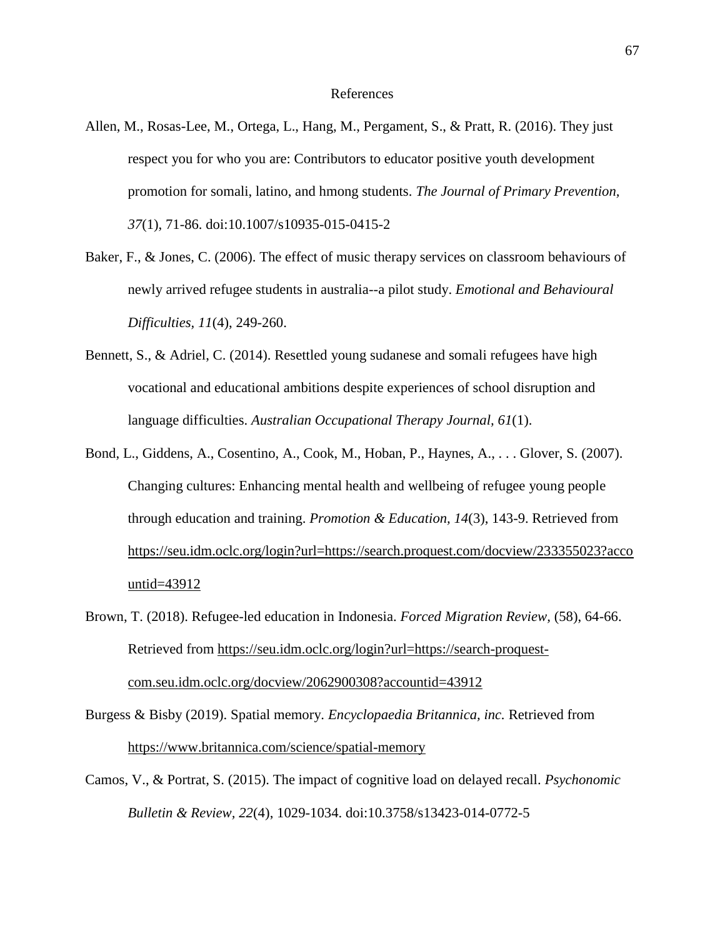## References

- Allen, M., Rosas-Lee, M., Ortega, L., Hang, M., Pergament, S., & Pratt, R. (2016). They just respect you for who you are: Contributors to educator positive youth development promotion for somali, latino, and hmong students. *The Journal of Primary Prevention, 37*(1), 71-86. doi:10.1007/s10935-015-0415-2
- Baker, F., & Jones, C. (2006). The effect of music therapy services on classroom behaviours of newly arrived refugee students in australia--a pilot study. *Emotional and Behavioural Difficulties, 11*(4), 249-260.
- Bennett, S., & Adriel, C. (2014). Resettled young sudanese and somali refugees have high vocational and educational ambitions despite experiences of school disruption and language difficulties. *Australian Occupational Therapy Journal, 61*(1).
- Bond, L., Giddens, A., Cosentino, A., Cook, M., Hoban, P., Haynes, A., . . . Glover, S. (2007). Changing cultures: Enhancing mental health and wellbeing of refugee young people through education and training. *Promotion & Education, 14*(3), 143-9. Retrieved fro[m](https://seu.idm.oclc.org/login?url=https://search.proquest.com/docview/233355023?accountid=43912) [https://seu.idm.oclc.org/login?url=https://search.proquest.com/docview/233355023?acco](https://seu.idm.oclc.org/login?url=https://search.proquest.com/docview/233355023?accountid=43912) [untid=43912](https://seu.idm.oclc.org/login?url=https://search.proquest.com/docview/233355023?accountid=43912)
- Brown, T. (2018). Refugee-led education in Indonesia. *Forced Migration Review,* (58), 64-66. Retrieved from [https://seu.idm.oclc.org/login?url=https://search-proquest](https://seu.idm.oclc.org/login?url=https://search-proquest-com.seu.idm.oclc.org/docview/2062900308?accountid=43912)[com.seu.idm.oclc.org/docview/2062900308?accountid=43912](https://seu.idm.oclc.org/login?url=https://search-proquest-com.seu.idm.oclc.org/docview/2062900308?accountid=43912)
- Burgess & Bisby (2019). Spatial memory. *Encyclopaedia Britannica, inc.* Retrieved from <https://www.britannica.com/science/spatial-memory>
- Camos, V., & Portrat, S. (2015). The impact of cognitive load on delayed recall. *Psychonomic Bulletin & Review, 22*(4), 1029-1034. doi:10.3758/s13423-014-0772-5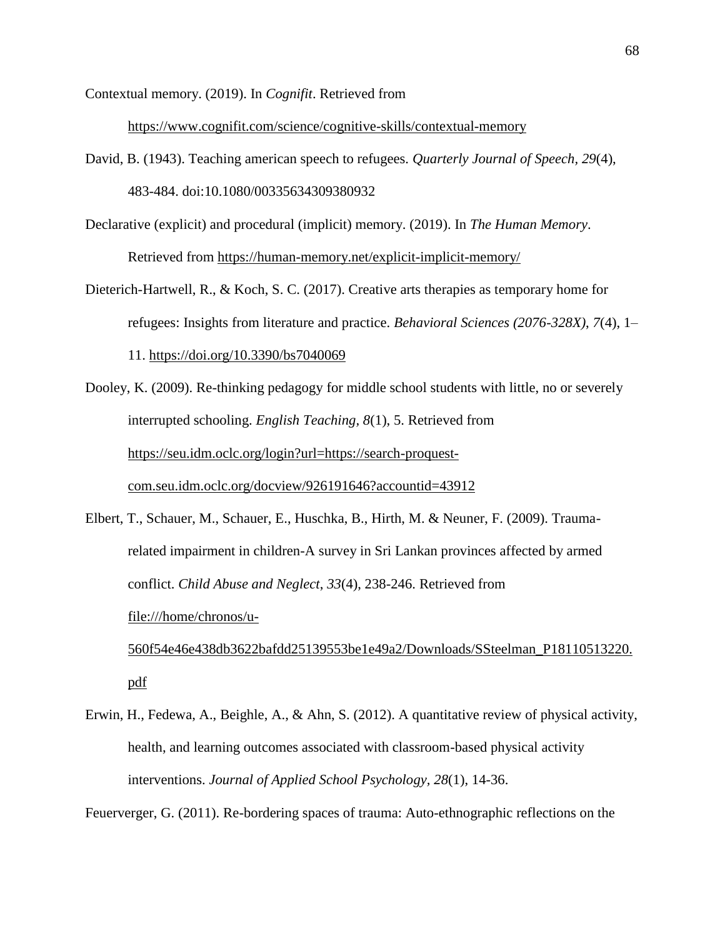Contextual memory. (2019). In *Cognifit*. Retrieved from

<https://www.cognifit.com/science/cognitive-skills/contextual-memory>

- David, B. (1943). Teaching american speech to refugees. *Quarterly Journal of Speech, 29*(4), 483-484. doi:10.1080/00335634309380932
- Declarative (explicit) and procedural (implicit) memory. (2019). In *The Human Memory*. Retrieved from<https://human-memory.net/explicit-implicit-memory/>
- Dieterich-Hartwell, R., & Koch, S. C. (2017). Creative arts therapies as temporary home for refugees: Insights from literature and practice. *Behavioral Sciences (2076-328X)*, *7*(4), 1– 11.<https://doi.org/10.3390/bs7040069>
- Dooley, K. (2009). Re-thinking pedagogy for middle school students with little, no or severely interrupted schooling. *English Teaching, 8*(1), 5. Retrieved from https://seu.idm.oclc.org/login?url=https://search-proquestcom.seu.idm.oclc.org/docview/926191646?accountid=43912

Elbert, T., Schauer, M., Schauer, E., Huschka, B., Hirth, M. & Neuner, F. (2009). Traumarelated impairment in children-A survey in Sri Lankan provinces affected by armed conflict. *Child Abuse and Neglect*, *33*(4), 238-246. Retrieved from file:///home/chronos/u-560f54e46e438db3622bafdd25139553be1e49a2/Downloads/SSteelman\_P18110513220. pdf

Erwin, H., Fedewa, A., Beighle, A., & Ahn, S. (2012). A quantitative review of physical activity, health, and learning outcomes associated with classroom-based physical activity interventions. *Journal of Applied School Psychology, 28*(1), 14-36.

Feuerverger, G. (2011). Re-bordering spaces of trauma: Auto-ethnographic reflections on the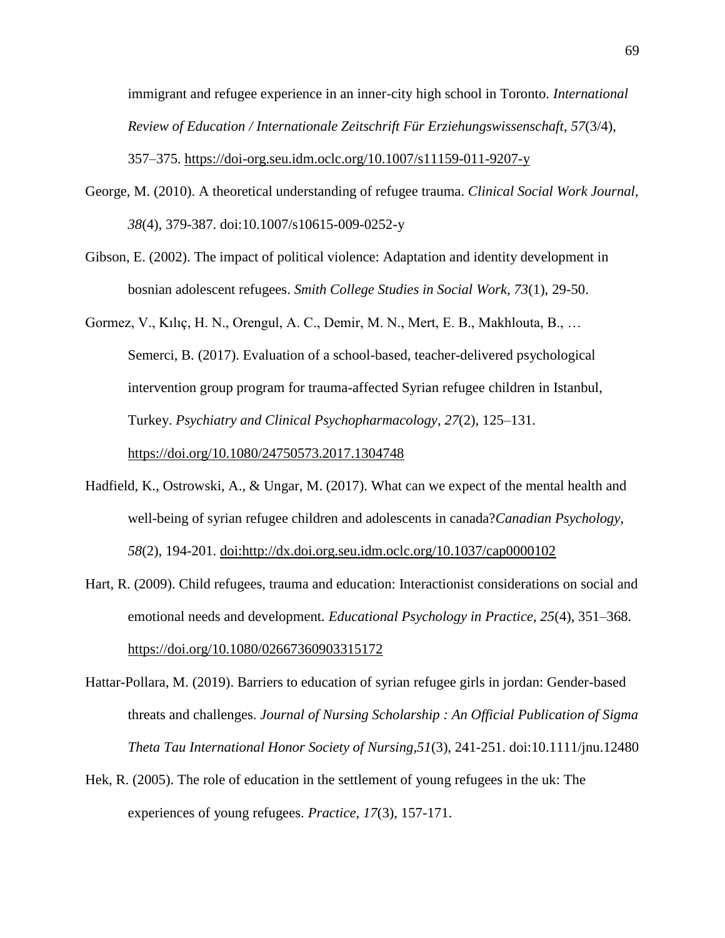immigrant and refugee experience in an inner-city high school in Toronto. *International Review of Education / Internationale Zeitschrift Für Erziehungswissenschaft*, *57*(3/4), 357–375.<https://doi-org.seu.idm.oclc.org/10.1007/s11159-011-9207-y>

- George, M. (2010). A theoretical understanding of refugee trauma. *Clinical Social Work Journal, 38*(4), 379-387. doi:10.1007/s10615-009-0252-y
- Gibson, E. (2002). The impact of political violence: Adaptation and identity development in bosnian adolescent refugees. *Smith College Studies in Social Work, 73*(1), 29-50.
- Gormez, V., Kılıç, H. N., Orengul, A. C., Demir, M. N., Mert, E. B., Makhlouta, B., … Semerci, B. (2017). Evaluation of a school-based, teacher-delivered psychological intervention group program for trauma-affected Syrian refugee children in Istanbul, Turkey. *Psychiatry and Clinical Psychopharmacology*, *27*(2), 125–131. https://doi.org/10.1080/24750573.2017.1304748
- Hadfield, K., Ostrowski, A., & Ungar, M. (2017). What can we expect of the mental health and well-being of syrian refugee children and adolescents in canada?*Canadian Psychology, 58*(2), 194-201. doi:http://dx.doi.org.seu.idm.oclc.org/10.1037/cap0000102
- Hart, R. (2009). Child refugees, trauma and education: Interactionist considerations on social and emotional needs and development. *Educational Psychology in Practice*, *25*(4), 351–368. https://doi.org/10.1080/02667360903315172
- Hattar-Pollara, M. (2019). Barriers to education of syrian refugee girls in jordan: Gender-based threats and challenges. *Journal of Nursing Scholarship : An Official Publication of Sigma Theta Tau International Honor Society of Nursing,51*(3), 241-251. doi:10.1111/jnu.12480
- Hek, R. (2005). The role of education in the settlement of young refugees in the uk: The experiences of young refugees. *Practice, 17*(3), 157-171.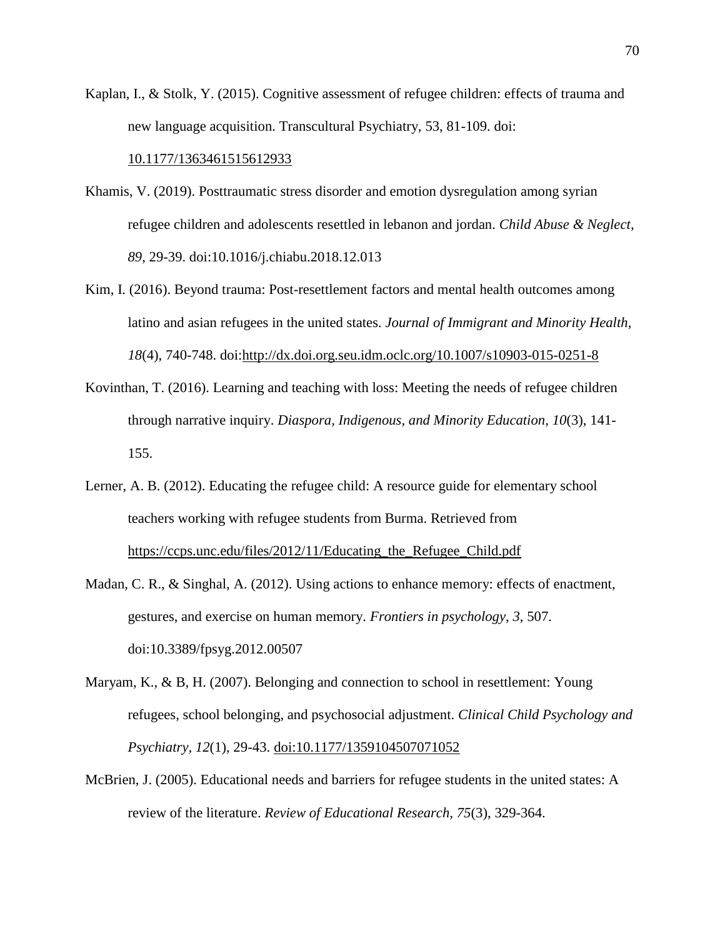Kaplan, I., & Stolk, Y. (2015). Cognitive assessment of refugee children: effects of trauma and new language acquisition. Transcultural Psychiatry, 53, 81-109. doi[:](https://doi.org/10.1177%2F1363461515612933)

## [10.1177/1363461515612933](https://doi.org/10.1177%2F1363461515612933)

- Khamis, V. (2019). Posttraumatic stress disorder and emotion dysregulation among syrian refugee children and adolescents resettled in lebanon and jordan. *Child Abuse & Neglect, 89*, 29-39. doi:10.1016/j.chiabu.2018.12.013
- Kim, I. (2016). Beyond trauma: Post-resettlement factors and mental health outcomes among latino and asian refugees in the united states. *Journal of Immigrant and Minority Health, 18*(4), 740-748. doi[:http://dx.doi.org.seu.idm.oclc.org/10.1007/s10903-015-0251-8](http://dx.doi.org.seu.idm.oclc.org/10.1007/s10903-015-0251-8)
- Kovinthan, T. (2016). Learning and teaching with loss: Meeting the needs of refugee children through narrative inquiry. *Diaspora, Indigenous, and Minority Education, 10*(3), 141- 155.
- Lerner, A. B. (2012). Educating the refugee child: A resource guide for elementary school teachers working with refugee students from Burma. Retrieved from https://ccps.unc.edu/files/2012/11/Educating\_the\_Refugee\_Child.pdf
- Madan, C. R., & Singhal, A. (2012). Using actions to enhance memory: effects of enactment, gestures, and exercise on human memory. *Frontiers in psychology*, *3*, 507. doi:10.3389/fpsyg.2012.00507
- Maryam, K., & B, H. (2007). Belonging and connection to school in resettlement: Young refugees, school belonging, and psychosocial adjustment. *Clinical Child Psychology and Psychiatry, 12*(1), 29-43. doi:10.1177/1359104507071052
- McBrien, J. (2005). Educational needs and barriers for refugee students in the united states: A review of the literature. *Review of Educational Research, 75*(3), 329-364.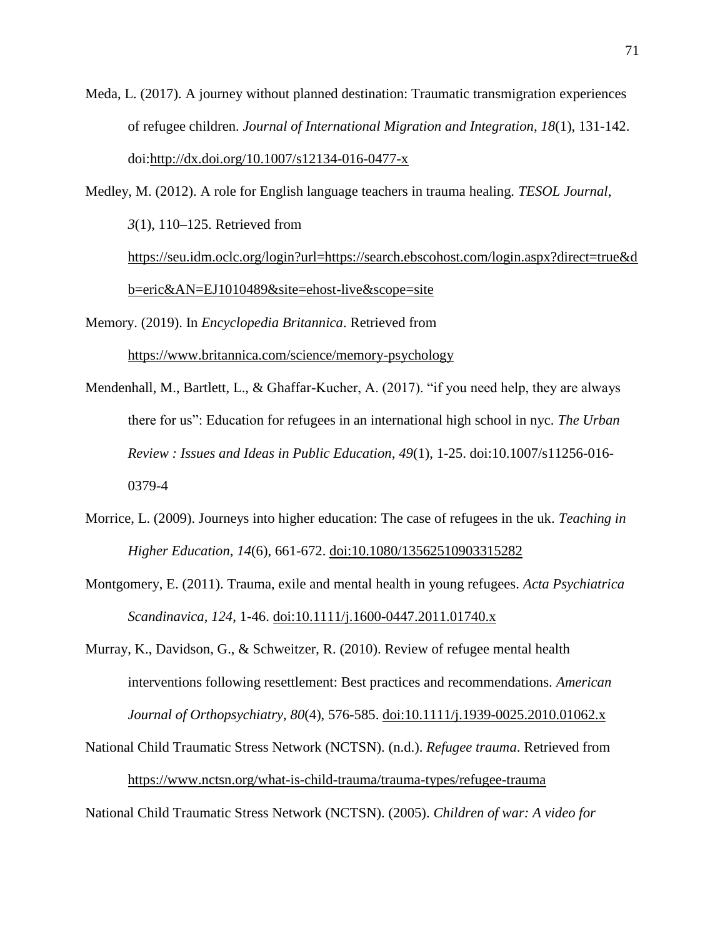Meda, L. (2017). A journey without planned destination: Traumatic transmigration experiences of refugee children. *Journal of International Migration and Integration, 18*(1), 131-142. doi[:http://dx.doi.org/10.1007/s12134-016-0477-x](http://dx.doi.org/10.1007/s12134-016-0477-x)

Medley, M. (2012). A role for English language teachers in trauma healing. *TESOL Journal*, *3*(1), 110–125. Retrieved from [https://seu.idm.oclc.org/login?url=https://search.ebscohost.com/login.aspx?direct=true&d](https://seu.idm.oclc.org/login?url=https://search.ebscohost.com/login.aspx?direct=true&db=eric&AN=EJ1010489&site=ehost-live&scope=site) [b=eric&AN=EJ1010489&site=ehost-live&scope=site](https://seu.idm.oclc.org/login?url=https://search.ebscohost.com/login.aspx?direct=true&db=eric&AN=EJ1010489&site=ehost-live&scope=site)

Memory. (2019). In *Encyclopedia Britannica*. Retrieved from

<https://www.britannica.com/science/memory-psychology>

- Mendenhall, M., Bartlett, L., & Ghaffar-Kucher, A. (2017). "if you need help, they are always there for us": Education for refugees in an international high school in nyc. *The Urban Review : Issues and Ideas in Public Education, 49*(1), 1-25. doi:10.1007/s11256-016- 0379-4
- Morrice, L. (2009). Journeys into higher education: The case of refugees in the uk. *Teaching in Higher Education, 14*(6), 661-672. doi:10.1080/13562510903315282
- Montgomery, E. (2011). Trauma, exile and mental health in young refugees. *Acta Psychiatrica Scandinavica, 124*, 1-46. doi:10.1111/j.1600-0447.2011.01740.x
- Murray, K., Davidson, G., & Schweitzer, R. (2010). Review of refugee mental health interventions following resettlement: Best practices and recommendations. *American Journal of Orthopsychiatry, 80*(4), 576-585. doi:10.1111/j.1939-0025.2010.01062.x
- National Child Traumatic Stress Network (NCTSN). (n.d.). *Refugee trauma*. Retrieved from <https://www.nctsn.org/what-is-child-trauma/trauma-types/refugee-trauma>

National Child Traumatic Stress Network (NCTSN). (2005). *Children of war: A video for*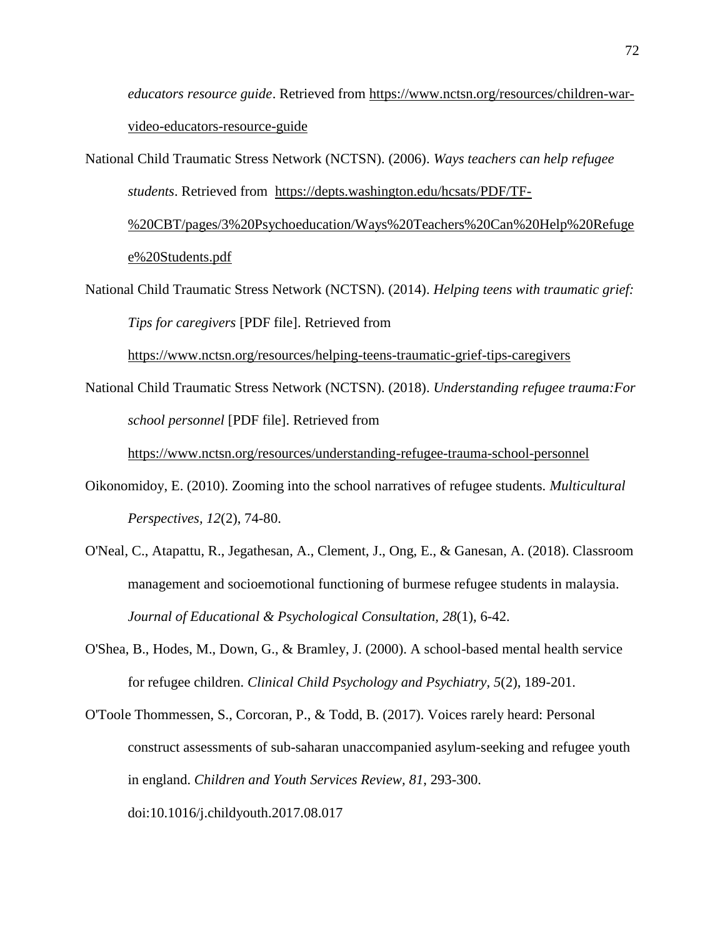*educators resource guide*. Retrieved from [https://www.nctsn.org/resources/children-war](https://www.nctsn.org/resources/children-war-video-educators-resource-guide)[video-educators-resource-guide](https://www.nctsn.org/resources/children-war-video-educators-resource-guide)

National Child Traumatic Stress Network (NCTSN). (2006). *Ways teachers can help refugee students*. Retrieved from [https://depts.washington.edu/hcsats/PDF/TF-](https://depts.washington.edu/hcsats/PDF/TF-%20CBT/pages/3%20Psychoeducation/Ways%20Teachers%20Can%20Help%20Refugee%20Students.pdf)

[%20CBT/pages/3%20Psychoeducation/Ways%20Teachers%20Can%20Help%20Refuge](https://depts.washington.edu/hcsats/PDF/TF-%20CBT/pages/3%20Psychoeducation/Ways%20Teachers%20Can%20Help%20Refugee%20Students.pdf) [e%20Students.pdf](https://depts.washington.edu/hcsats/PDF/TF-%20CBT/pages/3%20Psychoeducation/Ways%20Teachers%20Can%20Help%20Refugee%20Students.pdf)

National Child Traumatic Stress Network (NCTSN). (2014). *Helping teens with traumatic grief: Tips for caregivers* [PDF file]. Retrieved from

<https://www.nctsn.org/resources/helping-teens-traumatic-grief-tips-caregivers>

National Child Traumatic Stress Network (NCTSN). (2018). *Understanding refugee trauma:For school personnel* [PDF file]. Retrieved from

<https://www.nctsn.org/resources/understanding-refugee-trauma-school-personnel>

- Oikonomidoy, E. (2010). Zooming into the school narratives of refugee students. *Multicultural Perspectives, 12*(2), 74-80.
- O'Neal, C., Atapattu, R., Jegathesan, A., Clement, J., Ong, E., & Ganesan, A. (2018). Classroom management and socioemotional functioning of burmese refugee students in malaysia. *Journal of Educational & Psychological Consultation, 28*(1), 6-42.
- O'Shea, B., Hodes, M., Down, G., & Bramley, J. (2000). A school-based mental health service for refugee children. *Clinical Child Psychology and Psychiatry, 5*(2), 189-201.
- O'Toole Thommessen, S., Corcoran, P., & Todd, B. (2017). Voices rarely heard: Personal construct assessments of sub-saharan unaccompanied asylum-seeking and refugee youth in england. *Children and Youth Services Review, 81*, 293-300. doi:10.1016/j.childyouth.2017.08.017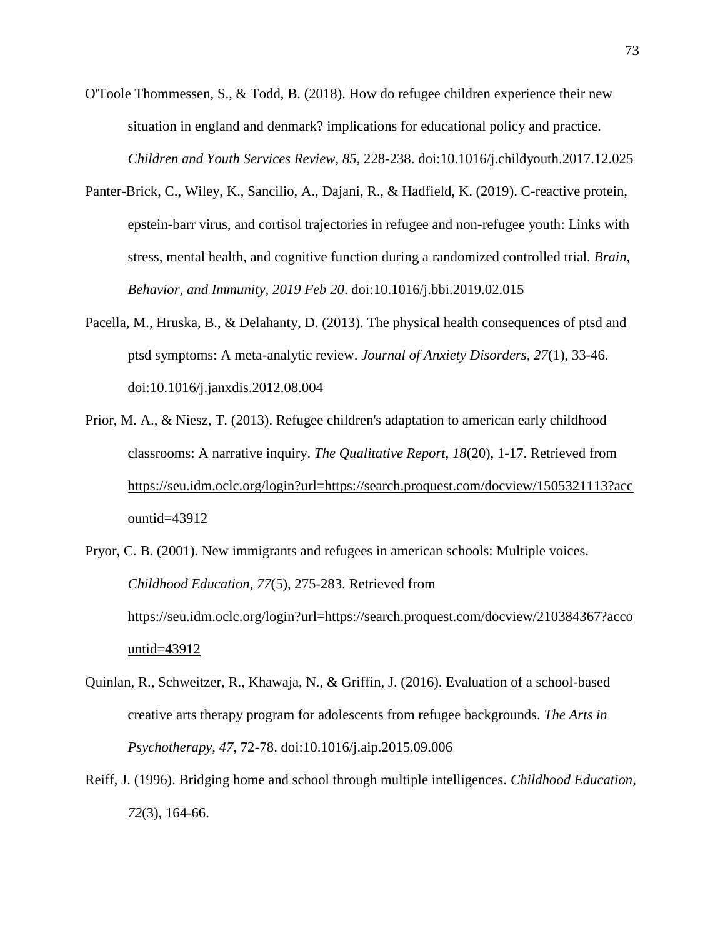- O'Toole Thommessen, S., & Todd, B. (2018). How do refugee children experience their new situation in england and denmark? implications for educational policy and practice. *Children and Youth Services Review, 85*, 228-238. doi:10.1016/j.childyouth.2017.12.025
- Panter-Brick, C., Wiley, K., Sancilio, A., Dajani, R., & Hadfield, K. (2019). C-reactive protein, epstein-barr virus, and cortisol trajectories in refugee and non-refugee youth: Links with stress, mental health, and cognitive function during a randomized controlled trial. *Brain, Behavior, and Immunity, 2019 Feb 20*. doi:10.1016/j.bbi.2019.02.015
- Pacella, M., Hruska, B., & Delahanty, D. (2013). The physical health consequences of ptsd and ptsd symptoms: A meta-analytic review. *Journal of Anxiety Disorders, 27*(1), 33-46. doi:10.1016/j.janxdis.2012.08.004
- Prior, M. A., & Niesz, T. (2013). Refugee children's adaptation to american early childhood classrooms: A narrative inquiry. *The Qualitative Report, 18*(20), 1-17. Retrieved from https://seu.idm.oclc.org/login?url=https://search.proquest.com/docview/1505321113?acc ountid=43912
- Pryor, C. B. (2001). New immigrants and refugees in american schools: Multiple voices. *Childhood Education, 77*(5), 275-283. Retrieved from https://seu.idm.oclc.org/login?url=https://search.proquest.com/docview/210384367?acco untid=43912
- Quinlan, R., Schweitzer, R., Khawaja, N., & Griffin, J. (2016). Evaluation of a school-based creative arts therapy program for adolescents from refugee backgrounds. *The Arts in Psychotherapy, 47*, 72-78. doi:10.1016/j.aip.2015.09.006
- Reiff, J. (1996). Bridging home and school through multiple intelligences. *Childhood Education, 72*(3), 164-66.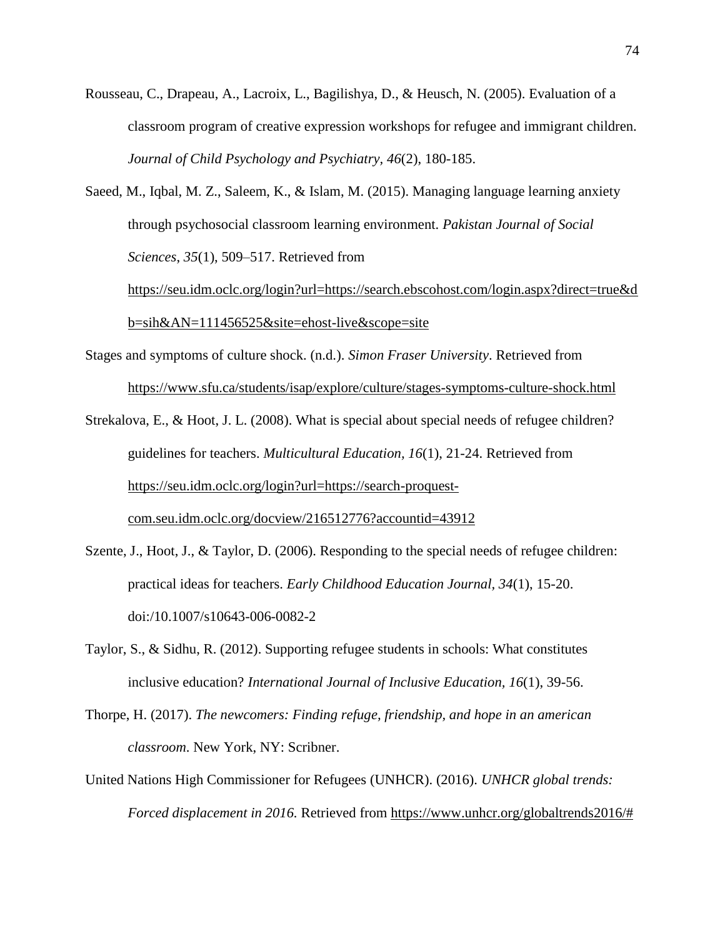- Rousseau, C., Drapeau, A., Lacroix, L., Bagilishya, D., & Heusch, N. (2005). Evaluation of a classroom program of creative expression workshops for refugee and immigrant children. *Journal of Child Psychology and Psychiatry, 46*(2), 180-185.
- Saeed, M., Iqbal, M. Z., Saleem, K., & Islam, M. (2015). Managing language learning anxiety through psychosocial classroom learning environment. *Pakistan Journal of Social Sciences*, *35*(1), 509–517. Retrieved from

https://seu.idm.oclc.org/login?url=https://search.ebscohost.com/login.aspx?direct=true&d b=sih&AN=111456525&site=ehost-live&scope=site

- Stages and symptoms of culture shock. (n.d.). *Simon Fraser University*. Retrieved from <https://www.sfu.ca/students/isap/explore/culture/stages-symptoms-culture-shock.html>
- Strekalova, E., & Hoot, J. L. (2008). What is special about special needs of refugee children? guidelines for teachers. *Multicultural Education, 16*(1), 21-24. Retrieved fro[m](https://seu.idm.oclc.org/login?url=https://search-proquest-com.seu.idm.oclc.org/docview/216512776?accountid=43912) [https://seu.idm.oclc.org/login?url=https://search-proquest](https://seu.idm.oclc.org/login?url=https://search-proquest-com.seu.idm.oclc.org/docview/216512776?accountid=43912)[com.seu.idm.oclc.org/docview/216512776?accountid=43912](https://seu.idm.oclc.org/login?url=https://search-proquest-com.seu.idm.oclc.org/docview/216512776?accountid=43912)
- Szente, J., Hoot, J., & Taylor, D. (2006). Responding to the special needs of refugee children: practical ideas for teachers. *Early Childhood Education Journal, 34*(1), 15-20. doi:/10.1007/s10643-006-0082-2
- Taylor, S., & Sidhu, R. (2012). Supporting refugee students in schools: What constitutes inclusive education? *International Journal of Inclusive Education, 16*(1), 39-56.
- Thorpe, H. (2017). *The newcomers: Finding refuge, friendship, and hope in an american classroom*. New York, NY: Scribner.
- United Nations High Commissioner for Refugees (UNHCR). (2016). *UNHCR global trends: Forced displacement in 2016.* Retrieved from [https://www.unhcr.org/globaltrends2016/#](https://www.unhcr.org/globaltrends2016/)